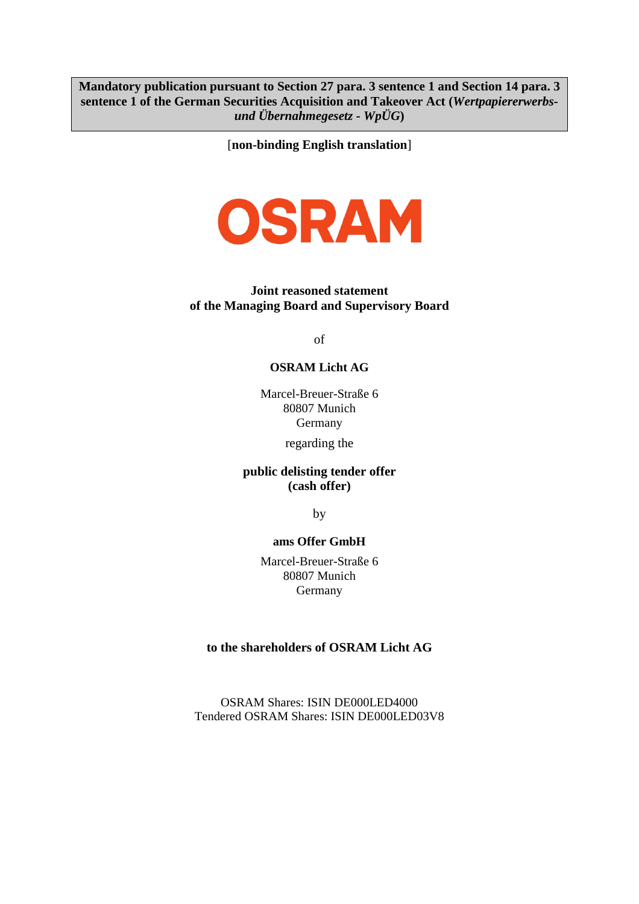**Mandatory publication pursuant to Section 27 para. 3 sentence 1 and Section 14 para. 3 sentence 1 of the German Securities Acquisition and Takeover Act (***Wertpapiererwerbsund Übernahmegesetz - WpÜG***)**

[**non-binding English translation**]



#### **Joint reasoned statement of the Managing Board and Supervisory Board**

of

## **OSRAM Licht AG**

Marcel-Breuer-Straße 6 80807 Munich Germany

regarding the

#### **public delisting tender offer (cash offer)**

by

#### **ams Offer GmbH**

Marcel-Breuer-Straße 6 80807 Munich Germany

#### **to the shareholders of OSRAM Licht AG**

OSRAM Shares: ISIN DE000LED4000 Tendered OSRAM Shares: ISIN DE000LED03V8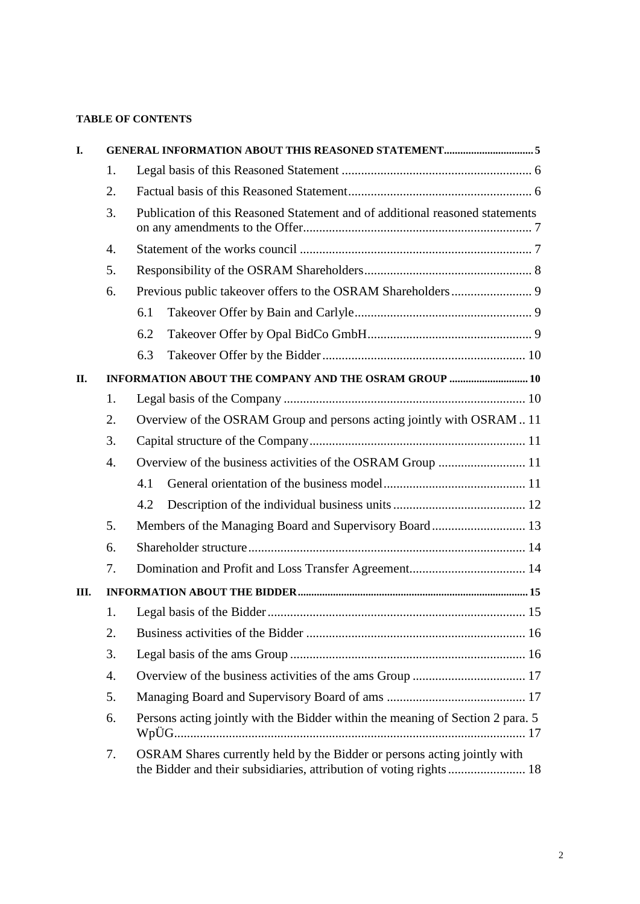#### **TABLE OF CONTENTS**

| I.   |    |                                                                                                                                                |  |  |  |
|------|----|------------------------------------------------------------------------------------------------------------------------------------------------|--|--|--|
|      | 1. |                                                                                                                                                |  |  |  |
|      | 2. |                                                                                                                                                |  |  |  |
|      | 3. | Publication of this Reasoned Statement and of additional reasoned statements                                                                   |  |  |  |
|      | 4. |                                                                                                                                                |  |  |  |
|      | 5. |                                                                                                                                                |  |  |  |
|      | 6. |                                                                                                                                                |  |  |  |
|      |    | 6.1                                                                                                                                            |  |  |  |
|      |    | 6.2                                                                                                                                            |  |  |  |
|      |    | 6.3                                                                                                                                            |  |  |  |
| II.  |    | INFORMATION ABOUT THE COMPANY AND THE OSRAM GROUP  10                                                                                          |  |  |  |
|      | 1. |                                                                                                                                                |  |  |  |
|      | 2. | Overview of the OSRAM Group and persons acting jointly with OSRAM11                                                                            |  |  |  |
|      | 3. |                                                                                                                                                |  |  |  |
|      | 4. | Overview of the business activities of the OSRAM Group  11                                                                                     |  |  |  |
|      |    | 4.1                                                                                                                                            |  |  |  |
|      |    | 4.2                                                                                                                                            |  |  |  |
|      | 5. | Members of the Managing Board and Supervisory Board 13                                                                                         |  |  |  |
|      | 6. |                                                                                                                                                |  |  |  |
|      | 7. |                                                                                                                                                |  |  |  |
| III. |    |                                                                                                                                                |  |  |  |
|      | 1. |                                                                                                                                                |  |  |  |
|      | 2. |                                                                                                                                                |  |  |  |
|      | 3. |                                                                                                                                                |  |  |  |
|      | 4. |                                                                                                                                                |  |  |  |
|      | 5. |                                                                                                                                                |  |  |  |
|      | 6. | Persons acting jointly with the Bidder within the meaning of Section 2 para. 5                                                                 |  |  |  |
|      | 7. | OSRAM Shares currently held by the Bidder or persons acting jointly with<br>the Bidder and their subsidiaries, attribution of voting rights 18 |  |  |  |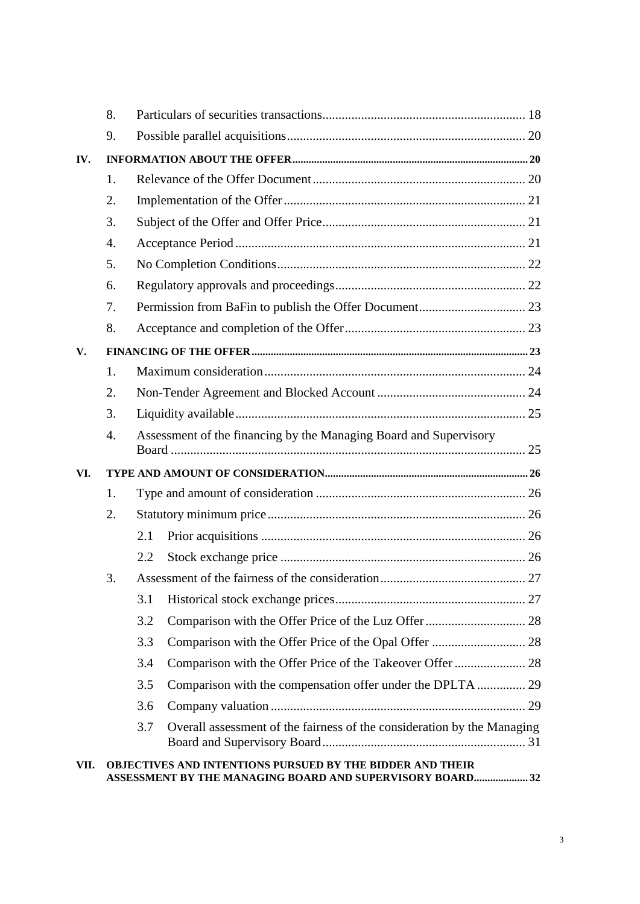|      | 8. |     |                                                                                                                              |  |  |
|------|----|-----|------------------------------------------------------------------------------------------------------------------------------|--|--|
|      | 9. |     |                                                                                                                              |  |  |
| IV.  |    |     |                                                                                                                              |  |  |
|      | 1. |     |                                                                                                                              |  |  |
|      | 2. |     |                                                                                                                              |  |  |
|      | 3. |     |                                                                                                                              |  |  |
|      | 4. |     |                                                                                                                              |  |  |
|      | 5. |     |                                                                                                                              |  |  |
|      | 6. |     |                                                                                                                              |  |  |
|      | 7. |     |                                                                                                                              |  |  |
|      | 8. |     |                                                                                                                              |  |  |
| V.   |    |     |                                                                                                                              |  |  |
|      | 1. |     |                                                                                                                              |  |  |
|      | 2. |     |                                                                                                                              |  |  |
|      | 3. |     |                                                                                                                              |  |  |
|      | 4. |     | Assessment of the financing by the Managing Board and Supervisory                                                            |  |  |
| VI.  |    |     |                                                                                                                              |  |  |
|      | 1. |     |                                                                                                                              |  |  |
|      | 2. |     |                                                                                                                              |  |  |
|      |    | 2.1 |                                                                                                                              |  |  |
|      |    | 2.2 |                                                                                                                              |  |  |
|      | 3. |     |                                                                                                                              |  |  |
|      |    | 3.1 |                                                                                                                              |  |  |
|      |    | 3.2 |                                                                                                                              |  |  |
|      |    | 3.3 |                                                                                                                              |  |  |
|      |    | 3.4 |                                                                                                                              |  |  |
|      |    | 3.5 |                                                                                                                              |  |  |
|      |    | 3.6 |                                                                                                                              |  |  |
|      |    | 3.7 | Overall assessment of the fairness of the consideration by the Managing                                                      |  |  |
| VII. |    |     | <b>OBJECTIVES AND INTENTIONS PURSUED BY THE BIDDER AND THEIR</b><br>ASSESSMENT BY THE MANAGING BOARD AND SUPERVISORY BOARD32 |  |  |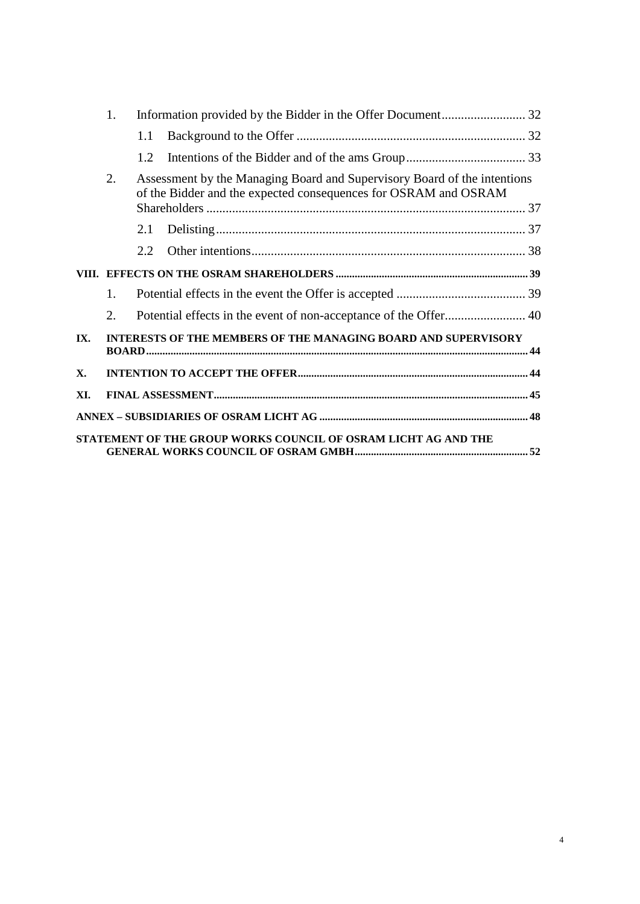|     | 1.                                                                                                                                                |      |                                                                |  |
|-----|---------------------------------------------------------------------------------------------------------------------------------------------------|------|----------------------------------------------------------------|--|
|     |                                                                                                                                                   | 1.1  |                                                                |  |
|     |                                                                                                                                                   | 1.2. |                                                                |  |
|     | 2.<br>Assessment by the Managing Board and Supervisory Board of the intentions<br>of the Bidder and the expected consequences for OSRAM and OSRAM |      |                                                                |  |
|     |                                                                                                                                                   |      |                                                                |  |
|     |                                                                                                                                                   | 2.1  |                                                                |  |
|     |                                                                                                                                                   | 2.2. |                                                                |  |
|     |                                                                                                                                                   |      |                                                                |  |
|     | 1.                                                                                                                                                |      |                                                                |  |
|     | 2.                                                                                                                                                |      |                                                                |  |
| IX. | INTERESTS OF THE MEMBERS OF THE MANAGING BOARD AND SUPERVISORY                                                                                    |      |                                                                |  |
| X.  |                                                                                                                                                   |      |                                                                |  |
| XI. |                                                                                                                                                   |      |                                                                |  |
|     |                                                                                                                                                   |      |                                                                |  |
|     |                                                                                                                                                   |      | STATEMENT OF THE GROUP WORKS COUNCIL OF OSRAM LICHT AG AND THE |  |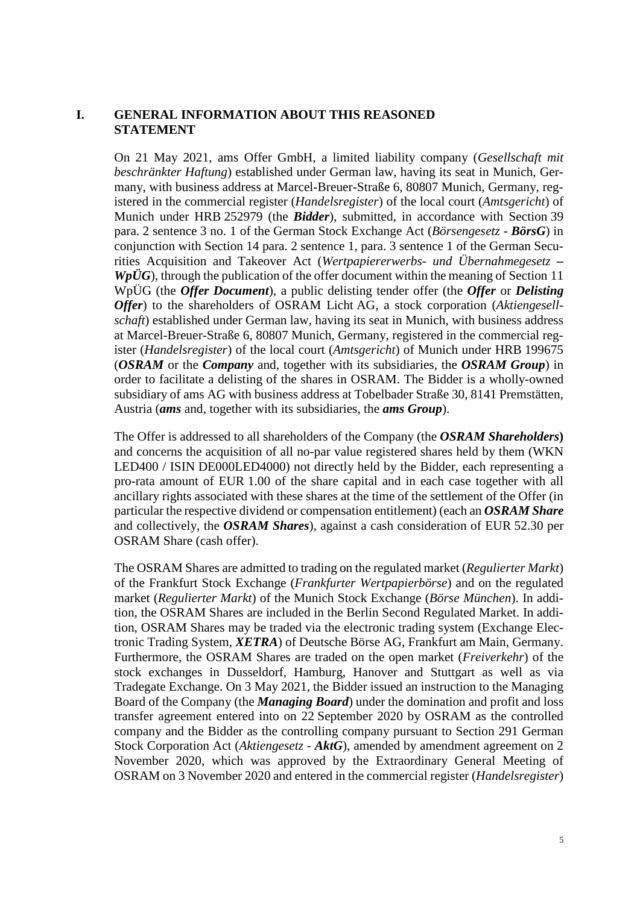#### <span id="page-4-0"></span>**I. GENERAL INFORMATION ABOUT THIS REASONED STATEMENT**

On 21 May 2021, ams Offer GmbH, a limited liability company (*Gesellschaft mit beschränkter Haftung*) established under German law, having its seat in Munich, Germany, with business address at Marcel-Breuer-Straße 6, 80807 Munich, Germany, registered in the commercial register (*Handelsregister*) of the local court (*Amtsgericht*) of Munich under HRB 252979 (the *Bidder*), submitted, in accordance with Section 39 para. 2 sentence 3 no. 1 of the German Stock Exchange Act (*Börsengesetz - BörsG*) in conjunction with Section 14 para. 2 sentence 1, para. 3 sentence 1 of the German Securities Acquisition and Takeover Act (*Wertpapiererwerbs- und Übernahmegesetz –*  $Wp\ddot{U}G$ , through the publication of the offer document within the meaning of Section 11 WpÜG (the *Offer Document*), a public delisting tender offer (the *Offer* or *Delisting Offer*) to the shareholders of OSRAM Licht AG, a stock corporation (*Aktiengesellschaft*) established under German law, having its seat in Munich, with business address at Marcel-Breuer-Straße 6, 80807 Munich, Germany, registered in the commercial register (*Handelsregister*) of the local court (*Amtsgericht*) of Munich under HRB 199675 (*OSRAM* or the *Company* and, together with its subsidiaries, the *OSRAM Group*) in order to facilitate a delisting of the shares in OSRAM. The Bidder is a wholly-owned subsidiary of ams AG with business address at Tobelbader Straße 30, 8141 Premstätten, Austria (*ams* and, together with its subsidiaries, the *ams Group*).

The Offer is addressed to all shareholders of the Company (the *OSRAM Shareholders***)**  and concerns the acquisition of all no-par value registered shares held by them (WKN LED400 / ISIN DE000LED4000) not directly held by the Bidder, each representing a pro-rata amount of EUR 1.00 of the share capital and in each case together with all ancillary rights associated with these shares at the time of the settlement of the Offer (in particular the respective dividend or compensation entitlement) (each an *OSRAM Share* and collectively, the *OSRAM Shares*), against a cash consideration of EUR 52.30 per OSRAM Share (cash offer).

The OSRAM Shares are admitted to trading on the regulated market (*Regulierter Markt*) of the Frankfurt Stock Exchange (*Frankfurter Wertpapierbörse*) and on the regulated market (*Regulierter Markt*) of the Munich Stock Exchange (*Börse München*). In addition, the OSRAM Shares are included in the Berlin Second Regulated Market. In addition, OSRAM Shares may be traded via the electronic trading system (Exchange Electronic Trading System, *XETRA*) of Deutsche Börse AG, Frankfurt am Main, Germany. Furthermore, the OSRAM Shares are traded on the open market (*Freiverkehr*) of the stock exchanges in Dusseldorf, Hamburg, Hanover and Stuttgart as well as via Tradegate Exchange. On 3 May 2021, the Bidder issued an instruction to the Managing Board of the Company (the *Managing Board*) under the domination and profit and loss transfer agreement entered into on 22 September 2020 by OSRAM as the controlled company and the Bidder as the controlling company pursuant to Section 291 German Stock Corporation Act (*Aktiengesetz* - *AktG*), amended by amendment agreement on 2 November 2020, which was approved by the Extraordinary General Meeting of OSRAM on 3 November 2020 and entered in the commercial register (*Handelsregister*)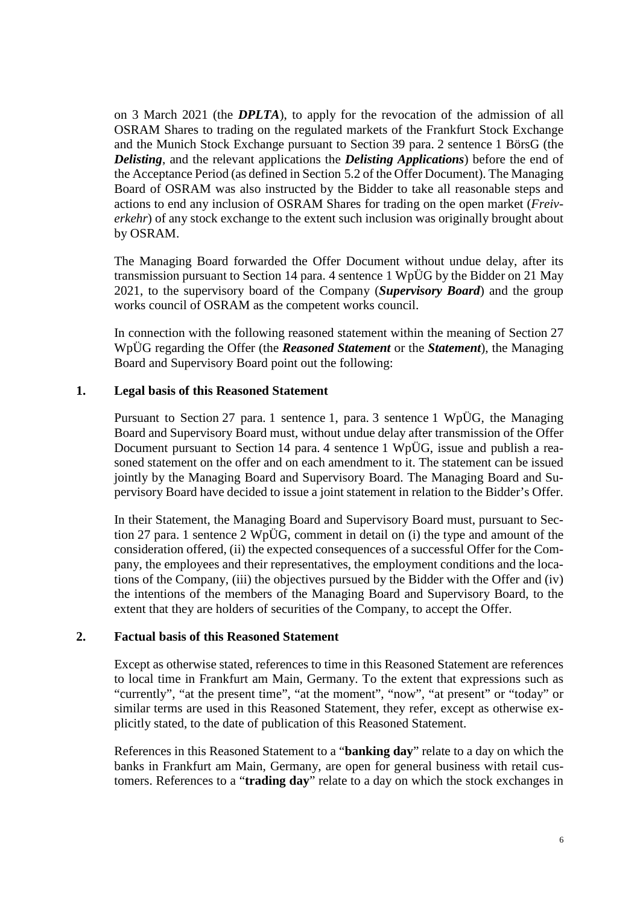on 3 March 2021 (the *DPLTA*), to apply for the revocation of the admission of all OSRAM Shares to trading on the regulated markets of the Frankfurt Stock Exchange and the Munich Stock Exchange pursuant to Section 39 para. 2 sentence 1 BörsG (the *Delisting*, and the relevant applications the *Delisting Applications*) before the end of the Acceptance Period (as defined in Section 5.2 of the Offer Document). The Managing Board of OSRAM was also instructed by the Bidder to take all reasonable steps and actions to end any inclusion of OSRAM Shares for trading on the open market (*Freiverkehr*) of any stock exchange to the extent such inclusion was originally brought about by OSRAM.

The Managing Board forwarded the Offer Document without undue delay, after its transmission pursuant to Section 14 para. 4 sentence 1 WpÜG by the Bidder on 21 May 2021, to the supervisory board of the Company (*Supervisory Board*) and the group works council of OSRAM as the competent works council.

In connection with the following reasoned statement within the meaning of Section 27 WpÜG regarding the Offer (the *Reasoned Statement* or the *Statement*), the Managing Board and Supervisory Board point out the following:

## <span id="page-5-0"></span>**1. Legal basis of this Reasoned Statement**

Pursuant to Section 27 para. 1 sentence 1, para. 3 sentence 1 WpÜG, the Managing Board and Supervisory Board must, without undue delay after transmission of the Offer Document pursuant to Section 14 para. 4 sentence 1 WpÜG, issue and publish a reasoned statement on the offer and on each amendment to it. The statement can be issued jointly by the Managing Board and Supervisory Board. The Managing Board and Supervisory Board have decided to issue a joint statement in relation to the Bidder's Offer.

In their Statement, the Managing Board and Supervisory Board must, pursuant to Section 27 para. 1 sentence 2 WpÜG, comment in detail on (i) the type and amount of the consideration offered, (ii) the expected consequences of a successful Offer for the Company, the employees and their representatives, the employment conditions and the locations of the Company, (iii) the objectives pursued by the Bidder with the Offer and (iv) the intentions of the members of the Managing Board and Supervisory Board, to the extent that they are holders of securities of the Company, to accept the Offer.

#### <span id="page-5-1"></span>**2. Factual basis of this Reasoned Statement**

Except as otherwise stated, references to time in this Reasoned Statement are references to local time in Frankfurt am Main, Germany. To the extent that expressions such as "currently", "at the present time", "at the moment", "now", "at present" or "today" or similar terms are used in this Reasoned Statement, they refer, except as otherwise explicitly stated, to the date of publication of this Reasoned Statement.

References in this Reasoned Statement to a "**banking day**" relate to a day on which the banks in Frankfurt am Main, Germany, are open for general business with retail customers. References to a "**trading day**" relate to a day on which the stock exchanges in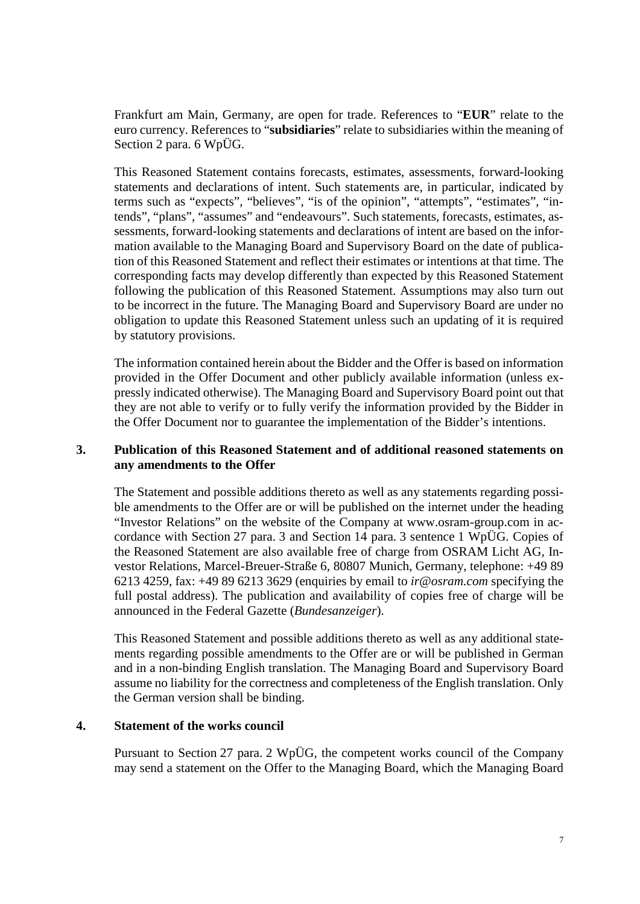Frankfurt am Main, Germany, are open for trade. References to "**EUR**" relate to the euro currency. References to "**subsidiaries**" relate to subsidiaries within the meaning of Section 2 para. 6 WpÜG.

This Reasoned Statement contains forecasts, estimates, assessments, forward-looking statements and declarations of intent. Such statements are, in particular, indicated by terms such as "expects", "believes", "is of the opinion", "attempts", "estimates", "intends", "plans", "assumes" and "endeavours". Such statements, forecasts, estimates, assessments, forward-looking statements and declarations of intent are based on the information available to the Managing Board and Supervisory Board on the date of publication of this Reasoned Statement and reflect their estimates or intentions at that time. The corresponding facts may develop differently than expected by this Reasoned Statement following the publication of this Reasoned Statement. Assumptions may also turn out to be incorrect in the future. The Managing Board and Supervisory Board are under no obligation to update this Reasoned Statement unless such an updating of it is required by statutory provisions.

The information contained herein about the Bidder and the Offer is based on information provided in the Offer Document and other publicly available information (unless expressly indicated otherwise). The Managing Board and Supervisory Board point out that they are not able to verify or to fully verify the information provided by the Bidder in the Offer Document nor to guarantee the implementation of the Bidder's intentions.

## <span id="page-6-0"></span>**3. Publication of this Reasoned Statement and of additional reasoned statements on any amendments to the Offer**

The Statement and possible additions thereto as well as any statements regarding possible amendments to the Offer are or will be published on the internet under the heading "Investor Relations" on the website of the Company at www.osram-group.com in accordance with Section 27 para. 3 and Section 14 para. 3 sentence 1 WpÜG. Copies of the Reasoned Statement are also available free of charge from OSRAM Licht AG, Investor Relations, Marcel-Breuer-Straße 6, 80807 Munich, Germany, telephone: +49 89 6213 4259, fax: +49 89 6213 3629 (enquiries by email to *ir@osram.com* specifying the full postal address). The publication and availability of copies free of charge will be announced in the Federal Gazette (*Bundesanzeiger*).

This Reasoned Statement and possible additions thereto as well as any additional statements regarding possible amendments to the Offer are or will be published in German and in a non-binding English translation. The Managing Board and Supervisory Board assume no liability for the correctness and completeness of the English translation. Only the German version shall be binding.

#### <span id="page-6-1"></span>**4. Statement of the works council**

Pursuant to Section 27 para. 2 WpÜG, the competent works council of the Company may send a statement on the Offer to the Managing Board, which the Managing Board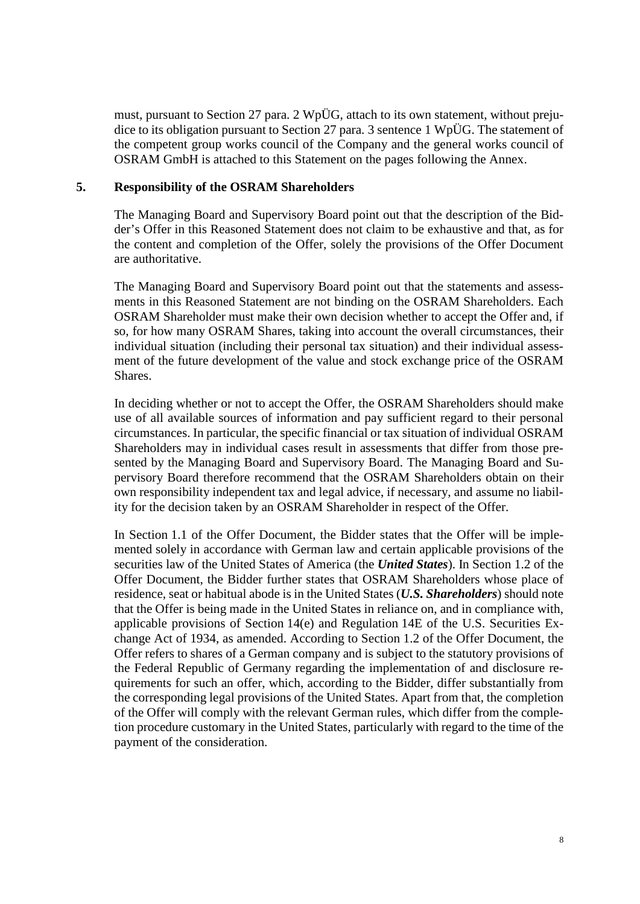must, pursuant to Section 27 para. 2 WpÜG, attach to its own statement, without prejudice to its obligation pursuant to Section 27 para. 3 sentence 1 WpÜG. The statement of the competent group works council of the Company and the general works council of OSRAM GmbH is attached to this Statement on the pages following the Annex.

#### <span id="page-7-0"></span>**5. Responsibility of the OSRAM Shareholders**

The Managing Board and Supervisory Board point out that the description of the Bidder's Offer in this Reasoned Statement does not claim to be exhaustive and that, as for the content and completion of the Offer, solely the provisions of the Offer Document are authoritative.

The Managing Board and Supervisory Board point out that the statements and assessments in this Reasoned Statement are not binding on the OSRAM Shareholders. Each OSRAM Shareholder must make their own decision whether to accept the Offer and, if so, for how many OSRAM Shares, taking into account the overall circumstances, their individual situation (including their personal tax situation) and their individual assessment of the future development of the value and stock exchange price of the OSRAM Shares.

In deciding whether or not to accept the Offer, the OSRAM Shareholders should make use of all available sources of information and pay sufficient regard to their personal circumstances. In particular, the specific financial or tax situation of individual OSRAM Shareholders may in individual cases result in assessments that differ from those presented by the Managing Board and Supervisory Board. The Managing Board and Supervisory Board therefore recommend that the OSRAM Shareholders obtain on their own responsibility independent tax and legal advice, if necessary, and assume no liability for the decision taken by an OSRAM Shareholder in respect of the Offer.

In Section 1.1 of the Offer Document, the Bidder states that the Offer will be implemented solely in accordance with German law and certain applicable provisions of the securities law of the United States of America (the *United States*). In Section 1.2 of the Offer Document, the Bidder further states that OSRAM Shareholders whose place of residence, seat or habitual abode is in the United States (*U.S. Shareholders*) should note that the Offer is being made in the United States in reliance on, and in compliance with, applicable provisions of Section 14(e) and Regulation 14E of the U.S. Securities Exchange Act of 1934, as amended. According to Section 1.2 of the Offer Document, the Offer refers to shares of a German company and is subject to the statutory provisions of the Federal Republic of Germany regarding the implementation of and disclosure requirements for such an offer, which, according to the Bidder, differ substantially from the corresponding legal provisions of the United States. Apart from that, the completion of the Offer will comply with the relevant German rules, which differ from the completion procedure customary in the United States, particularly with regard to the time of the payment of the consideration.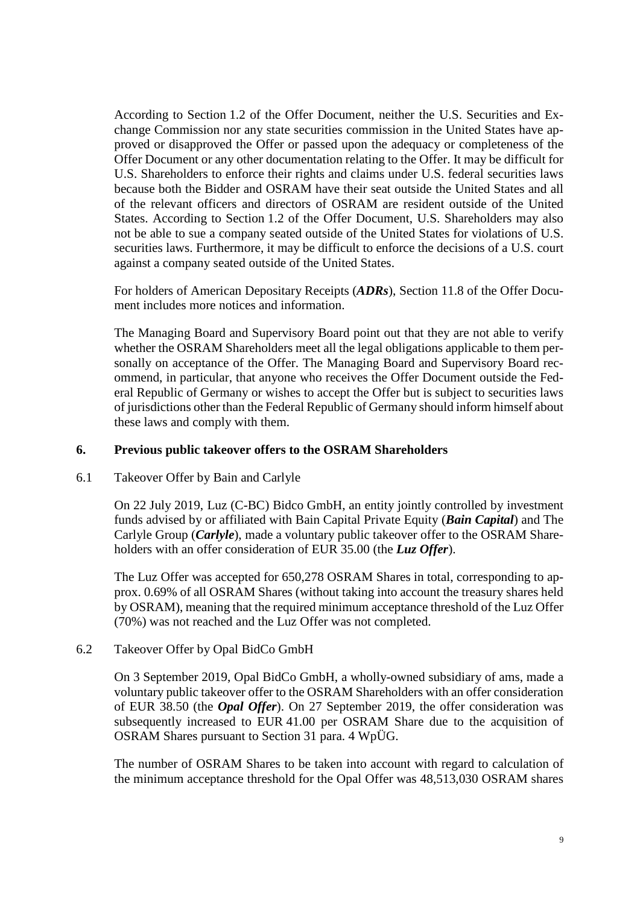According to Section 1.2 of the Offer Document, neither the U.S. Securities and Exchange Commission nor any state securities commission in the United States have approved or disapproved the Offer or passed upon the adequacy or completeness of the Offer Document or any other documentation relating to the Offer. It may be difficult for U.S. Shareholders to enforce their rights and claims under U.S. federal securities laws because both the Bidder and OSRAM have their seat outside the United States and all of the relevant officers and directors of OSRAM are resident outside of the United States. According to Section 1.2 of the Offer Document, U.S. Shareholders may also not be able to sue a company seated outside of the United States for violations of U.S. securities laws. Furthermore, it may be difficult to enforce the decisions of a U.S. court against a company seated outside of the United States.

For holders of American Depositary Receipts (*ADRs*), Section 11.8 of the Offer Document includes more notices and information.

The Managing Board and Supervisory Board point out that they are not able to verify whether the OSRAM Shareholders meet all the legal obligations applicable to them personally on acceptance of the Offer. The Managing Board and Supervisory Board recommend, in particular, that anyone who receives the Offer Document outside the Federal Republic of Germany or wishes to accept the Offer but is subject to securities laws of jurisdictions other than the Federal Republic of Germany should inform himself about these laws and comply with them.

## <span id="page-8-0"></span>**6. Previous public takeover offers to the OSRAM Shareholders**

#### <span id="page-8-1"></span>6.1 Takeover Offer by Bain and Carlyle

On 22 July 2019, Luz (C-BC) Bidco GmbH, an entity jointly controlled by investment funds advised by or affiliated with Bain Capital Private Equity (*Bain Capital*) and The Carlyle Group (*Carlyle*), made a voluntary public takeover offer to the OSRAM Shareholders with an offer consideration of EUR 35.00 (the *Luz Offer*).

The Luz Offer was accepted for 650,278 OSRAM Shares in total, corresponding to approx. 0.69% of all OSRAM Shares (without taking into account the treasury shares held by OSRAM), meaning that the required minimum acceptance threshold of the Luz Offer (70%) was not reached and the Luz Offer was not completed.

#### <span id="page-8-2"></span>6.2 Takeover Offer by Opal BidCo GmbH

On 3 September 2019, Opal BidCo GmbH, a wholly-owned subsidiary of ams, made a voluntary public takeover offer to the OSRAM Shareholders with an offer consideration of EUR 38.50 (the *Opal Offer*). On 27 September 2019, the offer consideration was subsequently increased to EUR 41.00 per OSRAM Share due to the acquisition of OSRAM Shares pursuant to Section 31 para. 4 WpÜG.

The number of OSRAM Shares to be taken into account with regard to calculation of the minimum acceptance threshold for the Opal Offer was 48,513,030 OSRAM shares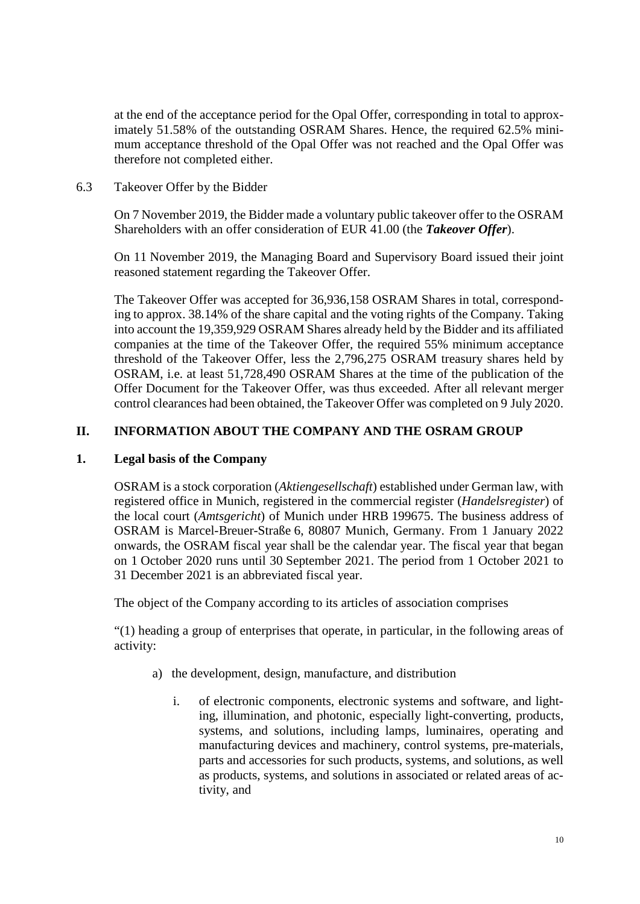at the end of the acceptance period for the Opal Offer, corresponding in total to approximately 51.58% of the outstanding OSRAM Shares. Hence, the required 62.5% minimum acceptance threshold of the Opal Offer was not reached and the Opal Offer was therefore not completed either.

<span id="page-9-0"></span>6.3 Takeover Offer by the Bidder

On 7 November 2019, the Bidder made a voluntary public takeover offer to the OSRAM Shareholders with an offer consideration of EUR 41.00 (the *Takeover Offer*).

On 11 November 2019, the Managing Board and Supervisory Board issued their joint reasoned statement regarding the Takeover Offer.

The Takeover Offer was accepted for 36,936,158 OSRAM Shares in total, corresponding to approx. 38.14% of the share capital and the voting rights of the Company. Taking into account the 19,359,929 OSRAM Shares already held by the Bidder and its affiliated companies at the time of the Takeover Offer, the required 55% minimum acceptance threshold of the Takeover Offer, less the 2,796,275 OSRAM treasury shares held by OSRAM, i.e. at least 51,728,490 OSRAM Shares at the time of the publication of the Offer Document for the Takeover Offer, was thus exceeded. After all relevant merger control clearances had been obtained, the Takeover Offer was completed on 9 July 2020.

## <span id="page-9-1"></span>**II. INFORMATION ABOUT THE COMPANY AND THE OSRAM GROUP**

#### <span id="page-9-2"></span>**1. Legal basis of the Company**

OSRAM is a stock corporation (*Aktiengesellschaft*) established under German law, with registered office in Munich, registered in the commercial register (*Handelsregister*) of the local court (*Amtsgericht*) of Munich under HRB 199675. The business address of OSRAM is Marcel-Breuer-Straße 6, 80807 Munich, Germany. From 1 January 2022 onwards, the OSRAM fiscal year shall be the calendar year. The fiscal year that began on 1 October 2020 runs until 30 September 2021. The period from 1 October 2021 to 31 December 2021 is an abbreviated fiscal year.

The object of the Company according to its articles of association comprises

"(1) heading a group of enterprises that operate, in particular, in the following areas of activity:

- a) the development, design, manufacture, and distribution
	- i. of electronic components, electronic systems and software, and lighting, illumination, and photonic, especially light-converting, products, systems, and solutions, including lamps, luminaires, operating and manufacturing devices and machinery, control systems, pre-materials, parts and accessories for such products, systems, and solutions, as well as products, systems, and solutions in associated or related areas of activity, and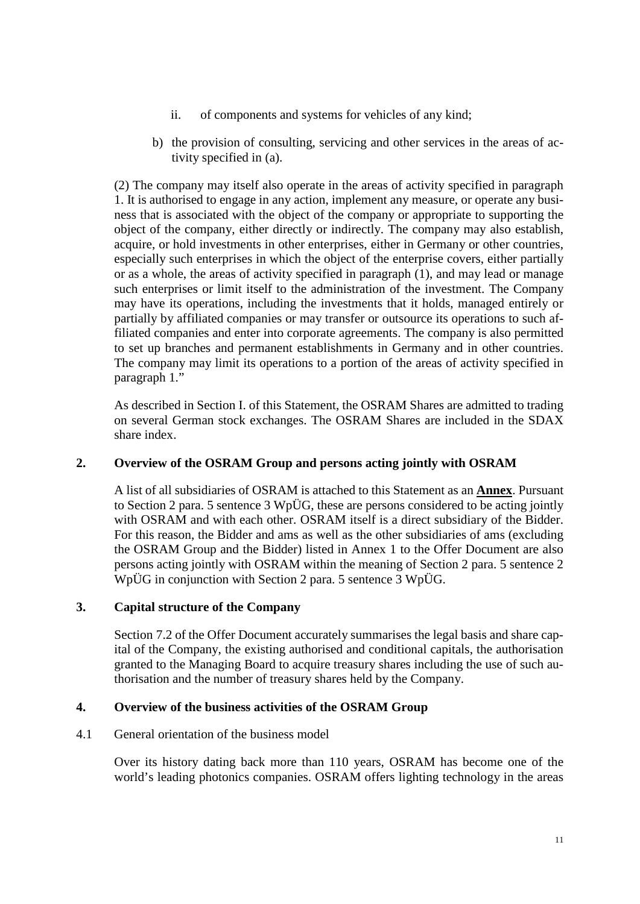- ii. of components and systems for vehicles of any kind;
- b) the provision of consulting, servicing and other services in the areas of activity specified in (a).

(2) The company may itself also operate in the areas of activity specified in paragraph 1. It is authorised to engage in any action, implement any measure, or operate any business that is associated with the object of the company or appropriate to supporting the object of the company, either directly or indirectly. The company may also establish, acquire, or hold investments in other enterprises, either in Germany or other countries, especially such enterprises in which the object of the enterprise covers, either partially or as a whole, the areas of activity specified in paragraph (1), and may lead or manage such enterprises or limit itself to the administration of the investment. The Company may have its operations, including the investments that it holds, managed entirely or partially by affiliated companies or may transfer or outsource its operations to such affiliated companies and enter into corporate agreements. The company is also permitted to set up branches and permanent establishments in Germany and in other countries. The company may limit its operations to a portion of the areas of activity specified in paragraph 1."

As described in Section [I.](#page-4-0) of this Statement, the OSRAM Shares are admitted to trading on several German stock exchanges. The OSRAM Shares are included in the SDAX share index.

## <span id="page-10-0"></span>**2. Overview of the OSRAM Group and persons acting jointly with OSRAM**

A list of all subsidiaries of OSRAM is attached to this Statement as an **Annex**. Pursuant to Section 2 para. 5 sentence 3 WpÜG, these are persons considered to be acting jointly with OSRAM and with each other. OSRAM itself is a direct subsidiary of the Bidder. For this reason, the Bidder and ams as well as the other subsidiaries of ams (excluding the OSRAM Group and the Bidder) listed in Annex 1 to the Offer Document are also persons acting jointly with OSRAM within the meaning of Section 2 para. 5 sentence 2 WpÜG in conjunction with Section 2 para. 5 sentence 3 WpÜG.

## <span id="page-10-1"></span>**3. Capital structure of the Company**

Section 7.2 of the Offer Document accurately summarises the legal basis and share capital of the Company, the existing authorised and conditional capitals, the authorisation granted to the Managing Board to acquire treasury shares including the use of such authorisation and the number of treasury shares held by the Company.

#### <span id="page-10-2"></span>**4. Overview of the business activities of the OSRAM Group**

#### <span id="page-10-3"></span>4.1 General orientation of the business model

Over its history dating back more than 110 years, OSRAM has become one of the world's leading photonics companies. OSRAM offers lighting technology in the areas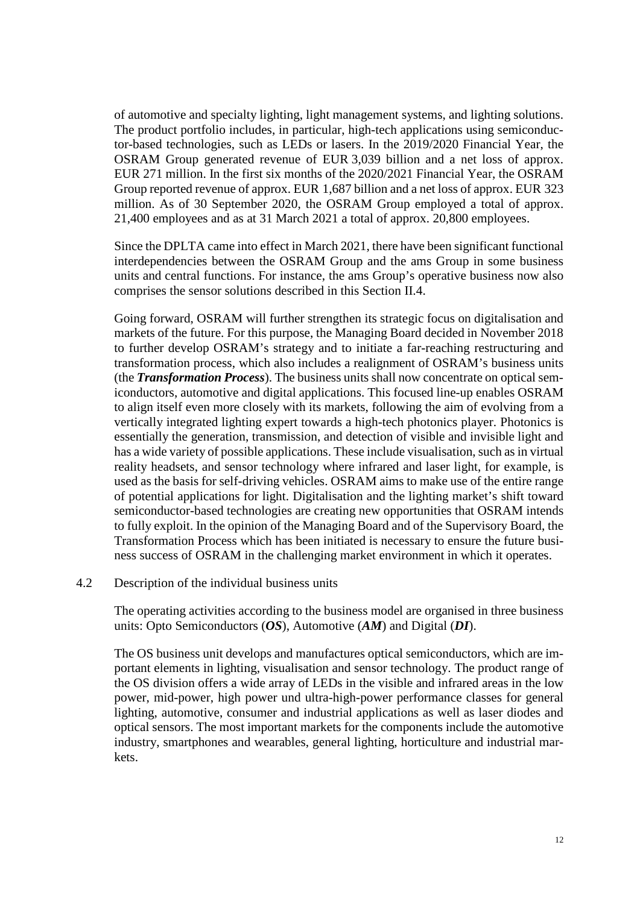of automotive and specialty lighting, light management systems, and lighting solutions. The product portfolio includes, in particular, high-tech applications using semiconductor-based technologies, such as LEDs or lasers. In the 2019/2020 Financial Year, the OSRAM Group generated revenue of EUR 3,039 billion and a net loss of approx. EUR 271 million. In the first six months of the 2020/2021 Financial Year, the OSRAM Group reported revenue of approx. EUR 1,687 billion and a net loss of approx. EUR 323 million. As of 30 September 2020, the OSRAM Group employed a total of approx. 21,400 employees and as at 31 March 2021 a total of approx. 20,800 employees.

Since the DPLTA came into effect in March 2021, there have been significant functional interdependencies between the OSRAM Group and the ams Group in some business units and central functions. For instance, the ams Group's operative business now also comprises the sensor solutions described in this Section II.4.

Going forward, OSRAM will further strengthen its strategic focus on digitalisation and markets of the future. For this purpose, the Managing Board decided in November 2018 to further develop OSRAM's strategy and to initiate a far-reaching restructuring and transformation process, which also includes a realignment of OSRAM's business units (the *Transformation Process*). The business units shall now concentrate on optical semiconductors, automotive and digital applications. This focused line-up enables OSRAM to align itself even more closely with its markets, following the aim of evolving from a vertically integrated lighting expert towards a high-tech photonics player. Photonics is essentially the generation, transmission, and detection of visible and invisible light and has a wide variety of possible applications. These include visualisation, such as in virtual reality headsets, and sensor technology where infrared and laser light, for example, is used as the basis for self-driving vehicles. OSRAM aims to make use of the entire range of potential applications for light. Digitalisation and the lighting market's shift toward semiconductor-based technologies are creating new opportunities that OSRAM intends to fully exploit. In the opinion of the Managing Board and of the Supervisory Board, the Transformation Process which has been initiated is necessary to ensure the future business success of OSRAM in the challenging market environment in which it operates.

#### <span id="page-11-0"></span>4.2 Description of the individual business units

The operating activities according to the business model are organised in three business units: Opto Semiconductors (*OS*), Automotive (*AM*) and Digital (*DI*).

The OS business unit develops and manufactures optical semiconductors, which are important elements in lighting, visualisation and sensor technology. The product range of the OS division offers a wide array of LEDs in the visible and infrared areas in the low power, mid-power, high power und ultra-high-power performance classes for general lighting, automotive, consumer and industrial applications as well as laser diodes and optical sensors. The most important markets for the components include the automotive industry, smartphones and wearables, general lighting, horticulture and industrial markets.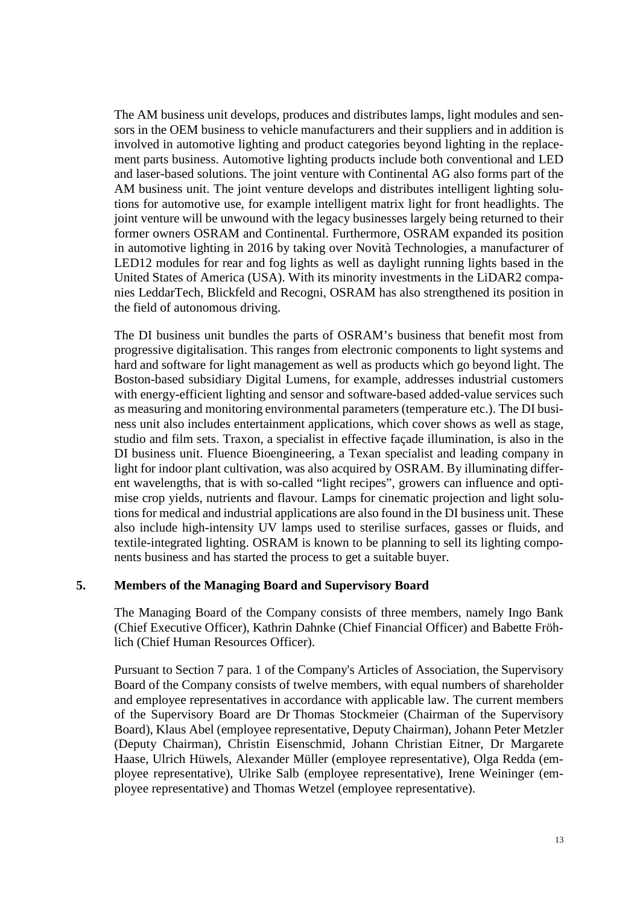The AM business unit develops, produces and distributes lamps, light modules and sensors in the OEM business to vehicle manufacturers and their suppliers and in addition is involved in automotive lighting and product categories beyond lighting in the replacement parts business. Automotive lighting products include both conventional and LED and laser-based solutions. The joint venture with Continental AG also forms part of the AM business unit. The joint venture develops and distributes intelligent lighting solutions for automotive use, for example intelligent matrix light for front headlights. The joint venture will be unwound with the legacy businesses largely being returned to their former owners OSRAM and Continental. Furthermore, OSRAM expanded its position in automotive lighting in 2016 by taking over Novità Technologies, a manufacturer of LED12 modules for rear and fog lights as well as daylight running lights based in the United States of America (USA). With its minority investments in the LiDAR2 companies LeddarTech, Blickfeld and Recogni, OSRAM has also strengthened its position in the field of autonomous driving.

The DI business unit bundles the parts of OSRAM's business that benefit most from progressive digitalisation. This ranges from electronic components to light systems and hard and software for light management as well as products which go beyond light. The Boston-based subsidiary Digital Lumens, for example, addresses industrial customers with energy-efficient lighting and sensor and software-based added-value services such as measuring and monitoring environmental parameters (temperature etc.). The DI business unit also includes entertainment applications, which cover shows as well as stage, studio and film sets. Traxon, a specialist in effective façade illumination, is also in the DI business unit. Fluence Bioengineering, a Texan specialist and leading company in light for indoor plant cultivation, was also acquired by OSRAM. By illuminating different wavelengths, that is with so-called "light recipes", growers can influence and optimise crop yields, nutrients and flavour. Lamps for cinematic projection and light solutions for medical and industrial applications are also found in the DI business unit. These also include high-intensity UV lamps used to sterilise surfaces, gasses or fluids, and textile-integrated lighting. OSRAM is known to be planning to sell its lighting components business and has started the process to get a suitable buyer.

#### <span id="page-12-0"></span>**5. Members of the Managing Board and Supervisory Board**

The Managing Board of the Company consists of three members, namely Ingo Bank (Chief Executive Officer), Kathrin Dahnke (Chief Financial Officer) and Babette Fröhlich (Chief Human Resources Officer).

Pursuant to Section 7 para. 1 of the Company's Articles of Association, the Supervisory Board of the Company consists of twelve members, with equal numbers of shareholder and employee representatives in accordance with applicable law. The current members of the Supervisory Board are Dr Thomas Stockmeier (Chairman of the Supervisory Board), Klaus Abel (employee representative, Deputy Chairman), Johann Peter Metzler (Deputy Chairman), Christin Eisenschmid, Johann Christian Eitner, Dr Margarete Haase, Ulrich Hüwels, Alexander Müller (employee representative), Olga Redda (employee representative), Ulrike Salb (employee representative), Irene Weininger (employee representative) and Thomas Wetzel (employee representative).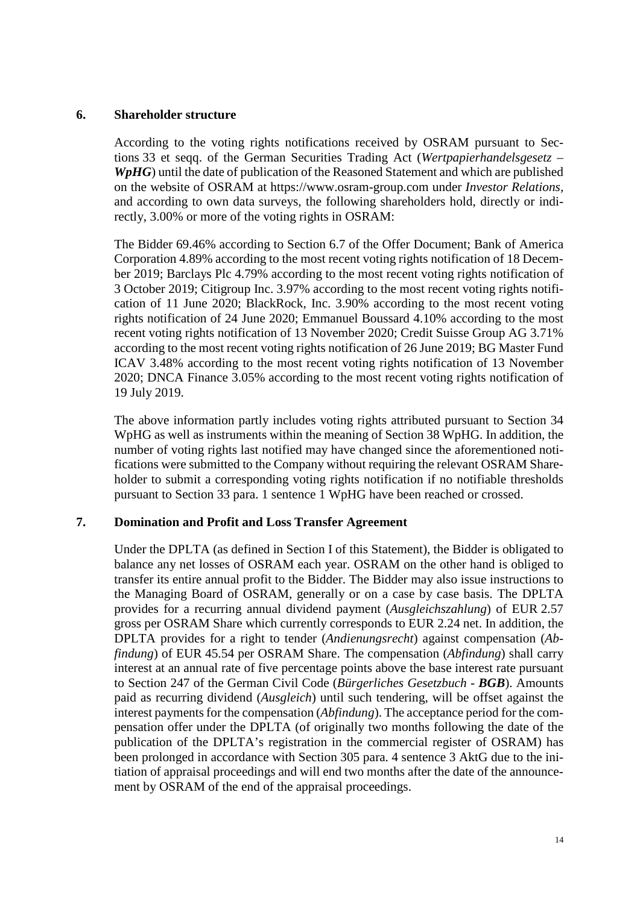#### <span id="page-13-0"></span>**6. Shareholder structure**

According to the voting rights notifications received by OSRAM pursuant to Sections 33 et seqq. of the German Securities Trading Act (*Wertpapierhandelsgesetz – WpHG*) until the date of publication of the Reasoned Statement and which are published on the website of OSRAM at https://www.osram-group.com under *Investor Relations,* and according to own data surveys, the following shareholders hold, directly or indirectly, 3.00% or more of the voting rights in OSRAM:

The Bidder 69.46% according to Section 6.7 of the Offer Document; Bank of America Corporation 4.89% according to the most recent voting rights notification of 18 December 2019; Barclays Plc 4.79% according to the most recent voting rights notification of 3 October 2019; Citigroup Inc. 3.97% according to the most recent voting rights notification of 11 June 2020; BlackRock, Inc. 3.90% according to the most recent voting rights notification of 24 June 2020; Emmanuel Boussard 4.10% according to the most recent voting rights notification of 13 November 2020; Credit Suisse Group AG 3.71% according to the most recent voting rights notification of 26 June 2019; BG Master Fund ICAV 3.48% according to the most recent voting rights notification of 13 November 2020; DNCA Finance 3.05% according to the most recent voting rights notification of 19 July 2019.

The above information partly includes voting rights attributed pursuant to Section 34 WpHG as well as instruments within the meaning of Section 38 WpHG. In addition, the number of voting rights last notified may have changed since the aforementioned notifications were submitted to the Company without requiring the relevant OSRAM Shareholder to submit a corresponding voting rights notification if no notifiable thresholds pursuant to Section 33 para. 1 sentence 1 WpHG have been reached or crossed.

#### <span id="page-13-1"></span>**7. Domination and Profit and Loss Transfer Agreement**

Under the DPLTA (as defined in Section [I](#page-4-0) of this Statement), the Bidder is obligated to balance any net losses of OSRAM each year. OSRAM on the other hand is obliged to transfer its entire annual profit to the Bidder. The Bidder may also issue instructions to the Managing Board of OSRAM, generally or on a case by case basis. The DPLTA provides for a recurring annual dividend payment (*Ausgleichszahlung*) of EUR 2.57 gross per OSRAM Share which currently corresponds to EUR 2.24 net. In addition, the DPLTA provides for a right to tender (*Andienungsrecht*) against compensation (*Abfindung*) of EUR 45.54 per OSRAM Share. The compensation (*Abfindung*) shall carry interest at an annual rate of five percentage points above the base interest rate pursuant to Section 247 of the German Civil Code (*Bürgerliches Gesetzbuch - BGB*). Amounts paid as recurring dividend (*Ausgleich*) until such tendering, will be offset against the interest payments for the compensation (*Abfindung*). The acceptance period for the compensation offer under the DPLTA (of originally two months following the date of the publication of the DPLTA's registration in the commercial register of OSRAM) has been prolonged in accordance with Section 305 para. 4 sentence 3 AktG due to the initiation of appraisal proceedings and will end two months after the date of the announcement by OSRAM of the end of the appraisal proceedings.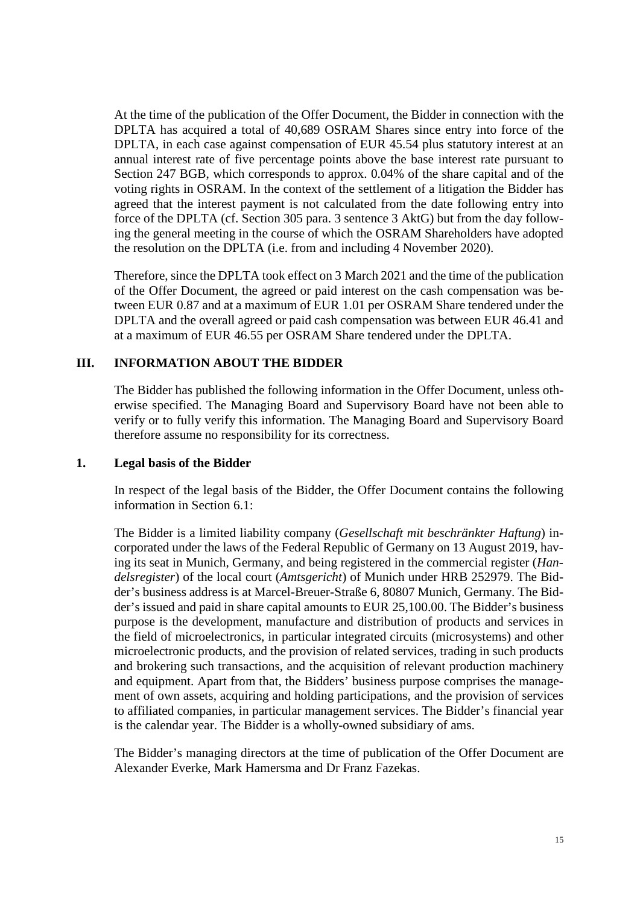At the time of the publication of the Offer Document, the Bidder in connection with the DPLTA has acquired a total of 40,689 OSRAM Shares since entry into force of the DPLTA, in each case against compensation of EUR 45.54 plus statutory interest at an annual interest rate of five percentage points above the base interest rate pursuant to Section 247 BGB, which corresponds to approx. 0.04% of the share capital and of the voting rights in OSRAM. In the context of the settlement of a litigation the Bidder has agreed that the interest payment is not calculated from the date following entry into force of the DPLTA (cf. Section 305 para. 3 sentence 3 AktG) but from the day following the general meeting in the course of which the OSRAM Shareholders have adopted the resolution on the DPLTA (i.e. from and including 4 November 2020).

Therefore, since the DPLTA took effect on 3 March 2021 and the time of the publication of the Offer Document, the agreed or paid interest on the cash compensation was between EUR 0.87 and at a maximum of EUR 1.01 per OSRAM Share tendered under the DPLTA and the overall agreed or paid cash compensation was between EUR 46.41 and at a maximum of EUR 46.55 per OSRAM Share tendered under the DPLTA.

## <span id="page-14-0"></span>**III. INFORMATION ABOUT THE BIDDER**

The Bidder has published the following information in the Offer Document, unless otherwise specified. The Managing Board and Supervisory Board have not been able to verify or to fully verify this information. The Managing Board and Supervisory Board therefore assume no responsibility for its correctness.

#### <span id="page-14-1"></span>**1. Legal basis of the Bidder**

In respect of the legal basis of the Bidder, the Offer Document contains the following information in Section 6.1:

The Bidder is a limited liability company (*Gesellschaft mit beschränkter Haftung*) incorporated under the laws of the Federal Republic of Germany on 13 August 2019, having its seat in Munich, Germany, and being registered in the commercial register (*Handelsregister*) of the local court (*Amtsgericht*) of Munich under HRB 252979. The Bidder's business address is at Marcel-Breuer-Straße 6, 80807 Munich, Germany. The Bidder's issued and paid in share capital amounts to EUR 25,100.00. The Bidder's business purpose is the development, manufacture and distribution of products and services in the field of microelectronics, in particular integrated circuits (microsystems) and other microelectronic products, and the provision of related services, trading in such products and brokering such transactions, and the acquisition of relevant production machinery and equipment. Apart from that, the Bidders' business purpose comprises the management of own assets, acquiring and holding participations, and the provision of services to affiliated companies, in particular management services. The Bidder's financial year is the calendar year. The Bidder is a wholly-owned subsidiary of ams.

The Bidder's managing directors at the time of publication of the Offer Document are Alexander Everke, Mark Hamersma and Dr Franz Fazekas.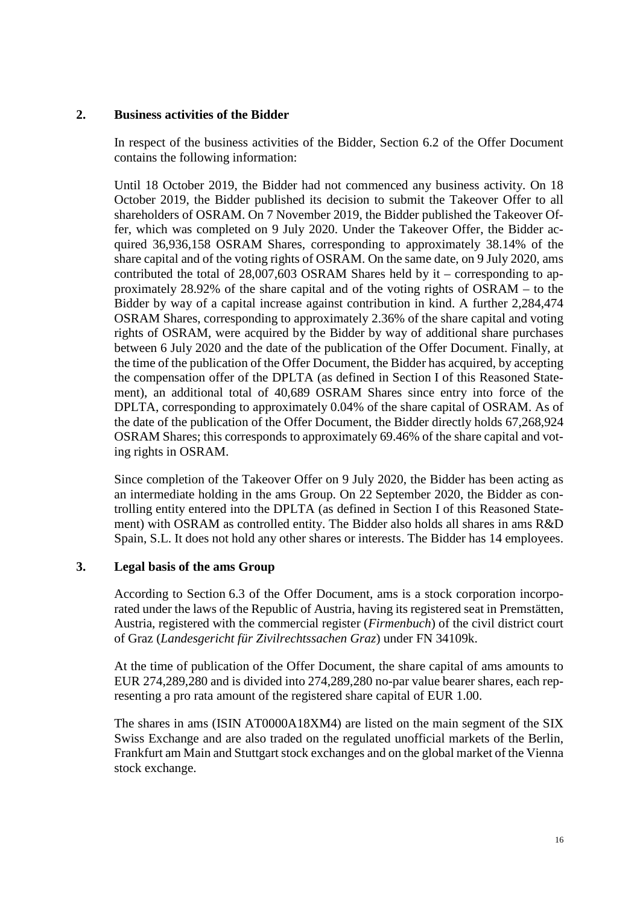## <span id="page-15-0"></span>**2. Business activities of the Bidder**

In respect of the business activities of the Bidder, Section 6.2 of the Offer Document contains the following information:

Until 18 October 2019, the Bidder had not commenced any business activity. On 18 October 2019, the Bidder published its decision to submit the Takeover Offer to all shareholders of OSRAM. On 7 November 2019, the Bidder published the Takeover Offer, which was completed on 9 July 2020. Under the Takeover Offer, the Bidder acquired 36,936,158 OSRAM Shares, corresponding to approximately 38.14% of the share capital and of the voting rights of OSRAM. On the same date, on 9 July 2020, ams contributed the total of 28,007,603 OSRAM Shares held by it – corresponding to approximately 28.92% of the share capital and of the voting rights of OSRAM – to the Bidder by way of a capital increase against contribution in kind. A further 2,284,474 OSRAM Shares, corresponding to approximately 2.36% of the share capital and voting rights of OSRAM, were acquired by the Bidder by way of additional share purchases between 6 July 2020 and the date of the publication of the Offer Document. Finally, at the time of the publication of the Offer Document, the Bidder has acquired, by accepting the compensation offer of the DPLTA (as defined in Section [I](#page-4-0) of this Reasoned Statement), an additional total of 40,689 OSRAM Shares since entry into force of the DPLTA, corresponding to approximately 0.04% of the share capital of OSRAM. As of the date of the publication of the Offer Document, the Bidder directly holds 67,268,924 OSRAM Shares; this corresponds to approximately 69.46% of the share capital and voting rights in OSRAM.

Since completion of the Takeover Offer on 9 July 2020, the Bidder has been acting as an intermediate holding in the ams Group. On 22 September 2020, the Bidder as controlling entity entered into the DPLTA (as defined in Section [I](#page-4-0) of this Reasoned Statement) with OSRAM as controlled entity. The Bidder also holds all shares in ams R&D Spain, S.L. It does not hold any other shares or interests. The Bidder has 14 employees.

## <span id="page-15-1"></span>**3. Legal basis of the ams Group**

According to Section 6.3 of the Offer Document, ams is a stock corporation incorporated under the laws of the Republic of Austria, having its registered seat in Premstätten, Austria, registered with the commercial register (*Firmenbuch*) of the civil district court of Graz (*Landesgericht für Zivilrechtssachen Graz*) under FN 34109k.

At the time of publication of the Offer Document, the share capital of ams amounts to EUR 274,289,280 and is divided into 274,289,280 no-par value bearer shares, each representing a pro rata amount of the registered share capital of EUR 1.00.

The shares in ams (ISIN AT0000A18XM4) are listed on the main segment of the SIX Swiss Exchange and are also traded on the regulated unofficial markets of the Berlin, Frankfurt am Main and Stuttgart stock exchanges and on the global market of the Vienna stock exchange.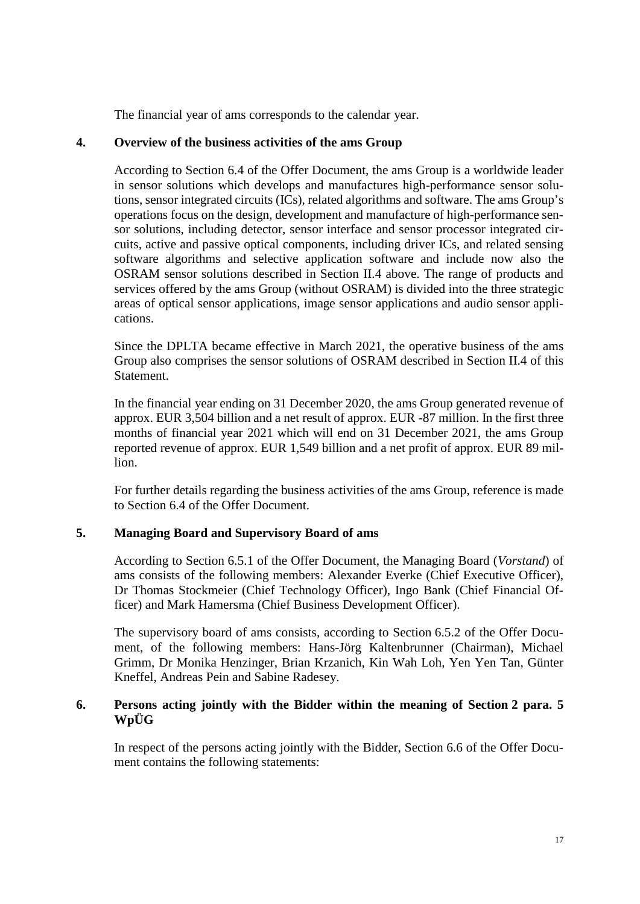The financial year of ams corresponds to the calendar year.

#### <span id="page-16-0"></span>**4. Overview of the business activities of the ams Group**

According to Section 6.4 of the Offer Document, the ams Group is a worldwide leader in sensor solutions which develops and manufactures high-performance sensor solutions, sensor integrated circuits (ICs), related algorithms and software. The ams Group's operations focus on the design, development and manufacture of high-performance sensor solutions, including detector, sensor interface and sensor processor integrated circuits, active and passive optical components, including driver ICs, and related sensing software algorithms and selective application software and include now also the OSRAM sensor solutions described in Section II.4 above. The range of products and services offered by the ams Group (without OSRAM) is divided into the three strategic areas of optical sensor applications, image sensor applications and audio sensor applications.

Since the DPLTA became effective in March 2021, the operative business of the ams Group also comprises the sensor solutions of OSRAM described in Section [II.4](#page-10-2) of this Statement.

In the financial year ending on 31 December 2020, the ams Group generated revenue of approx. EUR 3,504 billion and a net result of approx. EUR -87 million. In the first three months of financial year 2021 which will end on 31 December 2021, the ams Group reported revenue of approx. EUR 1,549 billion and a net profit of approx. EUR 89 million.

For further details regarding the business activities of the ams Group, reference is made to Section 6.4 of the Offer Document.

#### <span id="page-16-1"></span>**5. Managing Board and Supervisory Board of ams**

According to Section 6.5.1 of the Offer Document, the Managing Board (*Vorstand*) of ams consists of the following members: Alexander Everke (Chief Executive Officer), Dr Thomas Stockmeier (Chief Technology Officer), Ingo Bank (Chief Financial Officer) and Mark Hamersma (Chief Business Development Officer).

The supervisory board of ams consists, according to Section 6.5.2 of the Offer Document, of the following members: Hans-Jörg Kaltenbrunner (Chairman), Michael Grimm, Dr Monika Henzinger, Brian Krzanich, Kin Wah Loh, Yen Yen Tan, Günter Kneffel, Andreas Pein and Sabine Radesey.

## <span id="page-16-2"></span>**6. Persons acting jointly with the Bidder within the meaning of Section 2 para. 5 WpÜG**

In respect of the persons acting jointly with the Bidder, Section 6.6 of the Offer Document contains the following statements: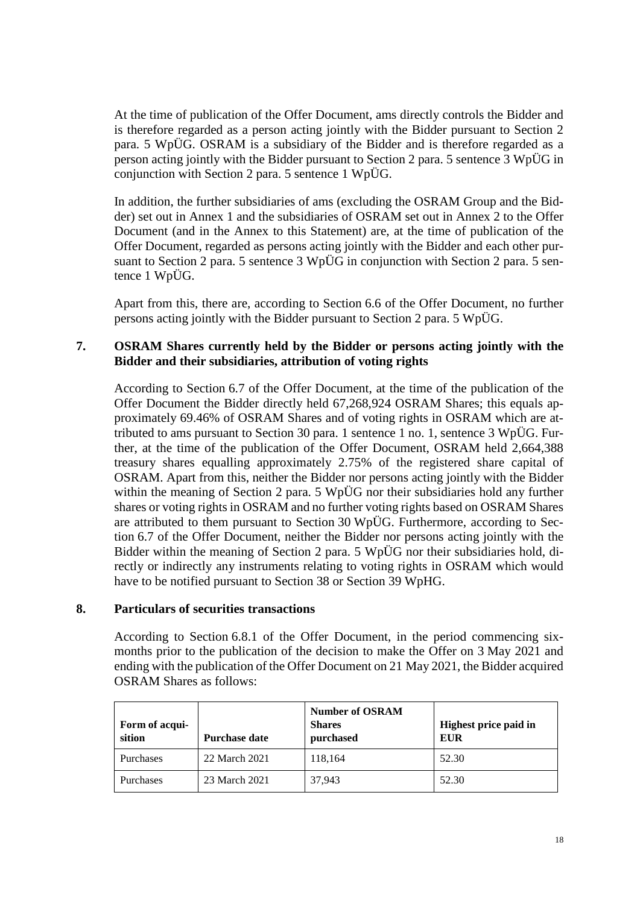At the time of publication of the Offer Document, ams directly controls the Bidder and is therefore regarded as a person acting jointly with the Bidder pursuant to Section 2 para. 5 WpÜG. OSRAM is a subsidiary of the Bidder and is therefore regarded as a person acting jointly with the Bidder pursuant to Section 2 para. 5 sentence 3 WpÜG in conjunction with Section 2 para. 5 sentence 1 WpÜG.

In addition, the further subsidiaries of ams (excluding the OSRAM Group and the Bidder) set out in Annex 1 and the subsidiaries of OSRAM set out in Annex 2 to the Offer Document (and in the Annex to this Statement) are, at the time of publication of the Offer Document, regarded as persons acting jointly with the Bidder and each other pursuant to Section 2 para. 5 sentence 3 WpÜG in conjunction with Section 2 para. 5 sentence 1 WpÜG.

Apart from this, there are, according to Section 6.6 of the Offer Document, no further persons acting jointly with the Bidder pursuant to Section 2 para. 5 WpÜG.

## <span id="page-17-0"></span>**7. OSRAM Shares currently held by the Bidder or persons acting jointly with the Bidder and their subsidiaries, attribution of voting rights**

According to Section 6.7 of the Offer Document, at the time of the publication of the Offer Document the Bidder directly held 67,268,924 OSRAM Shares; this equals approximately 69.46% of OSRAM Shares and of voting rights in OSRAM which are attributed to ams pursuant to Section 30 para. 1 sentence 1 no. 1, sentence 3 WpÜG. Further, at the time of the publication of the Offer Document, OSRAM held 2,664,388 treasury shares equalling approximately 2.75% of the registered share capital of OSRAM. Apart from this, neither the Bidder nor persons acting jointly with the Bidder within the meaning of Section 2 para. 5 WpÜG nor their subsidiaries hold any further shares or voting rights in OSRAM and no further voting rights based on OSRAM Shares are attributed to them pursuant to Section 30 WpÜG. Furthermore, according to Section 6.7 of the Offer Document, neither the Bidder nor persons acting jointly with the Bidder within the meaning of Section 2 para. 5 WpÜG nor their subsidiaries hold, directly or indirectly any instruments relating to voting rights in OSRAM which would have to be notified pursuant to Section 38 or Section 39 WpHG.

#### <span id="page-17-1"></span>**8. Particulars of securities transactions**

According to Section 6.8.1 of the Offer Document, in the period commencing sixmonths prior to the publication of the decision to make the Offer on 3 May 2021 and ending with the publication of the Offer Document on 21 May 2021, the Bidder acquired OSRAM Shares as follows:

| Form of acqui-<br>sition | <b>Purchase date</b> | <b>Number of OSRAM</b><br><b>Shares</b><br>purchased | Highest price paid in<br>EUR |
|--------------------------|----------------------|------------------------------------------------------|------------------------------|
| <b>Purchases</b>         | 22 March 2021        | 118,164                                              | 52.30                        |
| <b>Purchases</b>         | 23 March 2021        | 37,943                                               | 52.30                        |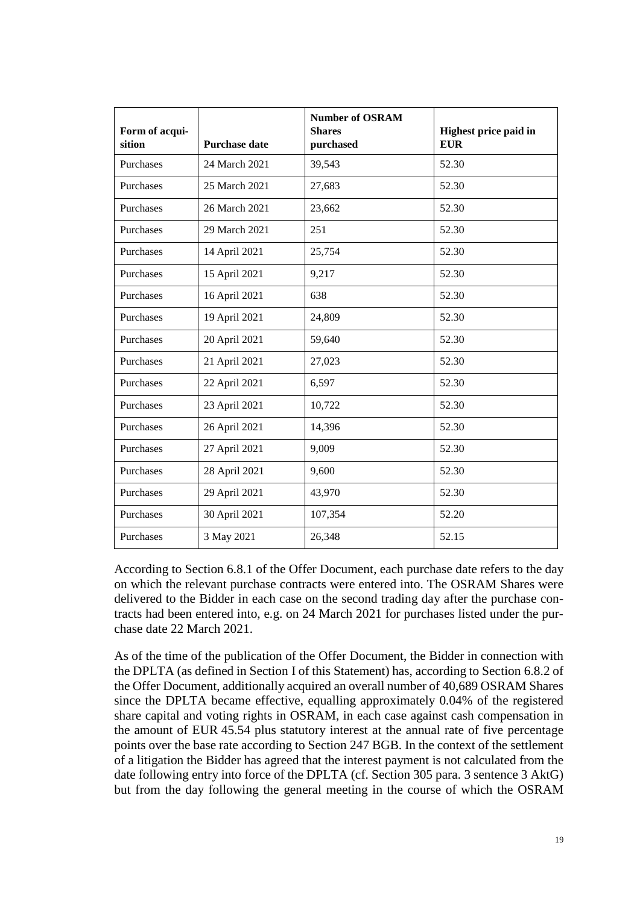| Form of acqui-<br>sition | <b>Purchase date</b> | <b>Number of OSRAM</b><br><b>Shares</b><br>purchased | Highest price paid in<br><b>EUR</b> |
|--------------------------|----------------------|------------------------------------------------------|-------------------------------------|
| Purchases                | 24 March 2021        | 39,543                                               | 52.30                               |
| Purchases                | 25 March 2021        | 27,683                                               | 52.30                               |
| Purchases                | 26 March 2021        | 23,662                                               | 52.30                               |
| Purchases                | 29 March 2021        | 251                                                  | 52.30                               |
| Purchases                | 14 April 2021        | 25,754                                               | 52.30                               |
| Purchases                | 15 April 2021        | 9,217                                                | 52.30                               |
| Purchases                | 16 April 2021        | 638                                                  | 52.30                               |
| Purchases                | 19 April 2021        | 24,809                                               | 52.30                               |
| Purchases                | 20 April 2021        | 59,640                                               | 52.30                               |
| Purchases                | 21 April 2021        | 27,023                                               | 52.30                               |
| Purchases                | 22 April 2021        | 6,597                                                | 52.30                               |
| Purchases                | 23 April 2021        | 10,722                                               | 52.30                               |
| Purchases                | 26 April 2021        | 14,396                                               | 52.30                               |
| Purchases                | 27 April 2021        | 9,009                                                | 52.30                               |
| Purchases                | 28 April 2021        | 9,600                                                | 52.30                               |
| Purchases                | 29 April 2021        | 43,970                                               | 52.30                               |
| Purchases                | 30 April 2021        | 107,354                                              | 52.20                               |
| Purchases                | 3 May 2021           | 26,348                                               | 52.15                               |

According to Section 6.8.1 of the Offer Document, each purchase date refers to the day on which the relevant purchase contracts were entered into. The OSRAM Shares were delivered to the Bidder in each case on the second trading day after the purchase contracts had been entered into, e.g. on 24 March 2021 for purchases listed under the purchase date 22 March 2021.

As of the time of the publication of the Offer Document, the Bidder in connection with the DPLTA (as defined in Section [I](#page-4-0) of this Statement) has, according to Section 6.8.2 of the Offer Document, additionally acquired an overall number of 40,689 OSRAM Shares since the DPLTA became effective, equalling approximately 0.04% of the registered share capital and voting rights in OSRAM, in each case against cash compensation in the amount of EUR 45.54 plus statutory interest at the annual rate of five percentage points over the base rate according to Section 247 BGB. In the context of the settlement of a litigation the Bidder has agreed that the interest payment is not calculated from the date following entry into force of the DPLTA (cf. Section 305 para. 3 sentence 3 AktG) but from the day following the general meeting in the course of which the OSRAM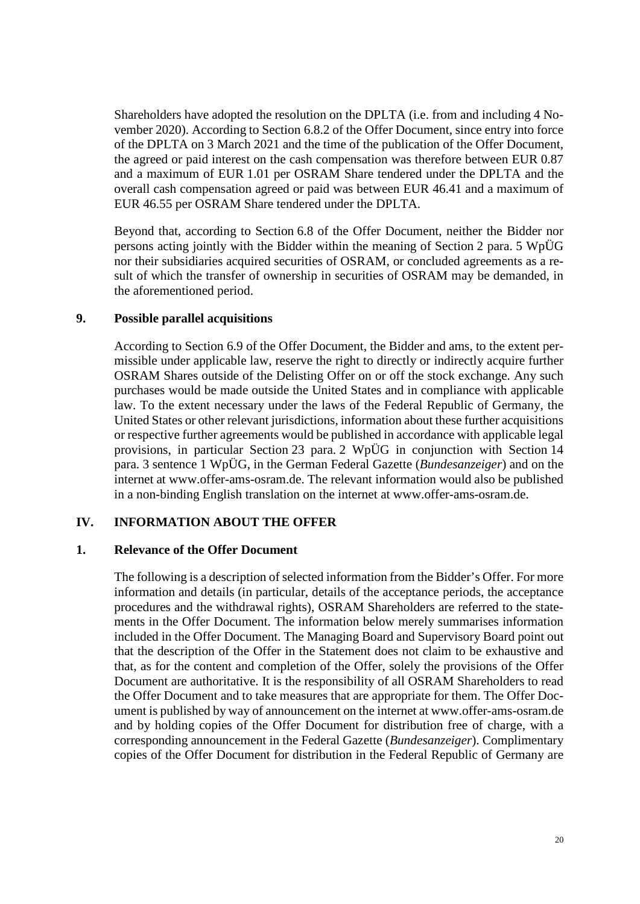Shareholders have adopted the resolution on the DPLTA (i.e. from and including 4 November 2020). According to Section 6.8.2 of the Offer Document, since entry into force of the DPLTA on 3 March 2021 and the time of the publication of the Offer Document, the agreed or paid interest on the cash compensation was therefore between EUR 0.87 and a maximum of EUR 1.01 per OSRAM Share tendered under the DPLTA and the overall cash compensation agreed or paid was between EUR 46.41 and a maximum of EUR 46.55 per OSRAM Share tendered under the DPLTA.

Beyond that, according to Section 6.8 of the Offer Document, neither the Bidder nor persons acting jointly with the Bidder within the meaning of Section 2 para. 5 WpÜG nor their subsidiaries acquired securities of OSRAM, or concluded agreements as a result of which the transfer of ownership in securities of OSRAM may be demanded, in the aforementioned period.

#### <span id="page-19-0"></span>**9. Possible parallel acquisitions**

According to Section 6.9 of the Offer Document, the Bidder and ams, to the extent permissible under applicable law, reserve the right to directly or indirectly acquire further OSRAM Shares outside of the Delisting Offer on or off the stock exchange. Any such purchases would be made outside the United States and in compliance with applicable law. To the extent necessary under the laws of the Federal Republic of Germany, the United States or other relevant jurisdictions, information about these further acquisitions or respective further agreements would be published in accordance with applicable legal provisions, in particular Section 23 para. 2 WpÜG in conjunction with Section 14 para. 3 sentence 1 WpÜG, in the German Federal Gazette (*Bundesanzeiger*) and on the internet at www.offer-ams-osram.de. The relevant information would also be published in a non-binding English translation on the internet at www.offer-ams-osram.de.

#### <span id="page-19-1"></span>**IV. INFORMATION ABOUT THE OFFER**

#### <span id="page-19-2"></span>**1. Relevance of the Offer Document**

The following is a description of selected information from the Bidder's Offer. For more information and details (in particular, details of the acceptance periods, the acceptance procedures and the withdrawal rights), OSRAM Shareholders are referred to the statements in the Offer Document. The information below merely summarises information included in the Offer Document. The Managing Board and Supervisory Board point out that the description of the Offer in the Statement does not claim to be exhaustive and that, as for the content and completion of the Offer, solely the provisions of the Offer Document are authoritative. It is the responsibility of all OSRAM Shareholders to read the Offer Document and to take measures that are appropriate for them. The Offer Document is published by way of announcement on the internet at www.offer-ams-osram.de and by holding copies of the Offer Document for distribution free of charge, with a corresponding announcement in the Federal Gazette (*Bundesanzeiger*). Complimentary copies of the Offer Document for distribution in the Federal Republic of Germany are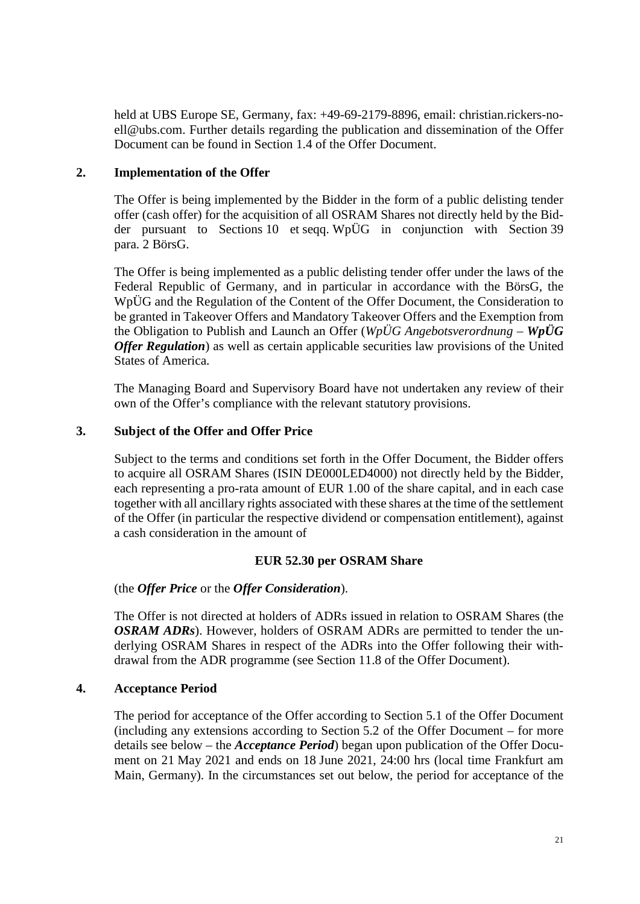held at UBS Europe SE, Germany, fax: +49-69-2179-8896, email: christian.rickers-noell@ubs.com. Further details regarding the publication and dissemination of the Offer Document can be found in Section 1.4 of the Offer Document.

## <span id="page-20-0"></span>**2. Implementation of the Offer**

The Offer is being implemented by the Bidder in the form of a public delisting tender offer (cash offer) for the acquisition of all OSRAM Shares not directly held by the Bidder pursuant to Sections 10 et seqq. WpÜG in conjunction with Section 39 para. 2 BörsG.

The Offer is being implemented as a public delisting tender offer under the laws of the Federal Republic of Germany, and in particular in accordance with the BörsG, the WpÜG and the Regulation of the Content of the Offer Document, the Consideration to be granted in Takeover Offers and Mandatory Takeover Offers and the Exemption from the Obligation to Publish and Launch an Offer (*WpÜG Angebotsverordnung – WpÜG Offer Regulation*) as well as certain applicable securities law provisions of the United States of America.

The Managing Board and Supervisory Board have not undertaken any review of their own of the Offer's compliance with the relevant statutory provisions.

## <span id="page-20-1"></span>**3. Subject of the Offer and Offer Price**

Subject to the terms and conditions set forth in the Offer Document, the Bidder offers to acquire all OSRAM Shares (ISIN DE000LED4000) not directly held by the Bidder, each representing a pro-rata amount of EUR 1.00 of the share capital, and in each case together with all ancillary rights associated with these shares at the time of the settlement of the Offer (in particular the respective dividend or compensation entitlement), against a cash consideration in the amount of

#### **EUR 52.30 per OSRAM Share**

## (the *Offer Price* or the *Offer Consideration*).

The Offer is not directed at holders of ADRs issued in relation to OSRAM Shares (the *OSRAM ADRs*). However, holders of OSRAM ADRs are permitted to tender the underlying OSRAM Shares in respect of the ADRs into the Offer following their withdrawal from the ADR programme (see Section 11.8 of the Offer Document).

#### <span id="page-20-2"></span>**4. Acceptance Period**

The period for acceptance of the Offer according to Section 5.1 of the Offer Document (including any extensions according to Section 5.2 of the Offer Document – for more details see below – the *Acceptance Period*) began upon publication of the Offer Document on 21 May 2021 and ends on 18 June 2021, 24:00 hrs (local time Frankfurt am Main, Germany). In the circumstances set out below, the period for acceptance of the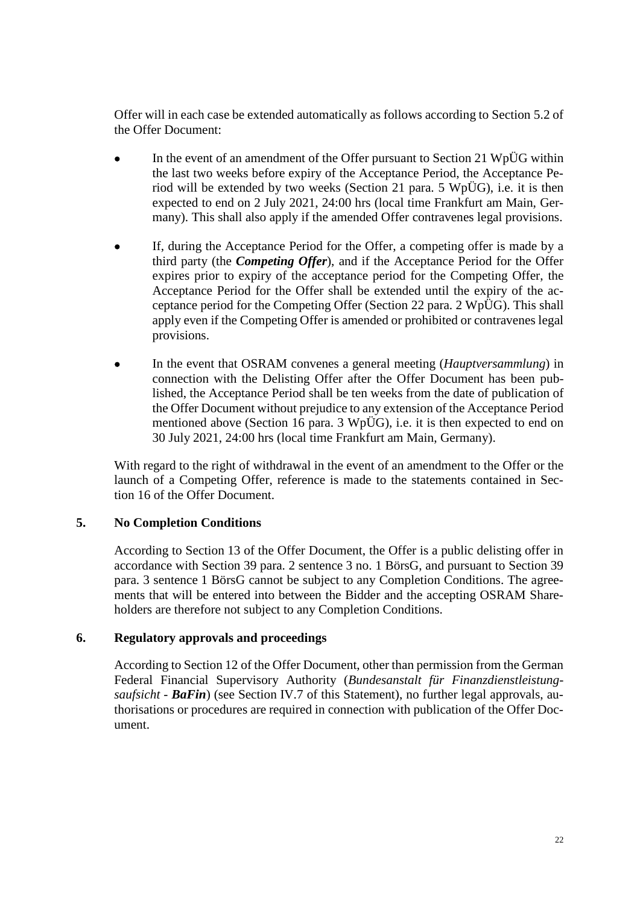Offer will in each case be extended automatically as follows according to Section 5.2 of the Offer Document:

- In the event of an amendment of the Offer pursuant to Section 21 WpÜG within the last two weeks before expiry of the Acceptance Period, the Acceptance Period will be extended by two weeks (Section 21 para. 5 WpÜG), i.e. it is then expected to end on 2 July 2021, 24:00 hrs (local time Frankfurt am Main, Germany). This shall also apply if the amended Offer contravenes legal provisions.
- If, during the Acceptance Period for the Offer, a competing offer is made by a third party (the *Competing Offer*), and if the Acceptance Period for the Offer expires prior to expiry of the acceptance period for the Competing Offer, the Acceptance Period for the Offer shall be extended until the expiry of the acceptance period for the Competing Offer (Section 22 para. 2 WpÜG). This shall apply even if the Competing Offer is amended or prohibited or contravenes legal provisions.
- In the event that OSRAM convenes a general meeting (*Hauptversammlung*) in connection with the Delisting Offer after the Offer Document has been published, the Acceptance Period shall be ten weeks from the date of publication of the Offer Document without prejudice to any extension of the Acceptance Period mentioned above (Section 16 para. 3 WpÜG), i.e. it is then expected to end on 30 July 2021, 24:00 hrs (local time Frankfurt am Main, Germany).

With regard to the right of withdrawal in the event of an amendment to the Offer or the launch of a Competing Offer, reference is made to the statements contained in Section 16 of the Offer Document.

## <span id="page-21-0"></span>**5. No Completion Conditions**

According to Section 13 of the Offer Document, the Offer is a public delisting offer in accordance with Section 39 para. 2 sentence 3 no. 1 BörsG, and pursuant to Section 39 para. 3 sentence 1 BörsG cannot be subject to any Completion Conditions. The agreements that will be entered into between the Bidder and the accepting OSRAM Shareholders are therefore not subject to any Completion Conditions.

#### <span id="page-21-1"></span>**6. Regulatory approvals and proceedings**

According to Section 12 of the Offer Document, other than permission from the German Federal Financial Supervisory Authority (*Bundesanstalt für Finanzdienstleistungsaufsicht* - **BaFin**) (see Section [IV.7](#page-22-0) of this Statement), no further legal approvals, authorisations or procedures are required in connection with publication of the Offer Document.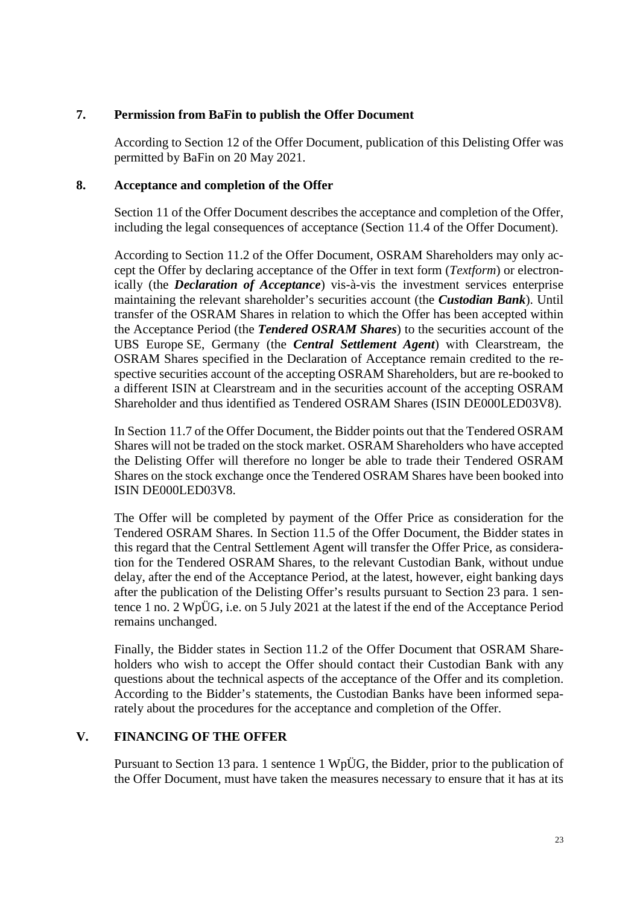## <span id="page-22-0"></span>**7. Permission from BaFin to publish the Offer Document**

According to Section 12 of the Offer Document, publication of this Delisting Offer was permitted by BaFin on 20 May 2021.

## <span id="page-22-1"></span>**8. Acceptance and completion of the Offer**

Section 11 of the Offer Document describes the acceptance and completion of the Offer, including the legal consequences of acceptance (Section 11.4 of the Offer Document).

According to Section 11.2 of the Offer Document, OSRAM Shareholders may only accept the Offer by declaring acceptance of the Offer in text form (*Textform*) or electronically (the *Declaration of Acceptance*) vis-à-vis the investment services enterprise maintaining the relevant shareholder's securities account (the *Custodian Bank*). Until transfer of the OSRAM Shares in relation to which the Offer has been accepted within the Acceptance Period (the *Tendered OSRAM Shares*) to the securities account of the UBS Europe SE, Germany (the *Central Settlement Agent*) with Clearstream, the OSRAM Shares specified in the Declaration of Acceptance remain credited to the respective securities account of the accepting OSRAM Shareholders, but are re-booked to a different ISIN at Clearstream and in the securities account of the accepting OSRAM Shareholder and thus identified as Tendered OSRAM Shares (ISIN DE000LED03V8).

In Section 11.7 of the Offer Document, the Bidder points out that the Tendered OSRAM Shares will not be traded on the stock market. OSRAM Shareholders who have accepted the Delisting Offer will therefore no longer be able to trade their Tendered OSRAM Shares on the stock exchange once the Tendered OSRAM Shares have been booked into ISIN DE000LED03V8.

The Offer will be completed by payment of the Offer Price as consideration for the Tendered OSRAM Shares. In Section 11.5 of the Offer Document, the Bidder states in this regard that the Central Settlement Agent will transfer the Offer Price, as consideration for the Tendered OSRAM Shares, to the relevant Custodian Bank, without undue delay, after the end of the Acceptance Period, at the latest, however, eight banking days after the publication of the Delisting Offer's results pursuant to Section 23 para. 1 sentence 1 no. 2 WpÜG, i.e. on 5 July 2021 at the latest if the end of the Acceptance Period remains unchanged.

Finally, the Bidder states in Section 11.2 of the Offer Document that OSRAM Shareholders who wish to accept the Offer should contact their Custodian Bank with any questions about the technical aspects of the acceptance of the Offer and its completion. According to the Bidder's statements, the Custodian Banks have been informed separately about the procedures for the acceptance and completion of the Offer.

#### <span id="page-22-2"></span>**V. FINANCING OF THE OFFER**

Pursuant to Section 13 para. 1 sentence 1 WpÜG, the Bidder, prior to the publication of the Offer Document, must have taken the measures necessary to ensure that it has at its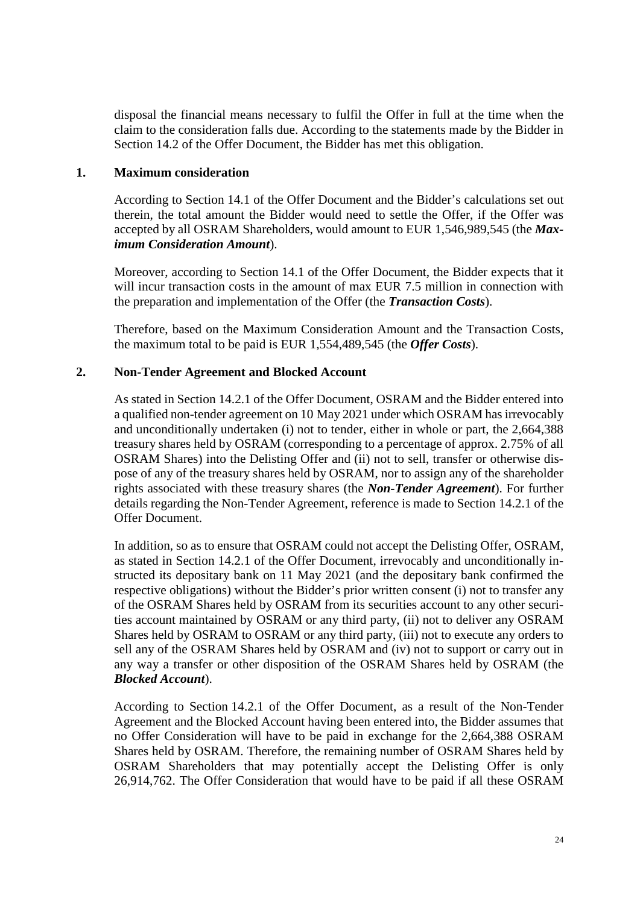disposal the financial means necessary to fulfil the Offer in full at the time when the claim to the consideration falls due. According to the statements made by the Bidder in Section 14.2 of the Offer Document, the Bidder has met this obligation.

#### <span id="page-23-0"></span>**1. Maximum consideration**

According to Section 14.1 of the Offer Document and the Bidder's calculations set out therein, the total amount the Bidder would need to settle the Offer, if the Offer was accepted by all OSRAM Shareholders, would amount to EUR 1,546,989,545 (the *Maximum Consideration Amount*).

Moreover, according to Section 14.1 of the Offer Document, the Bidder expects that it will incur transaction costs in the amount of max EUR 7.5 million in connection with the preparation and implementation of the Offer (the *Transaction Costs*).

Therefore, based on the Maximum Consideration Amount and the Transaction Costs, the maximum total to be paid is EUR 1,554,489,545 (the *Offer Costs*).

## <span id="page-23-1"></span>**2. Non-Tender Agreement and Blocked Account**

As stated in Section 14.2.1 of the Offer Document, OSRAM and the Bidder entered into a qualified non-tender agreement on 10 May 2021 under which OSRAM has irrevocably and unconditionally undertaken (i) not to tender, either in whole or part, the 2,664,388 treasury shares held by OSRAM (corresponding to a percentage of approx. 2.75% of all OSRAM Shares) into the Delisting Offer and (ii) not to sell, transfer or otherwise dispose of any of the treasury shares held by OSRAM, nor to assign any of the shareholder rights associated with these treasury shares (the *Non-Tender Agreement*). For further details regarding the Non-Tender Agreement, reference is made to Section 14.2.1 of the Offer Document.

In addition, so as to ensure that OSRAM could not accept the Delisting Offer, OSRAM, as stated in Section 14.2.1 of the Offer Document, irrevocably and unconditionally instructed its depositary bank on 11 May 2021 (and the depositary bank confirmed the respective obligations) without the Bidder's prior written consent (i) not to transfer any of the OSRAM Shares held by OSRAM from its securities account to any other securities account maintained by OSRAM or any third party, (ii) not to deliver any OSRAM Shares held by OSRAM to OSRAM or any third party, (iii) not to execute any orders to sell any of the OSRAM Shares held by OSRAM and (iv) not to support or carry out in any way a transfer or other disposition of the OSRAM Shares held by OSRAM (the *Blocked Account*).

According to Section 14.2.1 of the Offer Document, as a result of the Non-Tender Agreement and the Blocked Account having been entered into, the Bidder assumes that no Offer Consideration will have to be paid in exchange for the 2,664,388 OSRAM Shares held by OSRAM. Therefore, the remaining number of OSRAM Shares held by OSRAM Shareholders that may potentially accept the Delisting Offer is only 26,914,762. The Offer Consideration that would have to be paid if all these OSRAM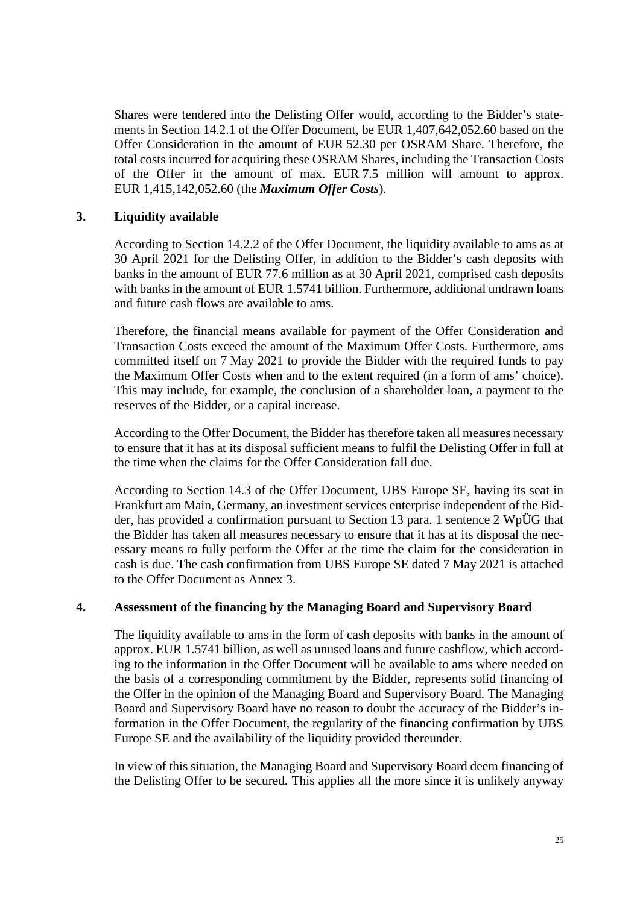Shares were tendered into the Delisting Offer would, according to the Bidder's statements in Section 14.2.1 of the Offer Document, be EUR 1,407,642,052.60 based on the Offer Consideration in the amount of EUR 52.30 per OSRAM Share. Therefore, the total costs incurred for acquiring these OSRAM Shares, including the Transaction Costs of the Offer in the amount of max. EUR 7.5 million will amount to approx. EUR 1,415,142,052.60 (the *Maximum Offer Costs*).

## <span id="page-24-0"></span>**3. Liquidity available**

According to Section 14.2.2 of the Offer Document, the liquidity available to ams as at 30 April 2021 for the Delisting Offer, in addition to the Bidder's cash deposits with banks in the amount of EUR 77.6 million as at 30 April 2021, comprised cash deposits with banks in the amount of EUR 1.5741 billion. Furthermore, additional undrawn loans and future cash flows are available to ams.

Therefore, the financial means available for payment of the Offer Consideration and Transaction Costs exceed the amount of the Maximum Offer Costs. Furthermore, ams committed itself on 7 May 2021 to provide the Bidder with the required funds to pay the Maximum Offer Costs when and to the extent required (in a form of ams' choice). This may include, for example, the conclusion of a shareholder loan, a payment to the reserves of the Bidder, or a capital increase.

According to the Offer Document, the Bidder has therefore taken all measures necessary to ensure that it has at its disposal sufficient means to fulfil the Delisting Offer in full at the time when the claims for the Offer Consideration fall due.

According to Section 14.3 of the Offer Document, UBS Europe SE, having its seat in Frankfurt am Main, Germany, an investment services enterprise independent of the Bidder, has provided a confirmation pursuant to Section 13 para. 1 sentence 2 WpÜG that the Bidder has taken all measures necessary to ensure that it has at its disposal the necessary means to fully perform the Offer at the time the claim for the consideration in cash is due. The cash confirmation from UBS Europe SE dated 7 May 2021 is attached to the Offer Document as Annex 3.

## <span id="page-24-1"></span>**4. Assessment of the financing by the Managing Board and Supervisory Board**

The liquidity available to ams in the form of cash deposits with banks in the amount of approx. EUR 1.5741 billion, as well as unused loans and future cashflow, which according to the information in the Offer Document will be available to ams where needed on the basis of a corresponding commitment by the Bidder, represents solid financing of the Offer in the opinion of the Managing Board and Supervisory Board. The Managing Board and Supervisory Board have no reason to doubt the accuracy of the Bidder's information in the Offer Document, the regularity of the financing confirmation by UBS Europe SE and the availability of the liquidity provided thereunder.

In view of this situation, the Managing Board and Supervisory Board deem financing of the Delisting Offer to be secured. This applies all the more since it is unlikely anyway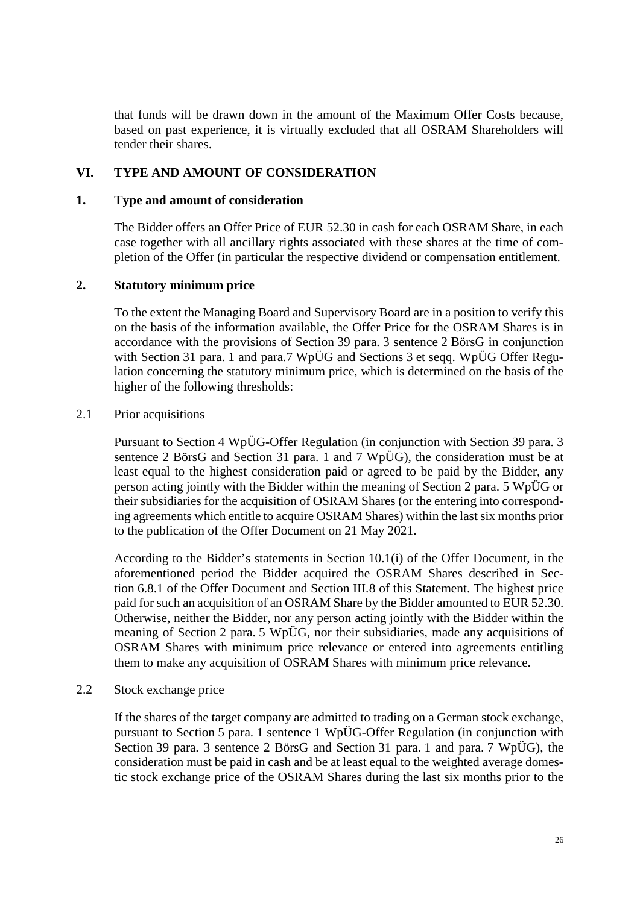that funds will be drawn down in the amount of the Maximum Offer Costs because, based on past experience, it is virtually excluded that all OSRAM Shareholders will tender their shares.

## <span id="page-25-0"></span>**VI. TYPE AND AMOUNT OF CONSIDERATION**

## <span id="page-25-1"></span>**1. Type and amount of consideration**

The Bidder offers an Offer Price of EUR 52.30 in cash for each OSRAM Share, in each case together with all ancillary rights associated with these shares at the time of completion of the Offer (in particular the respective dividend or compensation entitlement.

## <span id="page-25-2"></span>**2. Statutory minimum price**

To the extent the Managing Board and Supervisory Board are in a position to verify this on the basis of the information available, the Offer Price for the OSRAM Shares is in accordance with the provisions of Section 39 para. 3 sentence 2 BörsG in conjunction with Section 31 para. 1 and para.7 WpÜG and Sections 3 et seqq. WpÜG Offer Regulation concerning the statutory minimum price, which is determined on the basis of the higher of the following thresholds:

## <span id="page-25-3"></span>2.1 Prior acquisitions

Pursuant to Section 4 WpÜG-Offer Regulation (in conjunction with Section 39 para. 3 sentence 2 BörsG and Section 31 para. 1 and 7 WpÜG), the consideration must be at least equal to the highest consideration paid or agreed to be paid by the Bidder, any person acting jointly with the Bidder within the meaning of Section 2 para. 5 WpÜG or their subsidiaries for the acquisition of OSRAM Shares (or the entering into corresponding agreements which entitle to acquire OSRAM Shares) within the last six months prior to the publication of the Offer Document on 21 May 2021.

According to the Bidder's statements in Section 10.1(i) of the Offer Document, in the aforementioned period the Bidder acquired the OSRAM Shares described in Section 6.8.1 of the Offer Document and Section III.8 of this Statement. The highest price paid for such an acquisition of an OSRAM Share by the Bidder amounted to EUR 52.30. Otherwise, neither the Bidder, nor any person acting jointly with the Bidder within the meaning of Section 2 para. 5 WpÜG, nor their subsidiaries, made any acquisitions of OSRAM Shares with minimum price relevance or entered into agreements entitling them to make any acquisition of OSRAM Shares with minimum price relevance.

#### <span id="page-25-4"></span>2.2 Stock exchange price

If the shares of the target company are admitted to trading on a German stock exchange, pursuant to Section 5 para. 1 sentence 1 WpÜG-Offer Regulation (in conjunction with Section 39 para. 3 sentence 2 BörsG and Section 31 para. 1 and para. 7 WpÜG), the consideration must be paid in cash and be at least equal to the weighted average domestic stock exchange price of the OSRAM Shares during the last six months prior to the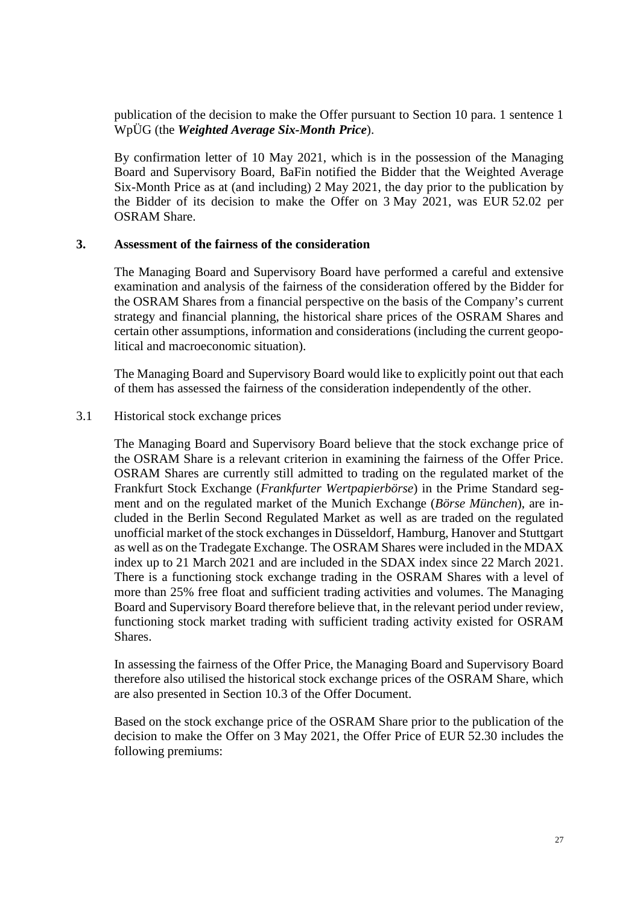publication of the decision to make the Offer pursuant to Section 10 para. 1 sentence 1 WpÜG (the *Weighted Average Six-Month Price*).

By confirmation letter of 10 May 2021, which is in the possession of the Managing Board and Supervisory Board, BaFin notified the Bidder that the Weighted Average Six-Month Price as at (and including) 2 May 2021, the day prior to the publication by the Bidder of its decision to make the Offer on 3 May 2021, was EUR 52.02 per OSRAM Share.

#### <span id="page-26-0"></span>**3. Assessment of the fairness of the consideration**

The Managing Board and Supervisory Board have performed a careful and extensive examination and analysis of the fairness of the consideration offered by the Bidder for the OSRAM Shares from a financial perspective on the basis of the Company's current strategy and financial planning, the historical share prices of the OSRAM Shares and certain other assumptions, information and considerations (including the current geopolitical and macroeconomic situation).

The Managing Board and Supervisory Board would like to explicitly point out that each of them has assessed the fairness of the consideration independently of the other.

#### <span id="page-26-1"></span>3.1 Historical stock exchange prices

The Managing Board and Supervisory Board believe that the stock exchange price of the OSRAM Share is a relevant criterion in examining the fairness of the Offer Price. OSRAM Shares are currently still admitted to trading on the regulated market of the Frankfurt Stock Exchange (*Frankfurter Wertpapierbörse*) in the Prime Standard segment and on the regulated market of the Munich Exchange (*Börse München*), are included in the Berlin Second Regulated Market as well as are traded on the regulated unofficial market of the stock exchanges in Düsseldorf, Hamburg, Hanover and Stuttgart as well as on the Tradegate Exchange. The OSRAM Shares were included in the MDAX index up to 21 March 2021 and are included in the SDAX index since 22 March 2021. There is a functioning stock exchange trading in the OSRAM Shares with a level of more than 25% free float and sufficient trading activities and volumes. The Managing Board and Supervisory Board therefore believe that, in the relevant period under review, functioning stock market trading with sufficient trading activity existed for OSRAM Shares.

In assessing the fairness of the Offer Price, the Managing Board and Supervisory Board therefore also utilised the historical stock exchange prices of the OSRAM Share, which are also presented in Section 10.3 of the Offer Document.

Based on the stock exchange price of the OSRAM Share prior to the publication of the decision to make the Offer on 3 May 2021, the Offer Price of EUR 52.30 includes the following premiums: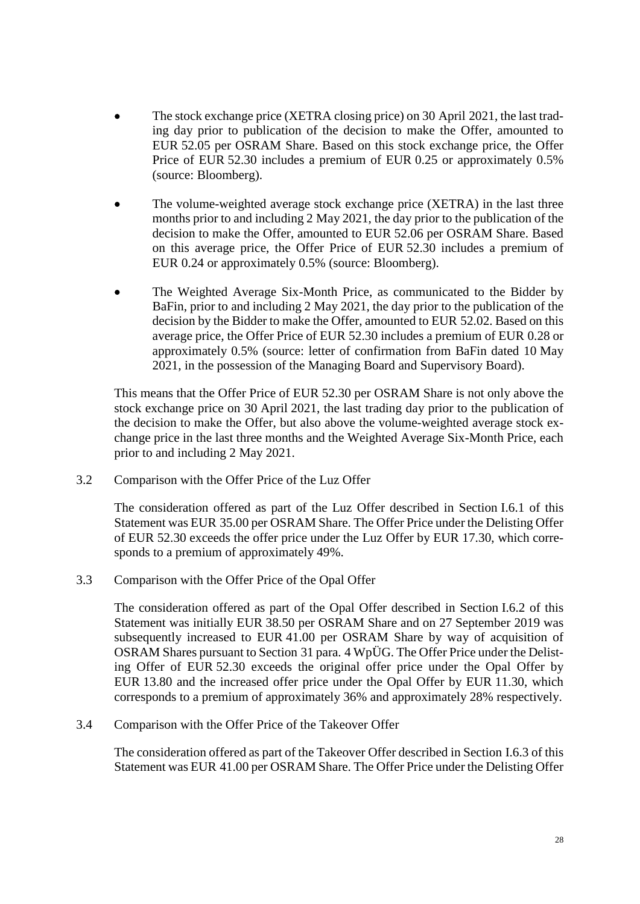- The stock exchange price (XETRA closing price) on 30 April 2021, the last trading day prior to publication of the decision to make the Offer, amounted to EUR 52.05 per OSRAM Share. Based on this stock exchange price, the Offer Price of EUR 52.30 includes a premium of EUR 0.25 or approximately 0.5% (source: Bloomberg).
- The volume-weighted average stock exchange price (XETRA) in the last three months prior to and including 2 May 2021, the day prior to the publication of the decision to make the Offer, amounted to EUR 52.06 per OSRAM Share. Based on this average price, the Offer Price of EUR 52.30 includes a premium of EUR 0.24 or approximately 0.5% (source: Bloomberg).
- The Weighted Average Six-Month Price, as communicated to the Bidder by BaFin, prior to and including 2 May 2021, the day prior to the publication of the decision by the Bidder to make the Offer, amounted to EUR 52.02. Based on this average price, the Offer Price of EUR 52.30 includes a premium of EUR 0.28 or approximately 0.5% (source: letter of confirmation from BaFin dated 10 May 2021, in the possession of the Managing Board and Supervisory Board).

This means that the Offer Price of EUR 52.30 per OSRAM Share is not only above the stock exchange price on 30 April 2021, the last trading day prior to the publication of the decision to make the Offer, but also above the volume-weighted average stock exchange price in the last three months and the Weighted Average Six-Month Price, each prior to and including 2 May 2021.

<span id="page-27-0"></span>3.2 Comparison with the Offer Price of the Luz Offer

The consideration offered as part of the Luz Offer described in Section [I.6.1](#page-8-1) of this Statement was EUR 35.00 per OSRAM Share. The Offer Price under the Delisting Offer of EUR 52.30 exceeds the offer price under the Luz Offer by EUR 17.30, which corresponds to a premium of approximately 49%.

<span id="page-27-1"></span>3.3 Comparison with the Offer Price of the Opal Offer

The consideration offered as part of the Opal Offer described in Section I.6.2 of this Statement was initially EUR 38.50 per OSRAM Share and on 27 September 2019 was subsequently increased to EUR 41.00 per OSRAM Share by way of acquisition of OSRAM Shares pursuant to Section 31 para. 4 WpÜG. The Offer Price under the Delisting Offer of EUR 52.30 exceeds the original offer price under the Opal Offer by EUR 13.80 and the increased offer price under the Opal Offer by EUR 11.30, which corresponds to a premium of approximately 36% and approximately 28% respectively.

<span id="page-27-2"></span>3.4 Comparison with the Offer Price of the Takeover Offer

The consideration offered as part of the Takeover Offer described in Section [I.6.3](#page-9-0) of this Statement was EUR 41.00 per OSRAM Share. The Offer Price under the Delisting Offer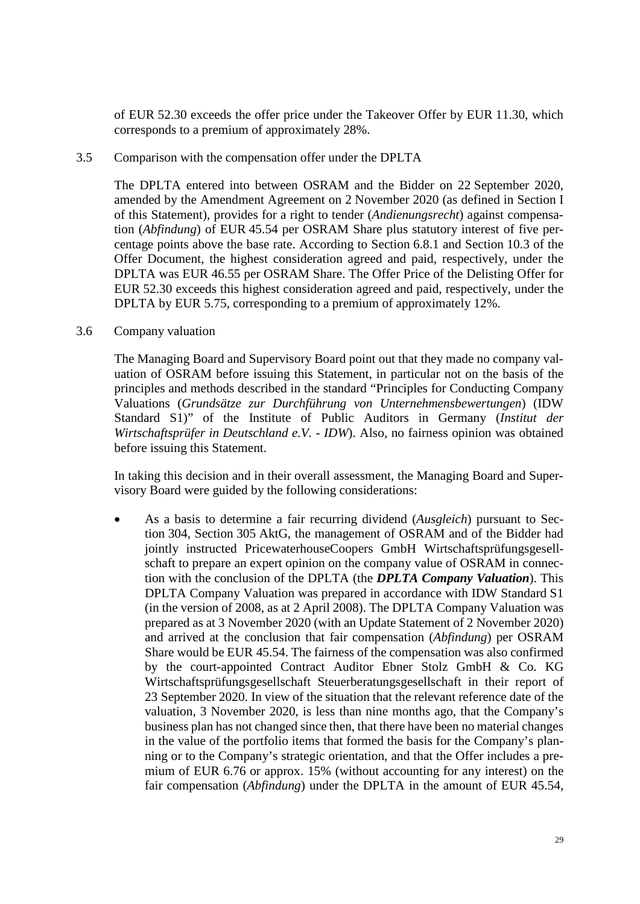of EUR 52.30 exceeds the offer price under the Takeover Offer by EUR 11.30, which corresponds to a premium of approximately 28%.

#### <span id="page-28-0"></span>3.5 Comparison with the compensation offer under the DPLTA

The DPLTA entered into between OSRAM and the Bidder on 22 September 2020, amended by the Amendment Agreement on 2 November 2020 (as defined in Section [I](#page-4-0) of this Statement), provides for a right to tender (*Andienungsrecht*) against compensation (*Abfindung*) of EUR 45.54 per OSRAM Share plus statutory interest of five percentage points above the base rate. According to Section 6.8.1 and Section 10.3 of the Offer Document, the highest consideration agreed and paid, respectively, under the DPLTA was EUR 46.55 per OSRAM Share. The Offer Price of the Delisting Offer for EUR 52.30 exceeds this highest consideration agreed and paid, respectively, under the DPLTA by EUR 5.75, corresponding to a premium of approximately 12%.

#### <span id="page-28-1"></span>3.6 Company valuation

The Managing Board and Supervisory Board point out that they made no company valuation of OSRAM before issuing this Statement, in particular not on the basis of the principles and methods described in the standard "Principles for Conducting Company Valuations (*Grundsätze zur Durchführung von Unternehmensbewertungen*) (IDW Standard S1)" of the Institute of Public Auditors in Germany (*Institut der Wirtschaftsprüfer in Deutschland e.V. - IDW*). Also, no fairness opinion was obtained before issuing this Statement.

In taking this decision and in their overall assessment, the Managing Board and Supervisory Board were guided by the following considerations:

• As a basis to determine a fair recurring dividend (*Ausgleich*) pursuant to Section 304, Section 305 AktG, the management of OSRAM and of the Bidder had jointly instructed PricewaterhouseCoopers GmbH Wirtschaftsprüfungsgesellschaft to prepare an expert opinion on the company value of OSRAM in connection with the conclusion of the DPLTA (the *DPLTA Company Valuation*). This DPLTA Company Valuation was prepared in accordance with IDW Standard S1 (in the version of 2008, as at 2 April 2008). The DPLTA Company Valuation was prepared as at 3 November 2020 (with an Update Statement of 2 November 2020) and arrived at the conclusion that fair compensation (*Abfindung*) per OSRAM Share would be EUR 45.54. The fairness of the compensation was also confirmed by the court-appointed Contract Auditor Ebner Stolz GmbH & Co. KG Wirtschaftsprüfungsgesellschaft Steuerberatungsgesellschaft in their report of 23 September 2020. In view of the situation that the relevant reference date of the valuation, 3 November 2020, is less than nine months ago, that the Company's business plan has not changed since then, that there have been no material changes in the value of the portfolio items that formed the basis for the Company's planning or to the Company's strategic orientation, and that the Offer includes a premium of EUR 6.76 or approx. 15% (without accounting for any interest) on the fair compensation (*Abfindung*) under the DPLTA in the amount of EUR 45.54,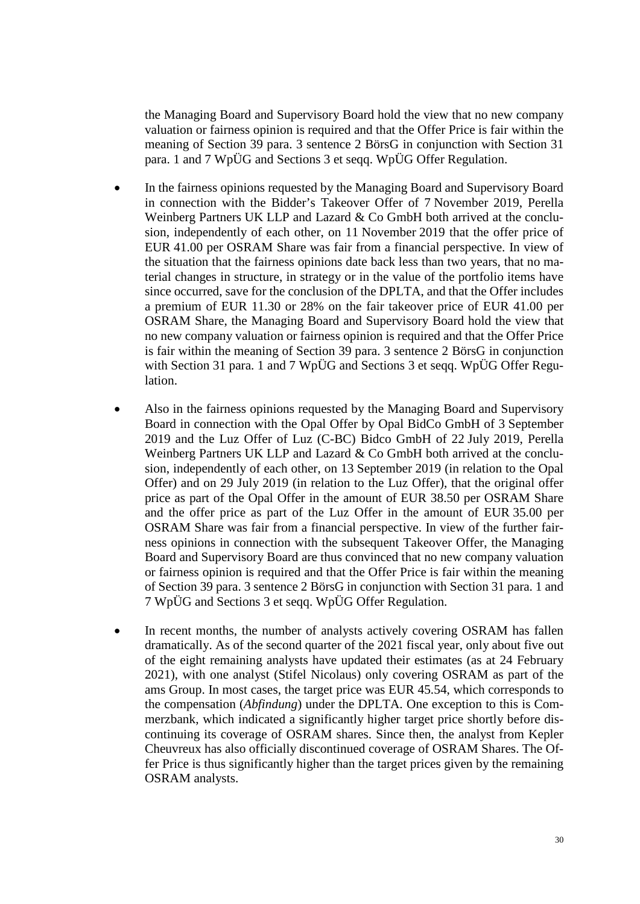the Managing Board and Supervisory Board hold the view that no new company valuation or fairness opinion is required and that the Offer Price is fair within the meaning of Section 39 para. 3 sentence 2 BörsG in conjunction with Section 31 para. 1 and 7 WpÜG and Sections 3 et seqq. WpÜG Offer Regulation.

- In the fairness opinions requested by the Managing Board and Supervisory Board in connection with the Bidder's Takeover Offer of 7 November 2019, Perella Weinberg Partners UK LLP and Lazard & Co GmbH both arrived at the conclusion, independently of each other, on 11 November 2019 that the offer price of EUR 41.00 per OSRAM Share was fair from a financial perspective. In view of the situation that the fairness opinions date back less than two years, that no material changes in structure, in strategy or in the value of the portfolio items have since occurred, save for the conclusion of the DPLTA, and that the Offer includes a premium of EUR 11.30 or 28% on the fair takeover price of EUR 41.00 per OSRAM Share, the Managing Board and Supervisory Board hold the view that no new company valuation or fairness opinion is required and that the Offer Price is fair within the meaning of Section 39 para. 3 sentence 2 BörsG in conjunction with Section 31 para. 1 and 7 WpÜG and Sections 3 et seqq. WpÜG Offer Regulation.
- Also in the fairness opinions requested by the Managing Board and Supervisory Board in connection with the Opal Offer by Opal BidCo GmbH of 3 September 2019 and the Luz Offer of Luz (C-BC) Bidco GmbH of 22 July 2019, Perella Weinberg Partners UK LLP and Lazard & Co GmbH both arrived at the conclusion, independently of each other, on 13 September 2019 (in relation to the Opal Offer) and on 29 July 2019 (in relation to the Luz Offer), that the original offer price as part of the Opal Offer in the amount of EUR 38.50 per OSRAM Share and the offer price as part of the Luz Offer in the amount of EUR 35.00 per OSRAM Share was fair from a financial perspective. In view of the further fairness opinions in connection with the subsequent Takeover Offer, the Managing Board and Supervisory Board are thus convinced that no new company valuation or fairness opinion is required and that the Offer Price is fair within the meaning of Section 39 para. 3 sentence 2 BörsG in conjunction with Section 31 para. 1 and 7 WpÜG and Sections 3 et seqq. WpÜG Offer Regulation.
- In recent months, the number of analysts actively covering OSRAM has fallen dramatically. As of the second quarter of the 2021 fiscal year, only about five out of the eight remaining analysts have updated their estimates (as at 24 February 2021), with one analyst (Stifel Nicolaus) only covering OSRAM as part of the ams Group. In most cases, the target price was EUR 45.54, which corresponds to the compensation (*Abfindung*) under the DPLTA. One exception to this is Commerzbank, which indicated a significantly higher target price shortly before discontinuing its coverage of OSRAM shares. Since then, the analyst from Kepler Cheuvreux has also officially discontinued coverage of OSRAM Shares. The Offer Price is thus significantly higher than the target prices given by the remaining OSRAM analysts.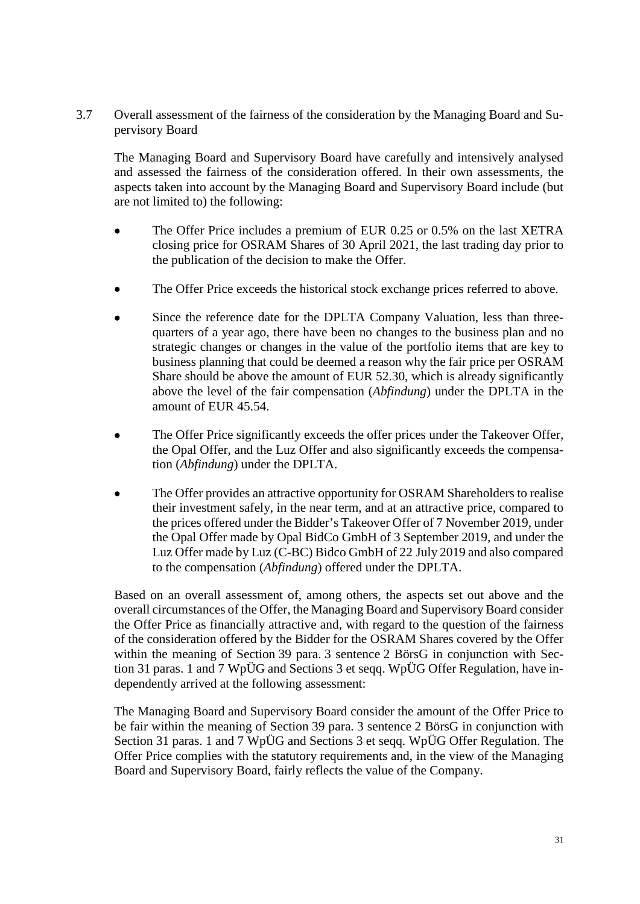<span id="page-30-0"></span>3.7 Overall assessment of the fairness of the consideration by the Managing Board and Supervisory Board

The Managing Board and Supervisory Board have carefully and intensively analysed and assessed the fairness of the consideration offered. In their own assessments, the aspects taken into account by the Managing Board and Supervisory Board include (but are not limited to) the following:

- The Offer Price includes a premium of EUR 0.25 or 0.5% on the last XETRA closing price for OSRAM Shares of 30 April 2021, the last trading day prior to the publication of the decision to make the Offer.
- The Offer Price exceeds the historical stock exchange prices referred to above.
- Since the reference date for the DPLTA Company Valuation, less than threequarters of a year ago, there have been no changes to the business plan and no strategic changes or changes in the value of the portfolio items that are key to business planning that could be deemed a reason why the fair price per OSRAM Share should be above the amount of EUR 52.30, which is already significantly above the level of the fair compensation (*Abfindung*) under the DPLTA in the amount of EUR 45.54.
- The Offer Price significantly exceeds the offer prices under the Takeover Offer, the Opal Offer, and the Luz Offer and also significantly exceeds the compensation (*Abfindung*) under the DPLTA.
- The Offer provides an attractive opportunity for OSRAM Shareholders to realise their investment safely, in the near term, and at an attractive price, compared to the prices offered under the Bidder's Takeover Offer of 7 November 2019, under the Opal Offer made by Opal BidCo GmbH of 3 September 2019, and under the Luz Offer made by Luz (C-BC) Bidco GmbH of 22 July 2019 and also compared to the compensation (*Abfindung*) offered under the DPLTA.

Based on an overall assessment of, among others, the aspects set out above and the overall circumstances of the Offer, the Managing Board and Supervisory Board consider the Offer Price as financially attractive and, with regard to the question of the fairness of the consideration offered by the Bidder for the OSRAM Shares covered by the Offer within the meaning of Section 39 para. 3 sentence 2 BörsG in conjunction with Section 31 paras. 1 and 7 WpÜG and Sections 3 et seqq. WpÜG Offer Regulation, have independently arrived at the following assessment:

The Managing Board and Supervisory Board consider the amount of the Offer Price to be fair within the meaning of Section 39 para. 3 sentence 2 BörsG in conjunction with Section 31 paras. 1 and 7 WpÜG and Sections 3 et seqq. WpÜG Offer Regulation. The Offer Price complies with the statutory requirements and, in the view of the Managing Board and Supervisory Board, fairly reflects the value of the Company.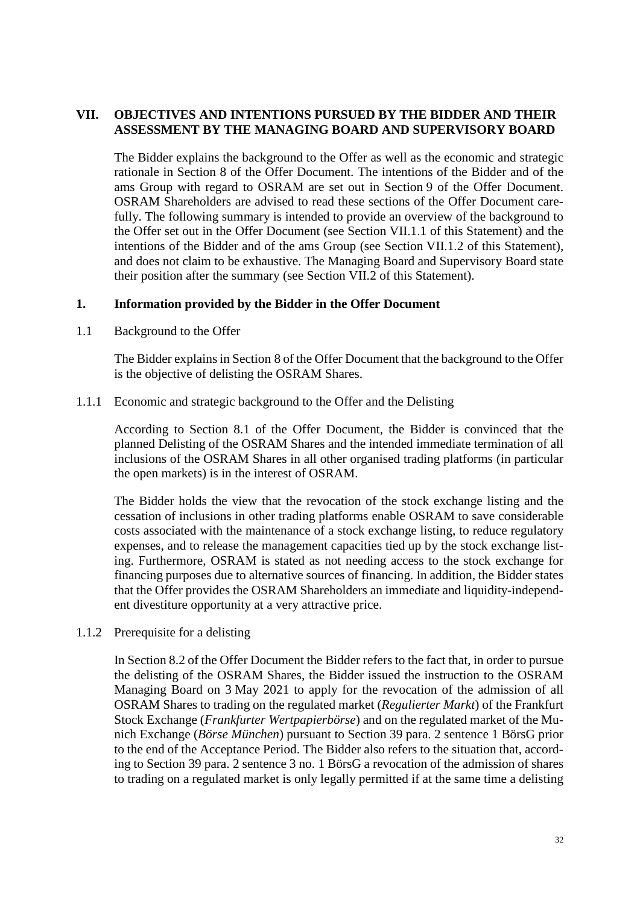## <span id="page-31-0"></span>**VII. OBJECTIVES AND INTENTIONS PURSUED BY THE BIDDER AND THEIR ASSESSMENT BY THE MANAGING BOARD AND SUPERVISORY BOARD**

The Bidder explains the background to the Offer as well as the economic and strategic rationale in Section 8 of the Offer Document. The intentions of the Bidder and of the ams Group with regard to OSRAM are set out in Section 9 of the Offer Document. OSRAM Shareholders are advised to read these sections of the Offer Document carefully. The following summary is intended to provide an overview of the background to the Offer set out in the Offer Document (see Section [VII.1.1](#page-31-2) of this Statement) and the intentions of the Bidder and of the ams Group (see Section [VII.1.2](#page-32-0) of this Statement), and does not claim to be exhaustive. The Managing Board and Supervisory Board state their position after the summary (see Section VII.2 of this Statement).

#### <span id="page-31-1"></span>**1. Information provided by the Bidder in the Offer Document**

<span id="page-31-2"></span>1.1 Background to the Offer

The Bidder explains in Section 8 of the Offer Document that the background to the Offer is the objective of delisting the OSRAM Shares.

1.1.1 Economic and strategic background to the Offer and the Delisting

According to Section 8.1 of the Offer Document, the Bidder is convinced that the planned Delisting of the OSRAM Shares and the intended immediate termination of all inclusions of the OSRAM Shares in all other organised trading platforms (in particular the open markets) is in the interest of OSRAM.

The Bidder holds the view that the revocation of the stock exchange listing and the cessation of inclusions in other trading platforms enable OSRAM to save considerable costs associated with the maintenance of a stock exchange listing, to reduce regulatory expenses, and to release the management capacities tied up by the stock exchange listing. Furthermore, OSRAM is stated as not needing access to the stock exchange for financing purposes due to alternative sources of financing. In addition, the Bidder states that the Offer provides the OSRAM Shareholders an immediate and liquidity-independent divestiture opportunity at a very attractive price.

1.1.2 Prerequisite for a delisting

In Section 8.2 of the Offer Document the Bidder refers to the fact that, in order to pursue the delisting of the OSRAM Shares, the Bidder issued the instruction to the OSRAM Managing Board on 3 May 2021 to apply for the revocation of the admission of all OSRAM Shares to trading on the regulated market (*Regulierter Markt*) of the Frankfurt Stock Exchange (*Frankfurter Wertpapierbörse*) and on the regulated market of the Munich Exchange (*Börse München*) pursuant to Section 39 para. 2 sentence 1 BörsG prior to the end of the Acceptance Period. The Bidder also refers to the situation that, according to Section 39 para. 2 sentence 3 no. 1 BörsG a revocation of the admission of shares to trading on a regulated market is only legally permitted if at the same time a delisting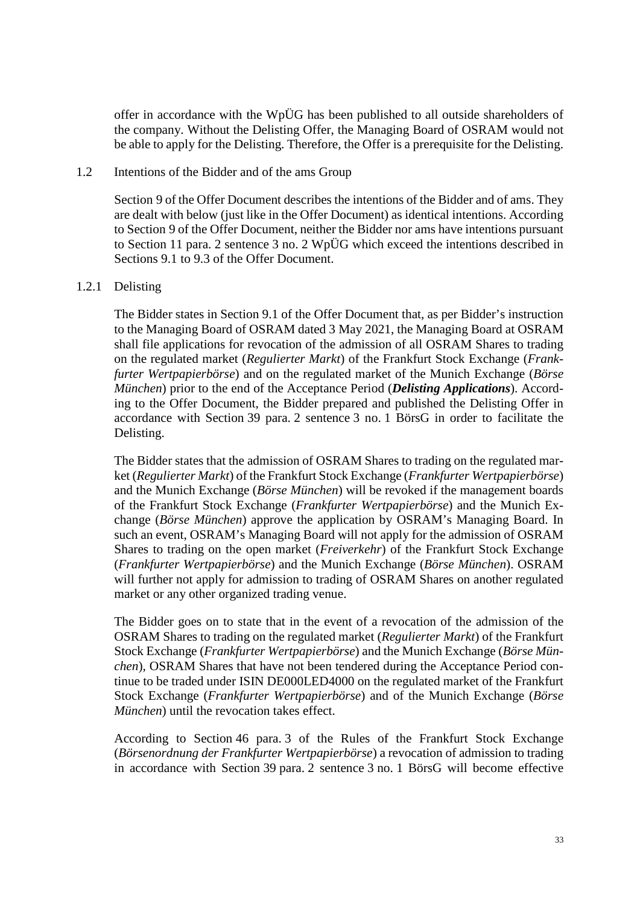offer in accordance with the WpÜG has been published to all outside shareholders of the company. Without the Delisting Offer, the Managing Board of OSRAM would not be able to apply for the Delisting. Therefore, the Offer is a prerequisite for the Delisting.

#### <span id="page-32-0"></span>1.2 Intentions of the Bidder and of the ams Group

Section 9 of the Offer Document describes the intentions of the Bidder and of ams. They are dealt with below (just like in the Offer Document) as identical intentions. According to Section 9 of the Offer Document, neither the Bidder nor ams have intentions pursuant to Section 11 para. 2 sentence 3 no. 2 WpÜG which exceed the intentions described in Sections 9.1 to 9.3 of the Offer Document.

#### 1.2.1 Delisting

The Bidder states in Section 9.1 of the Offer Document that, as per Bidder's instruction to the Managing Board of OSRAM dated 3 May 2021, the Managing Board at OSRAM shall file applications for revocation of the admission of all OSRAM Shares to trading on the regulated market (*Regulierter Markt*) of the Frankfurt Stock Exchange (*Frankfurter Wertpapierbörse*) and on the regulated market of the Munich Exchange (*Börse München*) prior to the end of the Acceptance Period (*Delisting Applications*). According to the Offer Document, the Bidder prepared and published the Delisting Offer in accordance with Section 39 para. 2 sentence 3 no. 1 BörsG in order to facilitate the Delisting.

The Bidder states that the admission of OSRAM Shares to trading on the regulated market (*Regulierter Markt*) of the Frankfurt Stock Exchange (*Frankfurter Wertpapierbörse*) and the Munich Exchange (*Börse München*) will be revoked if the management boards of the Frankfurt Stock Exchange (*Frankfurter Wertpapierbörse*) and the Munich Exchange (*Börse München*) approve the application by OSRAM's Managing Board. In such an event, OSRAM's Managing Board will not apply for the admission of OSRAM Shares to trading on the open market (*Freiverkehr*) of the Frankfurt Stock Exchange (*Frankfurter Wertpapierbörse*) and the Munich Exchange (*Börse München*). OSRAM will further not apply for admission to trading of OSRAM Shares on another regulated market or any other organized trading venue.

The Bidder goes on to state that in the event of a revocation of the admission of the OSRAM Shares to trading on the regulated market (*Regulierter Markt*) of the Frankfurt Stock Exchange (*Frankfurter Wertpapierbörse*) and the Munich Exchange (*Börse München*), OSRAM Shares that have not been tendered during the Acceptance Period continue to be traded under ISIN DE000LED4000 on the regulated market of the Frankfurt Stock Exchange (*Frankfurter Wertpapierbörse*) and of the Munich Exchange (*Börse München*) until the revocation takes effect.

According to Section 46 para. 3 of the Rules of the Frankfurt Stock Exchange (*Börsenordnung der Frankfurter Wertpapierbörse*) a revocation of admission to trading in accordance with Section 39 para. 2 sentence 3 no. 1 BörsG will become effective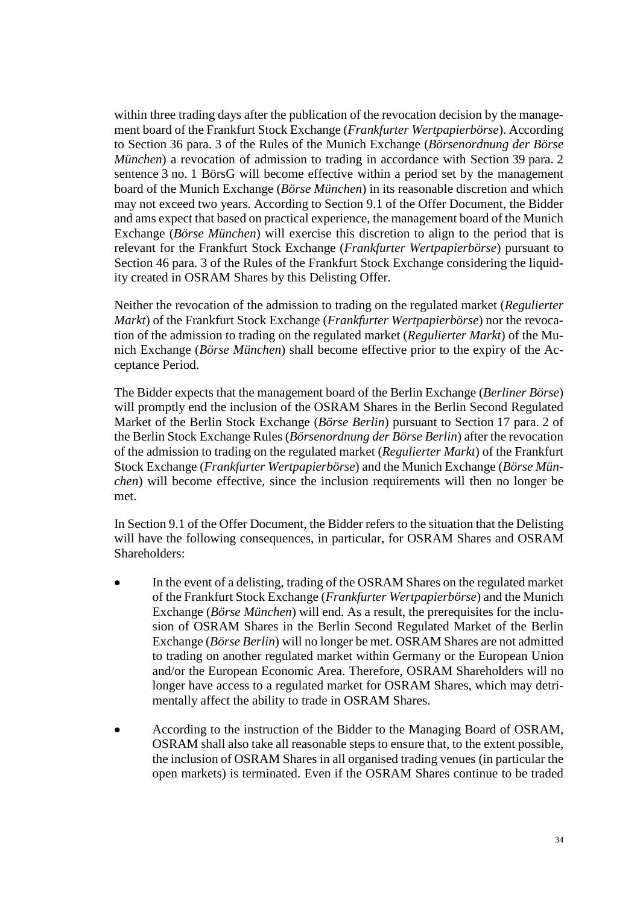within three trading days after the publication of the revocation decision by the management board of the Frankfurt Stock Exchange (*Frankfurter Wertpapierbörse*). According to Section 36 para. 3 of the Rules of the Munich Exchange (*Börsenordnung der Börse München*) a revocation of admission to trading in accordance with Section 39 para. 2 sentence 3 no. 1 BörsG will become effective within a period set by the management board of the Munich Exchange (*Börse München*) in its reasonable discretion and which may not exceed two years. According to Section 9.1 of the Offer Document, the Bidder and ams expect that based on practical experience, the management board of the Munich Exchange (*Börse München*) will exercise this discretion to align to the period that is relevant for the Frankfurt Stock Exchange (*Frankfurter Wertpapierbörse*) pursuant to Section 46 para. 3 of the Rules of the Frankfurt Stock Exchange considering the liquidity created in OSRAM Shares by this Delisting Offer.

Neither the revocation of the admission to trading on the regulated market (*Regulierter Markt*) of the Frankfurt Stock Exchange (*Frankfurter Wertpapierbörse*) nor the revocation of the admission to trading on the regulated market (*Regulierter Markt*) of the Munich Exchange (*Börse München*) shall become effective prior to the expiry of the Acceptance Period.

The Bidder expects that the management board of the Berlin Exchange (*Berliner Börse*) will promptly end the inclusion of the OSRAM Shares in the Berlin Second Regulated Market of the Berlin Stock Exchange (*Börse Berlin*) pursuant to Section 17 para. 2 of the Berlin Stock Exchange Rules (*Börsenordnung der Börse Berlin*) after the revocation of the admission to trading on the regulated market (*Regulierter Markt*) of the Frankfurt Stock Exchange (*Frankfurter Wertpapierbörse*) and the Munich Exchange (*Börse München*) will become effective, since the inclusion requirements will then no longer be met.

In Section 9.1 of the Offer Document, the Bidder refers to the situation that the Delisting will have the following consequences, in particular, for OSRAM Shares and OSRAM Shareholders:

- In the event of a delisting, trading of the OSRAM Shares on the regulated market of the Frankfurt Stock Exchange (*Frankfurter Wertpapierbörse*) and the Munich Exchange (*Börse München*) will end. As a result, the prerequisites for the inclusion of OSRAM Shares in the Berlin Second Regulated Market of the Berlin Exchange (*Börse Berlin*) will no longer be met. OSRAM Shares are not admitted to trading on another regulated market within Germany or the European Union and/or the European Economic Area. Therefore, OSRAM Shareholders will no longer have access to a regulated market for OSRAM Shares, which may detrimentally affect the ability to trade in OSRAM Shares.
- According to the instruction of the Bidder to the Managing Board of OSRAM, OSRAM shall also take all reasonable steps to ensure that, to the extent possible, the inclusion of OSRAM Shares in all organised trading venues (in particular the open markets) is terminated. Even if the OSRAM Shares continue to be traded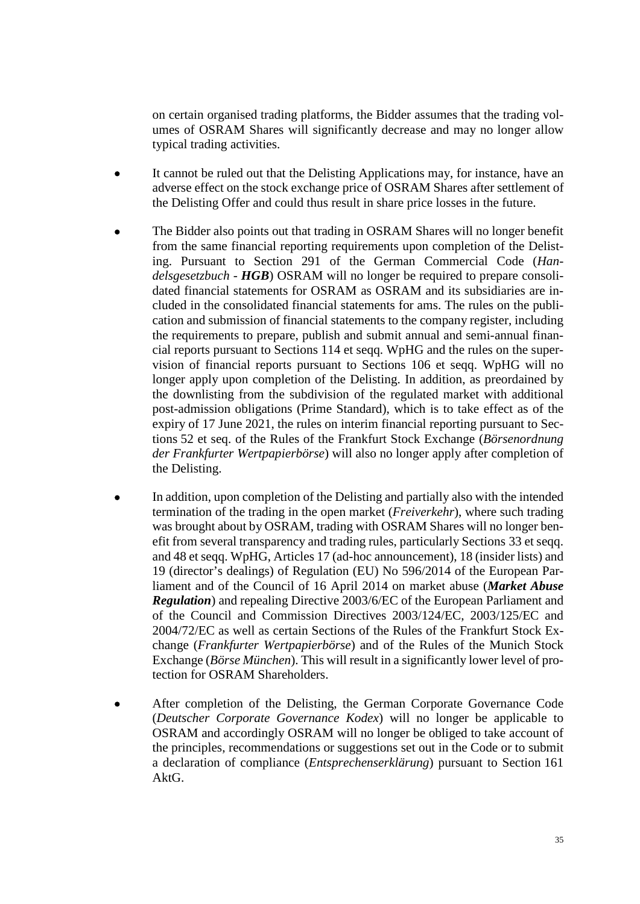on certain organised trading platforms, the Bidder assumes that the trading volumes of OSRAM Shares will significantly decrease and may no longer allow typical trading activities.

- It cannot be ruled out that the Delisting Applications may, for instance, have an adverse effect on the stock exchange price of OSRAM Shares after settlement of the Delisting Offer and could thus result in share price losses in the future.
- The Bidder also points out that trading in OSRAM Shares will no longer benefit from the same financial reporting requirements upon completion of the Delisting. Pursuant to Section 291 of the German Commercial Code (*Handelsgesetzbuch - HGB*) OSRAM will no longer be required to prepare consolidated financial statements for OSRAM as OSRAM and its subsidiaries are included in the consolidated financial statements for ams. The rules on the publication and submission of financial statements to the company register, including the requirements to prepare, publish and submit annual and semi-annual financial reports pursuant to Sections 114 et seqq. WpHG and the rules on the supervision of financial reports pursuant to Sections 106 et seqq. WpHG will no longer apply upon completion of the Delisting. In addition, as preordained by the downlisting from the subdivision of the regulated market with additional post-admission obligations (Prime Standard), which is to take effect as of the expiry of 17 June 2021, the rules on interim financial reporting pursuant to Sections 52 et seq. of the Rules of the Frankfurt Stock Exchange (*Börsenordnung der Frankfurter Wertpapierbörse*) will also no longer apply after completion of the Delisting.
- In addition, upon completion of the Delisting and partially also with the intended termination of the trading in the open market (*Freiverkehr*), where such trading was brought about by OSRAM, trading with OSRAM Shares will no longer benefit from several transparency and trading rules, particularly Sections 33 et seqq. and 48 et seqq. WpHG, Articles 17 (ad-hoc announcement), 18 (insider lists) and 19 (director's dealings) of Regulation (EU) No 596/2014 of the European Parliament and of the Council of 16 April 2014 on market abuse (*Market Abuse Regulation*) and repealing Directive 2003/6/EC of the European Parliament and of the Council and Commission Directives 2003/124/EC, 2003/125/EC and 2004/72/EC as well as certain Sections of the Rules of the Frankfurt Stock Exchange (*Frankfurter Wertpapierbörse*) and of the Rules of the Munich Stock Exchange (*Börse München*). This will result in a significantly lower level of protection for OSRAM Shareholders.
- After completion of the Delisting, the German Corporate Governance Code (*Deutscher Corporate Governance Kodex*) will no longer be applicable to OSRAM and accordingly OSRAM will no longer be obliged to take account of the principles, recommendations or suggestions set out in the Code or to submit a declaration of compliance (*Entsprechenserklärung*) pursuant to Section 161 AktG.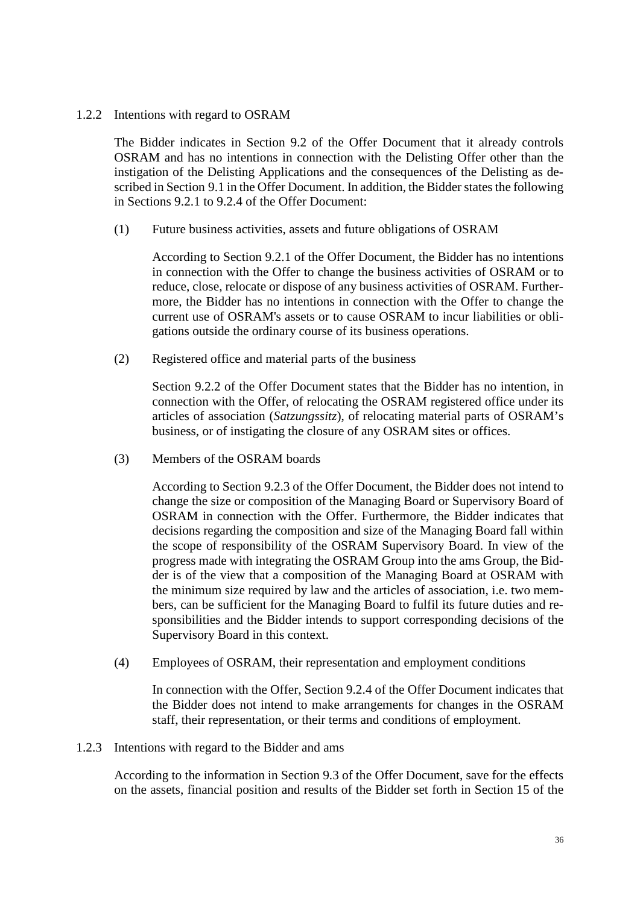#### 1.2.2 Intentions with regard to OSRAM

The Bidder indicates in Section 9.2 of the Offer Document that it already controls OSRAM and has no intentions in connection with the Delisting Offer other than the instigation of the Delisting Applications and the consequences of the Delisting as described in Section 9.1 in the Offer Document. In addition, the Bidder states the following in Sections 9.2.1 to 9.2.4 of the Offer Document:

(1) Future business activities, assets and future obligations of OSRAM

According to Section 9.2.1 of the Offer Document, the Bidder has no intentions in connection with the Offer to change the business activities of OSRAM or to reduce, close, relocate or dispose of any business activities of OSRAM. Furthermore, the Bidder has no intentions in connection with the Offer to change the current use of OSRAM's assets or to cause OSRAM to incur liabilities or obligations outside the ordinary course of its business operations.

(2) Registered office and material parts of the business

Section 9.2.2 of the Offer Document states that the Bidder has no intention, in connection with the Offer, of relocating the OSRAM registered office under its articles of association (*Satzungssitz*), of relocating material parts of OSRAM's business, or of instigating the closure of any OSRAM sites or offices.

(3) Members of the OSRAM boards

According to Section 9.2.3 of the Offer Document, the Bidder does not intend to change the size or composition of the Managing Board or Supervisory Board of OSRAM in connection with the Offer. Furthermore, the Bidder indicates that decisions regarding the composition and size of the Managing Board fall within the scope of responsibility of the OSRAM Supervisory Board. In view of the progress made with integrating the OSRAM Group into the ams Group, the Bidder is of the view that a composition of the Managing Board at OSRAM with the minimum size required by law and the articles of association, i.e. two members, can be sufficient for the Managing Board to fulfil its future duties and responsibilities and the Bidder intends to support corresponding decisions of the Supervisory Board in this context.

(4) Employees of OSRAM, their representation and employment conditions

In connection with the Offer, Section 9.2.4 of the Offer Document indicates that the Bidder does not intend to make arrangements for changes in the OSRAM staff, their representation, or their terms and conditions of employment.

1.2.3 Intentions with regard to the Bidder and ams

According to the information in Section 9.3 of the Offer Document, save for the effects on the assets, financial position and results of the Bidder set forth in Section 15 of the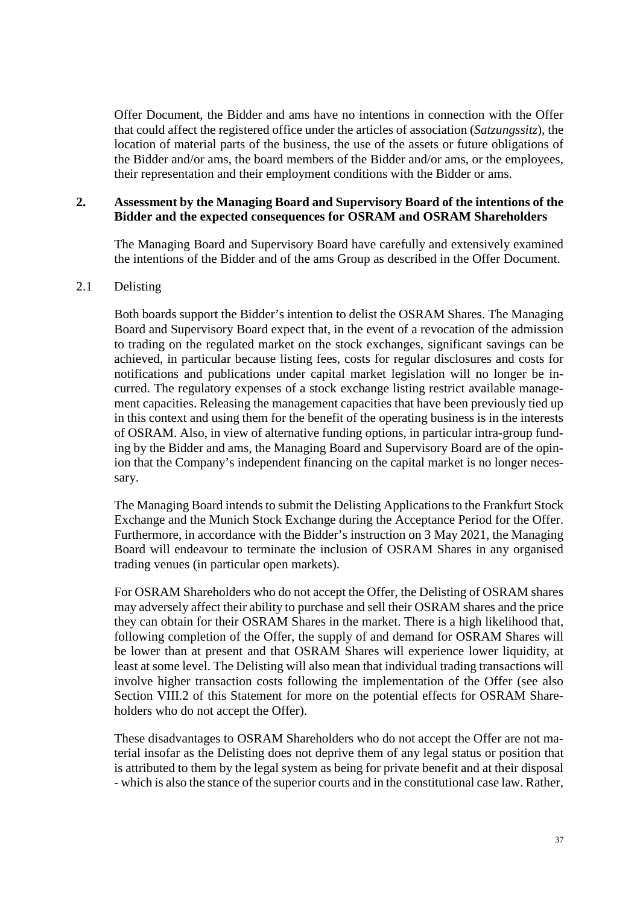Offer Document, the Bidder and ams have no intentions in connection with the Offer that could affect the registered office under the articles of association (*Satzungssitz*), the location of material parts of the business, the use of the assets or future obligations of the Bidder and/or ams, the board members of the Bidder and/or ams, or the employees, their representation and their employment conditions with the Bidder or ams.

## <span id="page-36-0"></span>**2. Assessment by the Managing Board and Supervisory Board of the intentions of the Bidder and the expected consequences for OSRAM and OSRAM Shareholders**

The Managing Board and Supervisory Board have carefully and extensively examined the intentions of the Bidder and of the ams Group as described in the Offer Document.

#### <span id="page-36-1"></span>2.1 Delisting

Both boards support the Bidder's intention to delist the OSRAM Shares. The Managing Board and Supervisory Board expect that, in the event of a revocation of the admission to trading on the regulated market on the stock exchanges, significant savings can be achieved, in particular because listing fees, costs for regular disclosures and costs for notifications and publications under capital market legislation will no longer be incurred. The regulatory expenses of a stock exchange listing restrict available management capacities. Releasing the management capacities that have been previously tied up in this context and using them for the benefit of the operating business is in the interests of OSRAM. Also, in view of alternative funding options, in particular intra-group funding by the Bidder and ams, the Managing Board and Supervisory Board are of the opinion that the Company's independent financing on the capital market is no longer necessary.

The Managing Board intends to submit the Delisting Applications to the Frankfurt Stock Exchange and the Munich Stock Exchange during the Acceptance Period for the Offer. Furthermore, in accordance with the Bidder's instruction on 3 May 2021, the Managing Board will endeavour to terminate the inclusion of OSRAM Shares in any organised trading venues (in particular open markets).

For OSRAM Shareholders who do not accept the Offer, the Delisting of OSRAM shares may adversely affect their ability to purchase and sell their OSRAM shares and the price they can obtain for their OSRAM Shares in the market. There is a high likelihood that, following completion of the Offer, the supply of and demand for OSRAM Shares will be lower than at present and that OSRAM Shares will experience lower liquidity, at least at some level. The Delisting will also mean that individual trading transactions will involve higher transaction costs following the implementation of the Offer (see also Section [VIII.2](#page-39-0) of this Statement for more on the potential effects for OSRAM Shareholders who do not accept the Offer).

These disadvantages to OSRAM Shareholders who do not accept the Offer are not material insofar as the Delisting does not deprive them of any legal status or position that is attributed to them by the legal system as being for private benefit and at their disposal - which is also the stance of the superior courts and in the constitutional case law. Rather,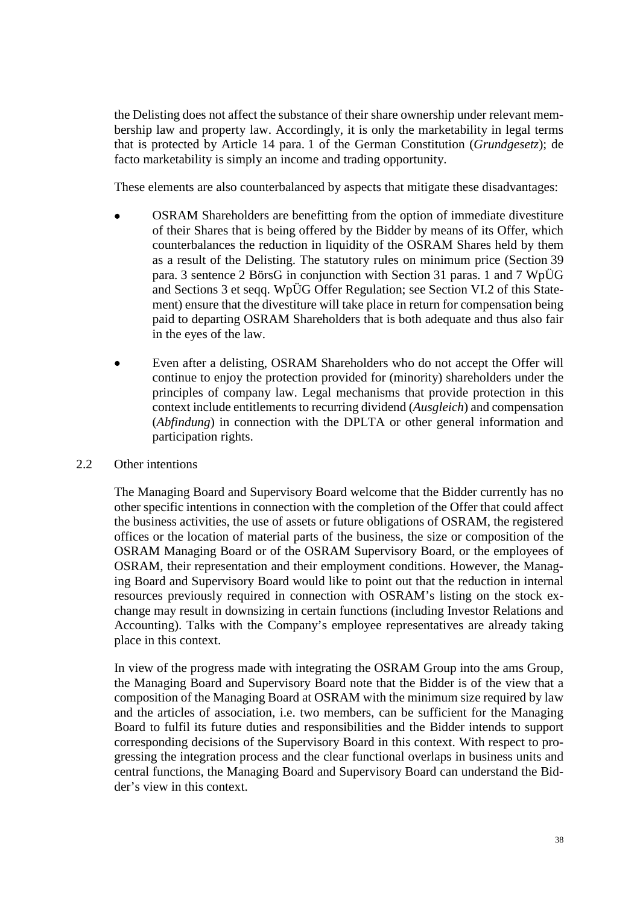the Delisting does not affect the substance of their share ownership under relevant membership law and property law. Accordingly, it is only the marketability in legal terms that is protected by Article 14 para. 1 of the German Constitution (*Grundgesetz*); de facto marketability is simply an income and trading opportunity.

These elements are also counterbalanced by aspects that mitigate these disadvantages:

- OSRAM Shareholders are benefitting from the option of immediate divestiture of their Shares that is being offered by the Bidder by means of its Offer, which counterbalances the reduction in liquidity of the OSRAM Shares held by them as a result of the Delisting. The statutory rules on minimum price (Section 39 para. 3 sentence 2 BörsG in conjunction with Section 31 paras. 1 and 7 WpÜG and Sections 3 et seqq. WpÜG Offer Regulation; see Section [VI.2](#page-25-2) of this Statement) ensure that the divestiture will take place in return for compensation being paid to departing OSRAM Shareholders that is both adequate and thus also fair in the eyes of the law.
- Even after a delisting, OSRAM Shareholders who do not accept the Offer will continue to enjoy the protection provided for (minority) shareholders under the principles of company law. Legal mechanisms that provide protection in this context include entitlements to recurring dividend (*Ausgleich*) and compensation (*Abfindung*) in connection with the DPLTA or other general information and participation rights.

#### <span id="page-37-0"></span>2.2 Other intentions

The Managing Board and Supervisory Board welcome that the Bidder currently has no other specific intentions in connection with the completion of the Offer that could affect the business activities, the use of assets or future obligations of OSRAM, the registered offices or the location of material parts of the business, the size or composition of the OSRAM Managing Board or of the OSRAM Supervisory Board, or the employees of OSRAM, their representation and their employment conditions. However, the Managing Board and Supervisory Board would like to point out that the reduction in internal resources previously required in connection with OSRAM's listing on the stock exchange may result in downsizing in certain functions (including Investor Relations and Accounting). Talks with the Company's employee representatives are already taking place in this context.

In view of the progress made with integrating the OSRAM Group into the ams Group, the Managing Board and Supervisory Board note that the Bidder is of the view that a composition of the Managing Board at OSRAM with the minimum size required by law and the articles of association, i.e. two members, can be sufficient for the Managing Board to fulfil its future duties and responsibilities and the Bidder intends to support corresponding decisions of the Supervisory Board in this context. With respect to progressing the integration process and the clear functional overlaps in business units and central functions, the Managing Board and Supervisory Board can understand the Bidder's view in this context.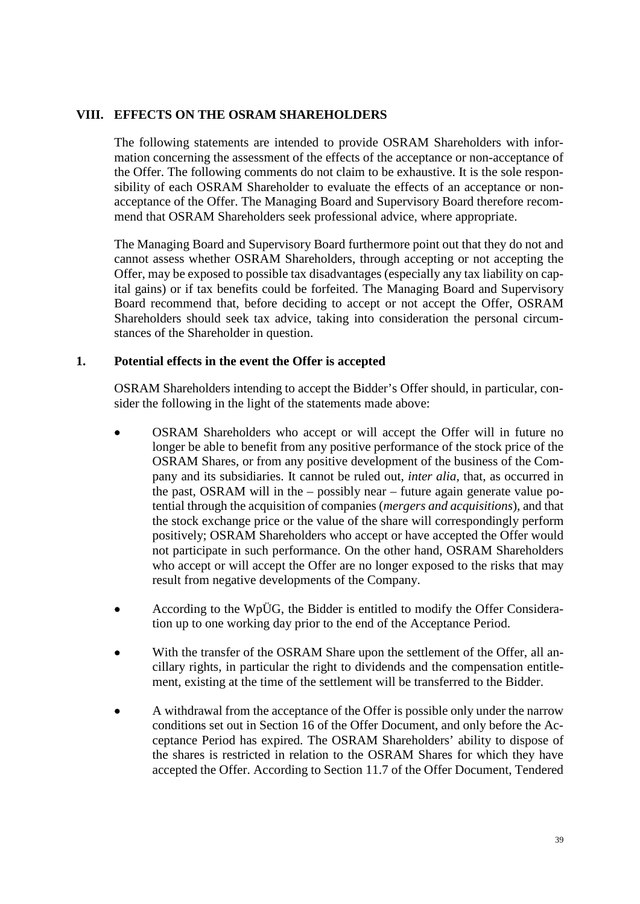#### <span id="page-38-0"></span>**VIII. EFFECTS ON THE OSRAM SHAREHOLDERS**

The following statements are intended to provide OSRAM Shareholders with information concerning the assessment of the effects of the acceptance or non-acceptance of the Offer. The following comments do not claim to be exhaustive. It is the sole responsibility of each OSRAM Shareholder to evaluate the effects of an acceptance or nonacceptance of the Offer. The Managing Board and Supervisory Board therefore recommend that OSRAM Shareholders seek professional advice, where appropriate.

The Managing Board and Supervisory Board furthermore point out that they do not and cannot assess whether OSRAM Shareholders, through accepting or not accepting the Offer, may be exposed to possible tax disadvantages (especially any tax liability on capital gains) or if tax benefits could be forfeited. The Managing Board and Supervisory Board recommend that, before deciding to accept or not accept the Offer, OSRAM Shareholders should seek tax advice, taking into consideration the personal circumstances of the Shareholder in question.

## <span id="page-38-1"></span>**1. Potential effects in the event the Offer is accepted**

OSRAM Shareholders intending to accept the Bidder's Offer should, in particular, consider the following in the light of the statements made above:

- OSRAM Shareholders who accept or will accept the Offer will in future no longer be able to benefit from any positive performance of the stock price of the OSRAM Shares, or from any positive development of the business of the Company and its subsidiaries. It cannot be ruled out, *inter alia*, that, as occurred in the past, OSRAM will in the – possibly near – future again generate value potential through the acquisition of companies (*mergers and acquisitions*), and that the stock exchange price or the value of the share will correspondingly perform positively; OSRAM Shareholders who accept or have accepted the Offer would not participate in such performance. On the other hand, OSRAM Shareholders who accept or will accept the Offer are no longer exposed to the risks that may result from negative developments of the Company.
- According to the WpÜG, the Bidder is entitled to modify the Offer Consideration up to one working day prior to the end of the Acceptance Period.
- With the transfer of the OSRAM Share upon the settlement of the Offer, all ancillary rights, in particular the right to dividends and the compensation entitlement, existing at the time of the settlement will be transferred to the Bidder.
- A withdrawal from the acceptance of the Offer is possible only under the narrow conditions set out in Section 16 of the Offer Document, and only before the Acceptance Period has expired. The OSRAM Shareholders' ability to dispose of the shares is restricted in relation to the OSRAM Shares for which they have accepted the Offer. According to Section 11.7 of the Offer Document, Tendered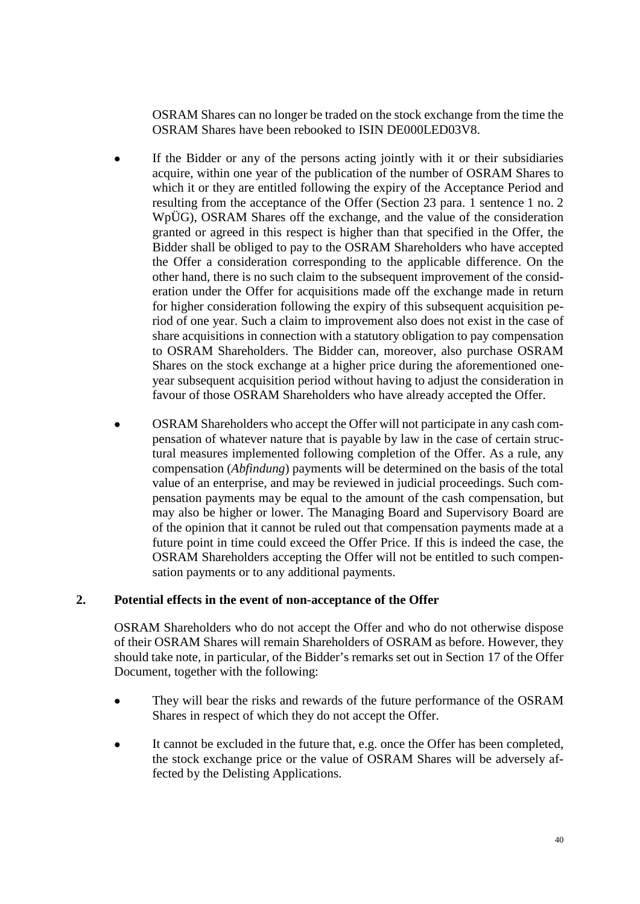OSRAM Shares can no longer be traded on the stock exchange from the time the OSRAM Shares have been rebooked to ISIN DE000LED03V8.

- If the Bidder or any of the persons acting jointly with it or their subsidiaries acquire, within one year of the publication of the number of OSRAM Shares to which it or they are entitled following the expiry of the Acceptance Period and resulting from the acceptance of the Offer (Section 23 para. 1 sentence 1 no. 2 WpÜG), OSRAM Shares off the exchange, and the value of the consideration granted or agreed in this respect is higher than that specified in the Offer, the Bidder shall be obliged to pay to the OSRAM Shareholders who have accepted the Offer a consideration corresponding to the applicable difference. On the other hand, there is no such claim to the subsequent improvement of the consideration under the Offer for acquisitions made off the exchange made in return for higher consideration following the expiry of this subsequent acquisition period of one year. Such a claim to improvement also does not exist in the case of share acquisitions in connection with a statutory obligation to pay compensation to OSRAM Shareholders. The Bidder can, moreover, also purchase OSRAM Shares on the stock exchange at a higher price during the aforementioned oneyear subsequent acquisition period without having to adjust the consideration in favour of those OSRAM Shareholders who have already accepted the Offer.
- OSRAM Shareholders who accept the Offer will not participate in any cash compensation of whatever nature that is payable by law in the case of certain structural measures implemented following completion of the Offer. As a rule, any compensation (*Abfindung*) payments will be determined on the basis of the total value of an enterprise, and may be reviewed in judicial proceedings. Such compensation payments may be equal to the amount of the cash compensation, but may also be higher or lower. The Managing Board and Supervisory Board are of the opinion that it cannot be ruled out that compensation payments made at a future point in time could exceed the Offer Price. If this is indeed the case, the OSRAM Shareholders accepting the Offer will not be entitled to such compensation payments or to any additional payments.

## <span id="page-39-0"></span>**2. Potential effects in the event of non-acceptance of the Offer**

OSRAM Shareholders who do not accept the Offer and who do not otherwise dispose of their OSRAM Shares will remain Shareholders of OSRAM as before. However, they should take note, in particular, of the Bidder's remarks set out in Section 17 of the Offer Document, together with the following:

- They will bear the risks and rewards of the future performance of the OSRAM Shares in respect of which they do not accept the Offer.
- It cannot be excluded in the future that, e.g. once the Offer has been completed, the stock exchange price or the value of OSRAM Shares will be adversely affected by the Delisting Applications.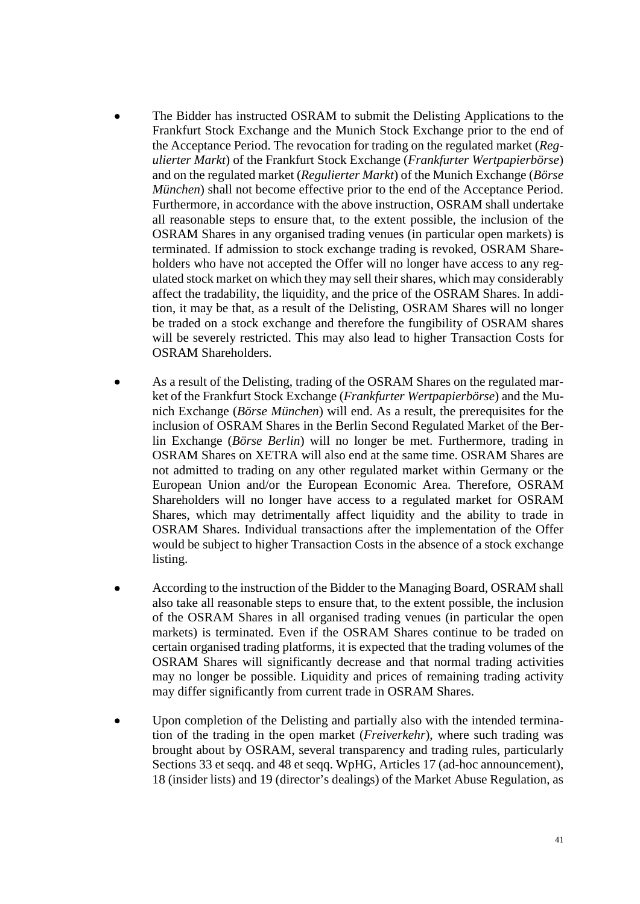- The Bidder has instructed OSRAM to submit the Delisting Applications to the Frankfurt Stock Exchange and the Munich Stock Exchange prior to the end of the Acceptance Period. The revocation for trading on the regulated market (*Regulierter Markt*) of the Frankfurt Stock Exchange (*Frankfurter Wertpapierbörse*) and on the regulated market (*Regulierter Markt*) of the Munich Exchange (*Börse München*) shall not become effective prior to the end of the Acceptance Period. Furthermore, in accordance with the above instruction, OSRAM shall undertake all reasonable steps to ensure that, to the extent possible, the inclusion of the OSRAM Shares in any organised trading venues (in particular open markets) is terminated. If admission to stock exchange trading is revoked, OSRAM Shareholders who have not accepted the Offer will no longer have access to any regulated stock market on which they may sell their shares, which may considerably affect the tradability, the liquidity, and the price of the OSRAM Shares. In addition, it may be that, as a result of the Delisting, OSRAM Shares will no longer be traded on a stock exchange and therefore the fungibility of OSRAM shares will be severely restricted. This may also lead to higher Transaction Costs for OSRAM Shareholders.
- As a result of the Delisting, trading of the OSRAM Shares on the regulated market of the Frankfurt Stock Exchange (*Frankfurter Wertpapierbörse*) and the Munich Exchange (*Börse München*) will end. As a result, the prerequisites for the inclusion of OSRAM Shares in the Berlin Second Regulated Market of the Berlin Exchange (*Börse Berlin*) will no longer be met. Furthermore, trading in OSRAM Shares on XETRA will also end at the same time. OSRAM Shares are not admitted to trading on any other regulated market within Germany or the European Union and/or the European Economic Area. Therefore, OSRAM Shareholders will no longer have access to a regulated market for OSRAM Shares, which may detrimentally affect liquidity and the ability to trade in OSRAM Shares. Individual transactions after the implementation of the Offer would be subject to higher Transaction Costs in the absence of a stock exchange listing.
- According to the instruction of the Bidder to the Managing Board, OSRAM shall also take all reasonable steps to ensure that, to the extent possible, the inclusion of the OSRAM Shares in all organised trading venues (in particular the open markets) is terminated. Even if the OSRAM Shares continue to be traded on certain organised trading platforms, it is expected that the trading volumes of the OSRAM Shares will significantly decrease and that normal trading activities may no longer be possible. Liquidity and prices of remaining trading activity may differ significantly from current trade in OSRAM Shares.
- Upon completion of the Delisting and partially also with the intended termination of the trading in the open market (*Freiverkehr*), where such trading was brought about by OSRAM, several transparency and trading rules, particularly Sections 33 et seqq. and 48 et seqq. WpHG, Articles 17 (ad-hoc announcement), 18 (insider lists) and 19 (director's dealings) of the Market Abuse Regulation, as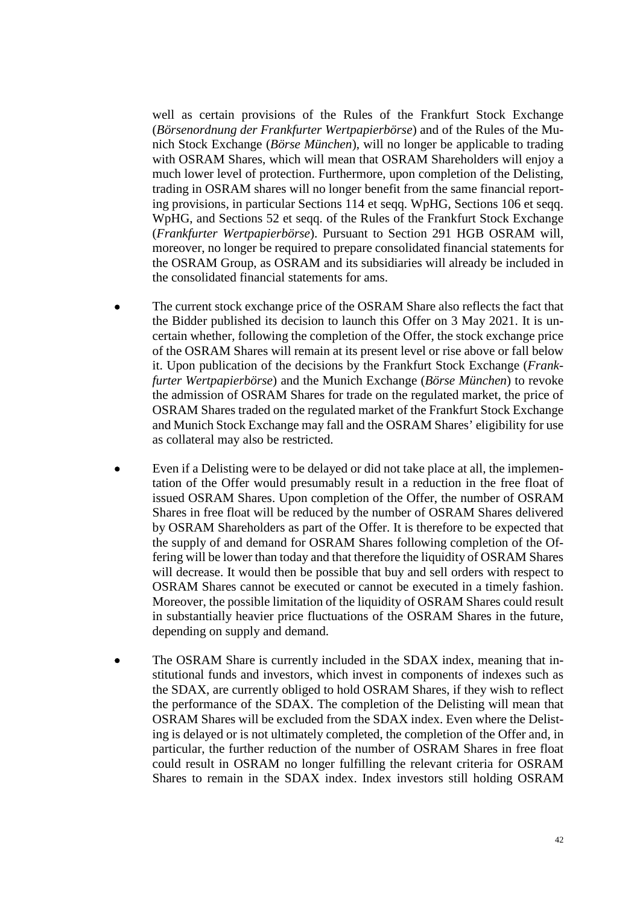well as certain provisions of the Rules of the Frankfurt Stock Exchange (*Börsenordnung der Frankfurter Wertpapierbörse*) and of the Rules of the Munich Stock Exchange (*Börse München*), will no longer be applicable to trading with OSRAM Shares, which will mean that OSRAM Shareholders will enjoy a much lower level of protection. Furthermore, upon completion of the Delisting, trading in OSRAM shares will no longer benefit from the same financial reporting provisions, in particular Sections 114 et seqq. WpHG, Sections 106 et seqq. WpHG, and Sections 52 et seqq. of the Rules of the Frankfurt Stock Exchange (*Frankfurter Wertpapierbörse*). Pursuant to Section 291 HGB OSRAM will, moreover, no longer be required to prepare consolidated financial statements for the OSRAM Group, as OSRAM and its subsidiaries will already be included in the consolidated financial statements for ams.

- The current stock exchange price of the OSRAM Share also reflects the fact that the Bidder published its decision to launch this Offer on 3 May 2021. It is uncertain whether, following the completion of the Offer, the stock exchange price of the OSRAM Shares will remain at its present level or rise above or fall below it. Upon publication of the decisions by the Frankfurt Stock Exchange (*Frankfurter Wertpapierbörse*) and the Munich Exchange (*Börse München*) to revoke the admission of OSRAM Shares for trade on the regulated market, the price of OSRAM Shares traded on the regulated market of the Frankfurt Stock Exchange and Munich Stock Exchange may fall and the OSRAM Shares' eligibility for use as collateral may also be restricted.
- Even if a Delisting were to be delayed or did not take place at all, the implementation of the Offer would presumably result in a reduction in the free float of issued OSRAM Shares. Upon completion of the Offer, the number of OSRAM Shares in free float will be reduced by the number of OSRAM Shares delivered by OSRAM Shareholders as part of the Offer. It is therefore to be expected that the supply of and demand for OSRAM Shares following completion of the Offering will be lower than today and that therefore the liquidity of OSRAM Shares will decrease. It would then be possible that buy and sell orders with respect to OSRAM Shares cannot be executed or cannot be executed in a timely fashion. Moreover, the possible limitation of the liquidity of OSRAM Shares could result in substantially heavier price fluctuations of the OSRAM Shares in the future, depending on supply and demand.
- The OSRAM Share is currently included in the SDAX index, meaning that institutional funds and investors, which invest in components of indexes such as the SDAX, are currently obliged to hold OSRAM Shares, if they wish to reflect the performance of the SDAX. The completion of the Delisting will mean that OSRAM Shares will be excluded from the SDAX index. Even where the Delisting is delayed or is not ultimately completed, the completion of the Offer and, in particular, the further reduction of the number of OSRAM Shares in free float could result in OSRAM no longer fulfilling the relevant criteria for OSRAM Shares to remain in the SDAX index. Index investors still holding OSRAM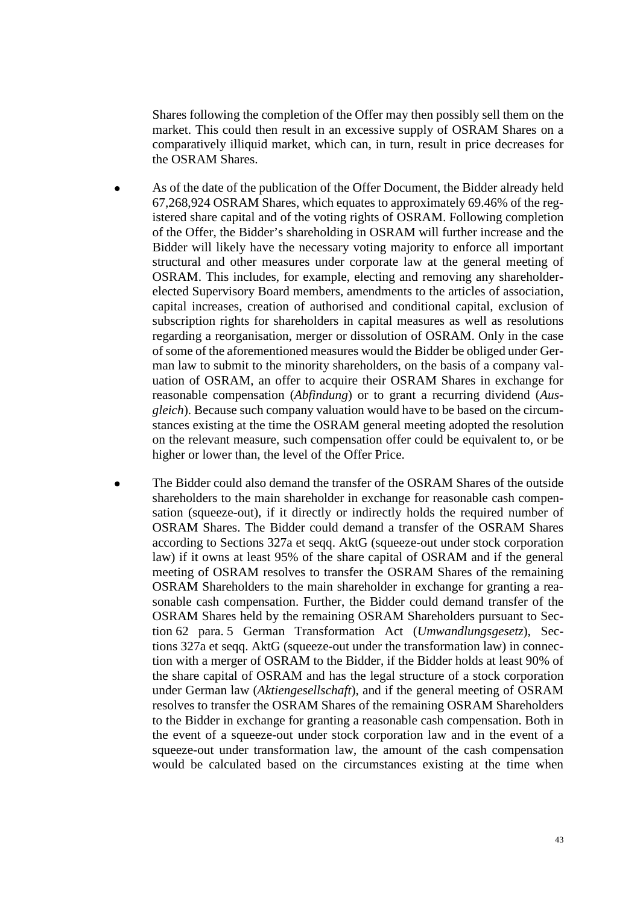Shares following the completion of the Offer may then possibly sell them on the market. This could then result in an excessive supply of OSRAM Shares on a comparatively illiquid market, which can, in turn, result in price decreases for the OSRAM Shares.

- As of the date of the publication of the Offer Document, the Bidder already held 67,268,924 OSRAM Shares, which equates to approximately 69.46% of the registered share capital and of the voting rights of OSRAM. Following completion of the Offer, the Bidder's shareholding in OSRAM will further increase and the Bidder will likely have the necessary voting majority to enforce all important structural and other measures under corporate law at the general meeting of OSRAM. This includes, for example, electing and removing any shareholderelected Supervisory Board members, amendments to the articles of association, capital increases, creation of authorised and conditional capital, exclusion of subscription rights for shareholders in capital measures as well as resolutions regarding a reorganisation, merger or dissolution of OSRAM. Only in the case of some of the aforementioned measures would the Bidder be obliged under German law to submit to the minority shareholders, on the basis of a company valuation of OSRAM, an offer to acquire their OSRAM Shares in exchange for reasonable compensation (*Abfindung*) or to grant a recurring dividend (*Ausgleich*). Because such company valuation would have to be based on the circumstances existing at the time the OSRAM general meeting adopted the resolution on the relevant measure, such compensation offer could be equivalent to, or be higher or lower than, the level of the Offer Price.
- The Bidder could also demand the transfer of the OSRAM Shares of the outside shareholders to the main shareholder in exchange for reasonable cash compensation (squeeze-out), if it directly or indirectly holds the required number of OSRAM Shares. The Bidder could demand a transfer of the OSRAM Shares according to Sections 327a et seqq. AktG (squeeze-out under stock corporation law) if it owns at least 95% of the share capital of OSRAM and if the general meeting of OSRAM resolves to transfer the OSRAM Shares of the remaining OSRAM Shareholders to the main shareholder in exchange for granting a reasonable cash compensation. Further, the Bidder could demand transfer of the OSRAM Shares held by the remaining OSRAM Shareholders pursuant to Section 62 para. 5 German Transformation Act (*Umwandlungsgesetz*), Sections 327a et seqq. AktG (squeeze-out under the transformation law) in connection with a merger of OSRAM to the Bidder, if the Bidder holds at least 90% of the share capital of OSRAM and has the legal structure of a stock corporation under German law (*Aktiengesellschaft*), and if the general meeting of OSRAM resolves to transfer the OSRAM Shares of the remaining OSRAM Shareholders to the Bidder in exchange for granting a reasonable cash compensation. Both in the event of a squeeze-out under stock corporation law and in the event of a squeeze-out under transformation law, the amount of the cash compensation would be calculated based on the circumstances existing at the time when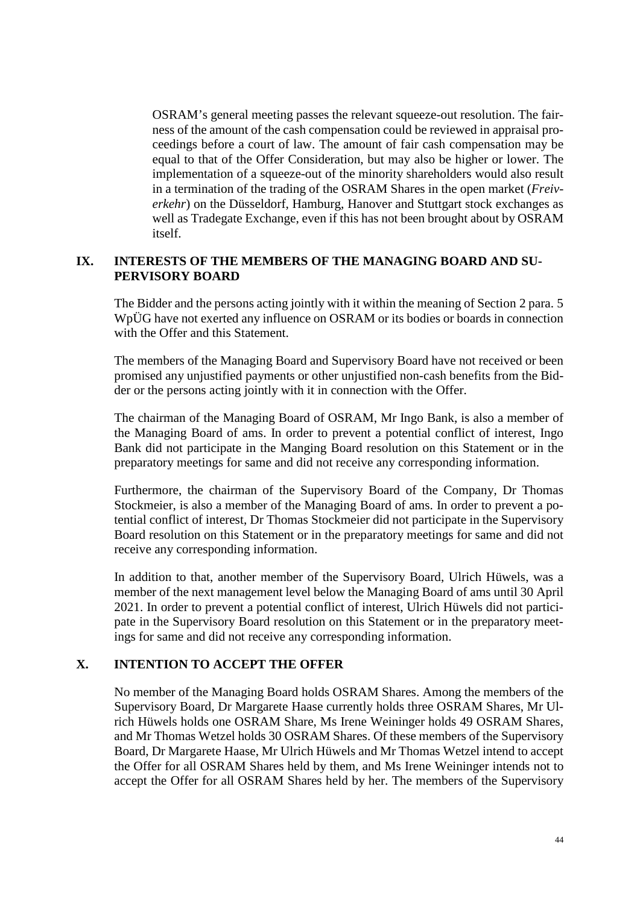OSRAM's general meeting passes the relevant squeeze-out resolution. The fairness of the amount of the cash compensation could be reviewed in appraisal proceedings before a court of law. The amount of fair cash compensation may be equal to that of the Offer Consideration, but may also be higher or lower. The implementation of a squeeze-out of the minority shareholders would also result in a termination of the trading of the OSRAM Shares in the open market (*Freiverkehr*) on the Düsseldorf, Hamburg, Hanover and Stuttgart stock exchanges as well as Tradegate Exchange, even if this has not been brought about by OSRAM itself.

#### <span id="page-43-0"></span>**IX. INTERESTS OF THE MEMBERS OF THE MANAGING BOARD AND SU-PERVISORY BOARD**

The Bidder and the persons acting jointly with it within the meaning of Section 2 para. 5 WpÜG have not exerted any influence on OSRAM or its bodies or boards in connection with the Offer and this Statement.

The members of the Managing Board and Supervisory Board have not received or been promised any unjustified payments or other unjustified non-cash benefits from the Bidder or the persons acting jointly with it in connection with the Offer.

The chairman of the Managing Board of OSRAM, Mr Ingo Bank, is also a member of the Managing Board of ams. In order to prevent a potential conflict of interest, Ingo Bank did not participate in the Manging Board resolution on this Statement or in the preparatory meetings for same and did not receive any corresponding information.

Furthermore, the chairman of the Supervisory Board of the Company, Dr Thomas Stockmeier, is also a member of the Managing Board of ams. In order to prevent a potential conflict of interest, Dr Thomas Stockmeier did not participate in the Supervisory Board resolution on this Statement or in the preparatory meetings for same and did not receive any corresponding information.

In addition to that, another member of the Supervisory Board, Ulrich Hüwels, was a member of the next management level below the Managing Board of ams until 30 April 2021. In order to prevent a potential conflict of interest, Ulrich Hüwels did not participate in the Supervisory Board resolution on this Statement or in the preparatory meetings for same and did not receive any corresponding information.

## <span id="page-43-1"></span>**X. INTENTION TO ACCEPT THE OFFER**

No member of the Managing Board holds OSRAM Shares. Among the members of the Supervisory Board, Dr Margarete Haase currently holds three OSRAM Shares, Mr Ulrich Hüwels holds one OSRAM Share, Ms Irene Weininger holds 49 OSRAM Shares, and Mr Thomas Wetzel holds 30 OSRAM Shares. Of these members of the Supervisory Board, Dr Margarete Haase, Mr Ulrich Hüwels and Mr Thomas Wetzel intend to accept the Offer for all OSRAM Shares held by them, and Ms Irene Weininger intends not to accept the Offer for all OSRAM Shares held by her. The members of the Supervisory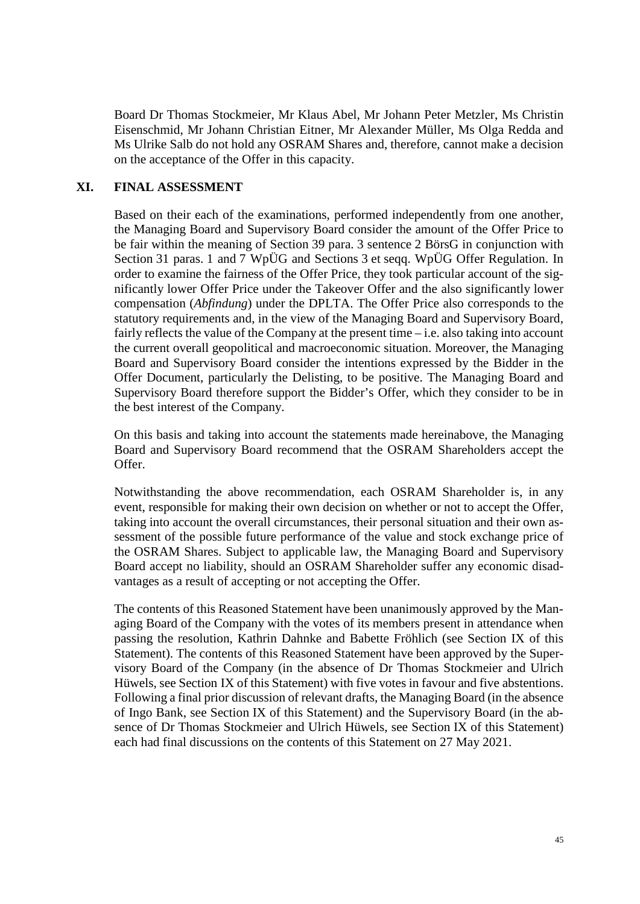Board Dr Thomas Stockmeier, Mr Klaus Abel, Mr Johann Peter Metzler, Ms Christin Eisenschmid, Mr Johann Christian Eitner, Mr Alexander Müller, Ms Olga Redda and Ms Ulrike Salb do not hold any OSRAM Shares and, therefore, cannot make a decision on the acceptance of the Offer in this capacity.

#### <span id="page-44-0"></span>**XI. FINAL ASSESSMENT**

Based on their each of the examinations, performed independently from one another, the Managing Board and Supervisory Board consider the amount of the Offer Price to be fair within the meaning of Section 39 para. 3 sentence 2 BörsG in conjunction with Section 31 paras. 1 and 7 WpÜG and Sections 3 et seqq. WpÜG Offer Regulation. In order to examine the fairness of the Offer Price, they took particular account of the significantly lower Offer Price under the Takeover Offer and the also significantly lower compensation (*Abfindung*) under the DPLTA. The Offer Price also corresponds to the statutory requirements and, in the view of the Managing Board and Supervisory Board, fairly reflects the value of the Company at the present time – i.e. also taking into account the current overall geopolitical and macroeconomic situation. Moreover, the Managing Board and Supervisory Board consider the intentions expressed by the Bidder in the Offer Document, particularly the Delisting, to be positive. The Managing Board and Supervisory Board therefore support the Bidder's Offer, which they consider to be in the best interest of the Company.

On this basis and taking into account the statements made hereinabove, the Managing Board and Supervisory Board recommend that the OSRAM Shareholders accept the Offer.

Notwithstanding the above recommendation, each OSRAM Shareholder is, in any event, responsible for making their own decision on whether or not to accept the Offer, taking into account the overall circumstances, their personal situation and their own assessment of the possible future performance of the value and stock exchange price of the OSRAM Shares. Subject to applicable law, the Managing Board and Supervisory Board accept no liability, should an OSRAM Shareholder suffer any economic disadvantages as a result of accepting or not accepting the Offer.

The contents of this Reasoned Statement have been unanimously approved by the Managing Board of the Company with the votes of its members present in attendance when passing the resolution, Kathrin Dahnke and Babette Fröhlich (see Section [IX](#page-43-0) of this Statement). The contents of this Reasoned Statement have been approved by the Supervisory Board of the Company (in the absence of Dr Thomas Stockmeier and Ulrich Hüwels, see Section [IX](#page-43-0) of this Statement) with five votes in favour and five abstentions. Following a final prior discussion of relevant drafts, the Managing Board (in the absence of Ingo Bank, see Section [IX](#page-43-0) of this Statement) and the Supervisory Board (in the absence of Dr Thomas Stockmeier and Ulrich Hüwels, see Section [IX](#page-43-0) of this Statement) each had final discussions on the contents of this Statement on 27 May 2021.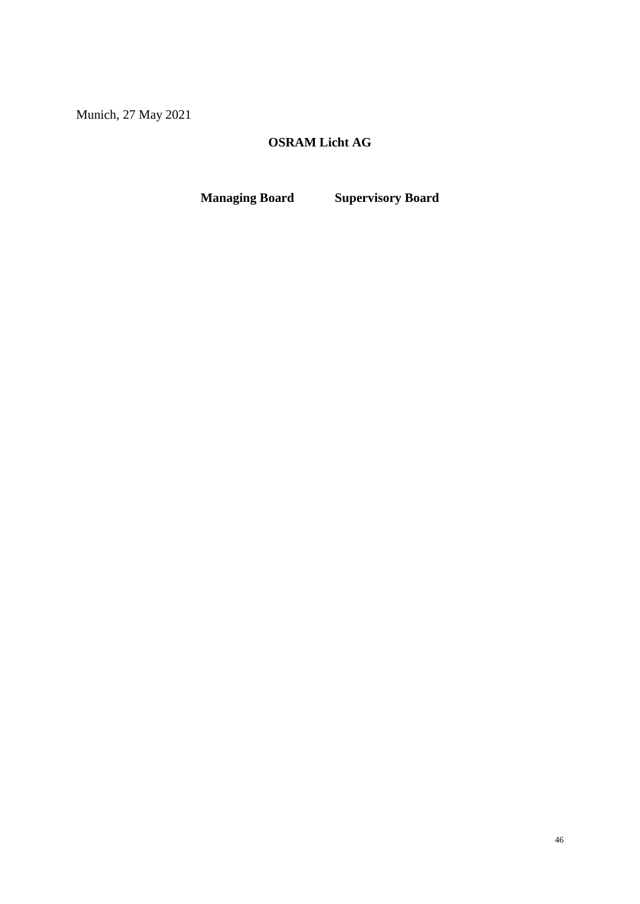Munich, 27 May 2021

## **OSRAM Licht AG**

**Managing Board Supervisory Board**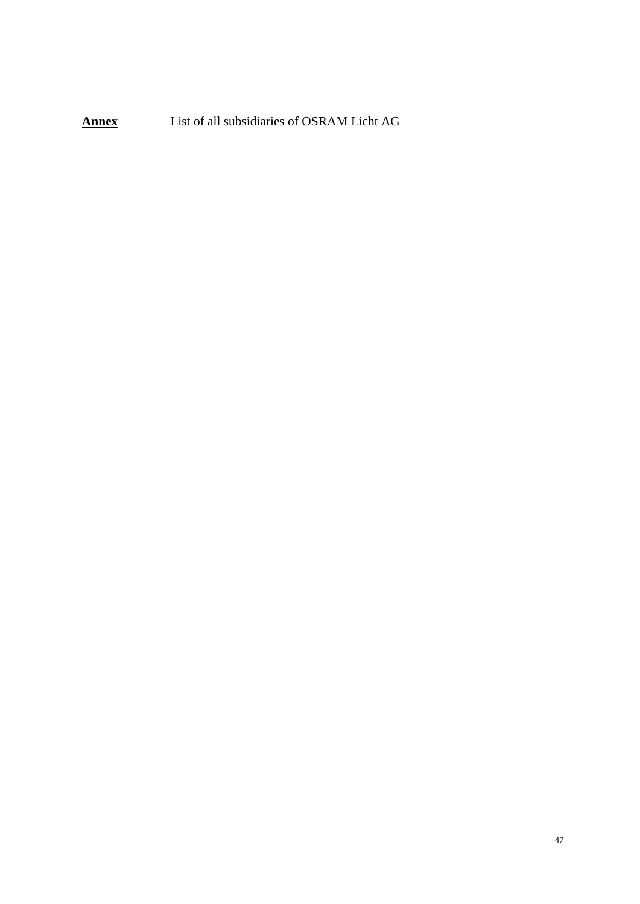**Annex** List of all subsidiaries of OSRAM Licht AG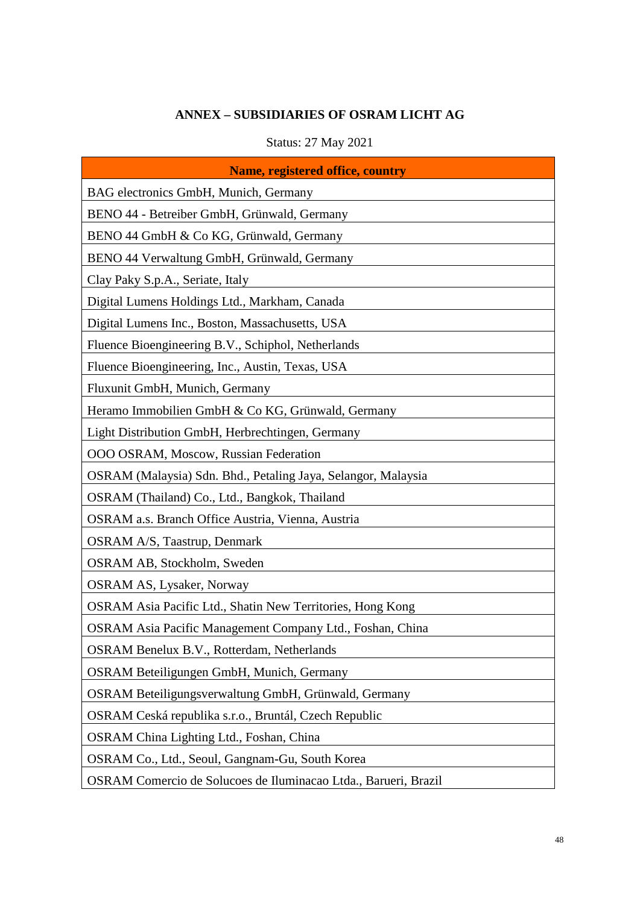# **ANNEX – SUBSIDIARIES OF OSRAM LICHT AG**

# Status: 27 May 2021

<span id="page-47-0"></span>

| <b>Name, registered office, country</b>                         |
|-----------------------------------------------------------------|
| BAG electronics GmbH, Munich, Germany                           |
| BENO 44 - Betreiber GmbH, Grünwald, Germany                     |
| BENO 44 GmbH & Co KG, Grünwald, Germany                         |
| BENO 44 Verwaltung GmbH, Grünwald, Germany                      |
| Clay Paky S.p.A., Seriate, Italy                                |
| Digital Lumens Holdings Ltd., Markham, Canada                   |
| Digital Lumens Inc., Boston, Massachusetts, USA                 |
| Fluence Bioengineering B.V., Schiphol, Netherlands              |
| Fluence Bioengineering, Inc., Austin, Texas, USA                |
| Fluxunit GmbH, Munich, Germany                                  |
| Heramo Immobilien GmbH & Co KG, Grünwald, Germany               |
| Light Distribution GmbH, Herbrechtingen, Germany                |
| OOO OSRAM, Moscow, Russian Federation                           |
| OSRAM (Malaysia) Sdn. Bhd., Petaling Jaya, Selangor, Malaysia   |
| OSRAM (Thailand) Co., Ltd., Bangkok, Thailand                   |
| OSRAM a.s. Branch Office Austria, Vienna, Austria               |
| <b>OSRAM A/S, Taastrup, Denmark</b>                             |
| OSRAM AB, Stockholm, Sweden                                     |
| <b>OSRAM AS, Lysaker, Norway</b>                                |
| OSRAM Asia Pacific Ltd., Shatin New Territories, Hong Kong      |
| OSRAM Asia Pacific Management Company Ltd., Foshan, China       |
| OSRAM Benelux B.V., Rotterdam, Netherlands                      |
| OSRAM Beteiligungen GmbH, Munich, Germany                       |
| OSRAM Beteiligungsverwaltung GmbH, Grünwald, Germany            |
| OSRAM Ceská republika s.r.o., Bruntál, Czech Republic           |
| OSRAM China Lighting Ltd., Foshan, China                        |
| OSRAM Co., Ltd., Seoul, Gangnam-Gu, South Korea                 |
| OSRAM Comercio de Solucoes de Iluminacao Ltda., Barueri, Brazil |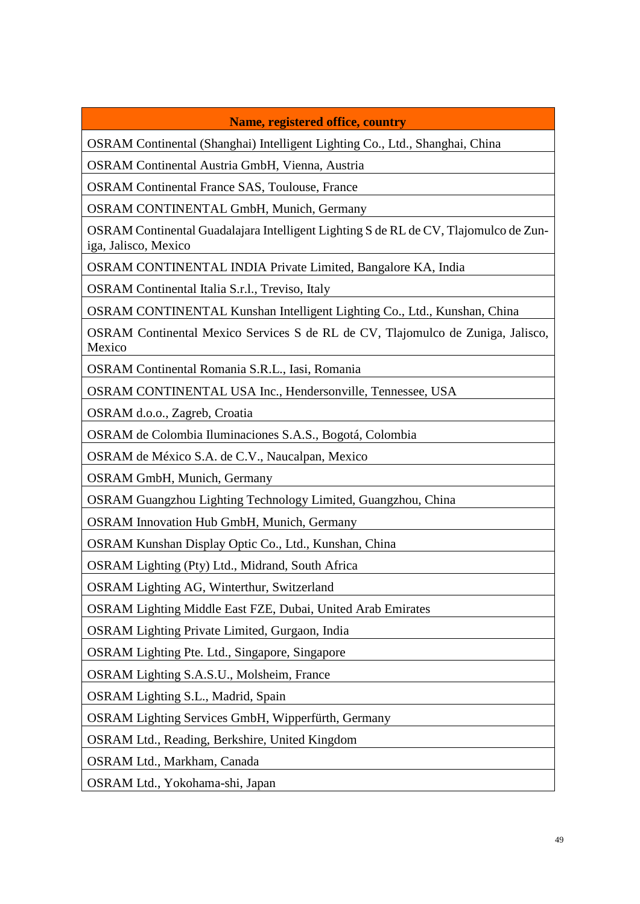## **Name, registered office, country**

OSRAM Continental (Shanghai) Intelligent Lighting Co., Ltd., Shanghai, China

OSRAM Continental Austria GmbH, Vienna, Austria

OSRAM Continental France SAS, Toulouse, France

OSRAM CONTINENTAL GmbH, Munich, Germany

OSRAM Continental Guadalajara Intelligent Lighting S de RL de CV, Tlajomulco de Zuniga, Jalisco, Mexico

OSRAM CONTINENTAL INDIA Private Limited, Bangalore KA, India

OSRAM Continental Italia S.r.l., Treviso, Italy

OSRAM CONTINENTAL Kunshan Intelligent Lighting Co., Ltd., Kunshan, China

OSRAM Continental Mexico Services S de RL de CV, Tlajomulco de Zuniga, Jalisco, Mexico

OSRAM Continental Romania S.R.L., Iasi, Romania

OSRAM CONTINENTAL USA Inc., Hendersonville, Tennessee, USA

OSRAM d.o.o., Zagreb, Croatia

OSRAM de Colombia Iluminaciones S.A.S., Bogotá, Colombia

OSRAM de México S.A. de C.V., Naucalpan, Mexico

OSRAM GmbH, Munich, Germany

OSRAM Guangzhou Lighting Technology Limited, Guangzhou, China

OSRAM Innovation Hub GmbH, Munich, Germany

OSRAM Kunshan Display Optic Co., Ltd., Kunshan, China

OSRAM Lighting (Pty) Ltd., Midrand, South Africa

OSRAM Lighting AG, Winterthur, Switzerland

OSRAM Lighting Middle East FZE, Dubai, United Arab Emirates

OSRAM Lighting Private Limited, Gurgaon, India

OSRAM Lighting Pte. Ltd., Singapore, Singapore

OSRAM Lighting S.A.S.U., Molsheim, France

OSRAM Lighting S.L., Madrid, Spain

OSRAM Lighting Services GmbH, Wipperfürth, Germany

OSRAM Ltd., Reading, Berkshire, United Kingdom

OSRAM Ltd., Markham, Canada

OSRAM Ltd., Yokohama-shi, Japan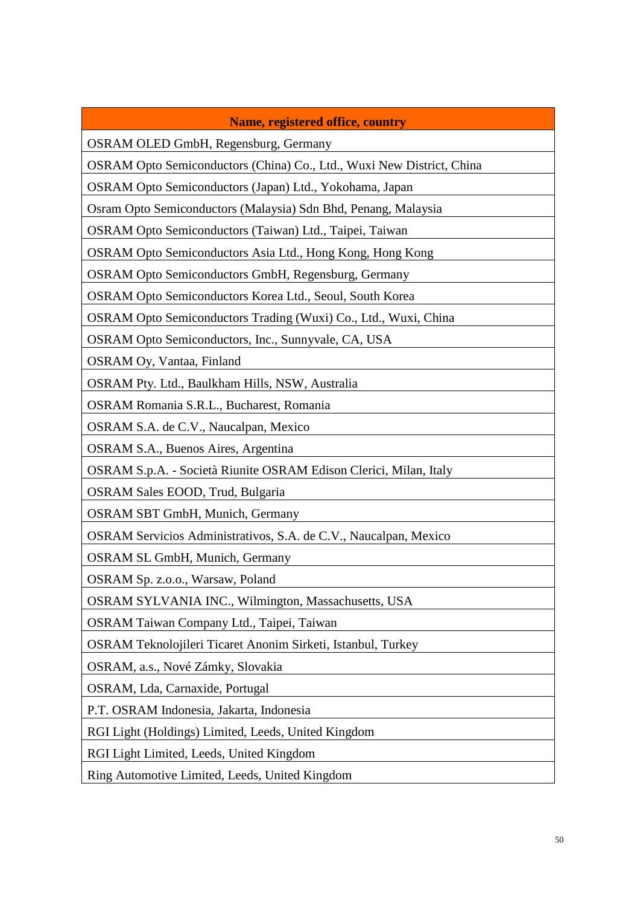## **Name, registered office, country**

OSRAM OLED GmbH, Regensburg, Germany

OSRAM Opto Semiconductors (China) Co., Ltd., Wuxi New District, China

OSRAM Opto Semiconductors (Japan) Ltd., Yokohama, Japan

Osram Opto Semiconductors (Malaysia) Sdn Bhd, Penang, Malaysia

OSRAM Opto Semiconductors (Taiwan) Ltd., Taipei, Taiwan

OSRAM Opto Semiconductors Asia Ltd., Hong Kong, Hong Kong

OSRAM Opto Semiconductors GmbH, Regensburg, Germany

OSRAM Opto Semiconductors Korea Ltd., Seoul, South Korea

OSRAM Opto Semiconductors Trading (Wuxi) Co., Ltd., Wuxi, China

OSRAM Opto Semiconductors, Inc., Sunnyvale, CA, USA

OSRAM Oy, Vantaa, Finland

OSRAM Pty. Ltd., Baulkham Hills, NSW, Australia

OSRAM Romania S.R.L., Bucharest, Romania

OSRAM S.A. de C.V., Naucalpan, Mexico

OSRAM S.A., Buenos Aires, Argentina

OSRAM S.p.A. - Società Riunite OSRAM Edison Clerici, Milan, Italy

OSRAM Sales EOOD, Trud, Bulgaria

OSRAM SBT GmbH, Munich, Germany

OSRAM Servicios Administrativos, S.A. de C.V., Naucalpan, Mexico

OSRAM SL GmbH, Munich, Germany

OSRAM Sp. z.o.o., Warsaw, Poland

OSRAM SYLVANIA INC., Wilmington, Massachusetts, USA

OSRAM Taiwan Company Ltd., Taipei, Taiwan

OSRAM Teknolojileri Ticaret Anonim Sirketi, Istanbul, Turkey

OSRAM, a.s., Nové Zámky, Slovakia

OSRAM, Lda, Carnaxide, Portugal

P.T. OSRAM Indonesia, Jakarta, Indonesia

RGI Light (Holdings) Limited, Leeds, United Kingdom

RGI Light Limited, Leeds, United Kingdom

Ring Automotive Limited, Leeds, United Kingdom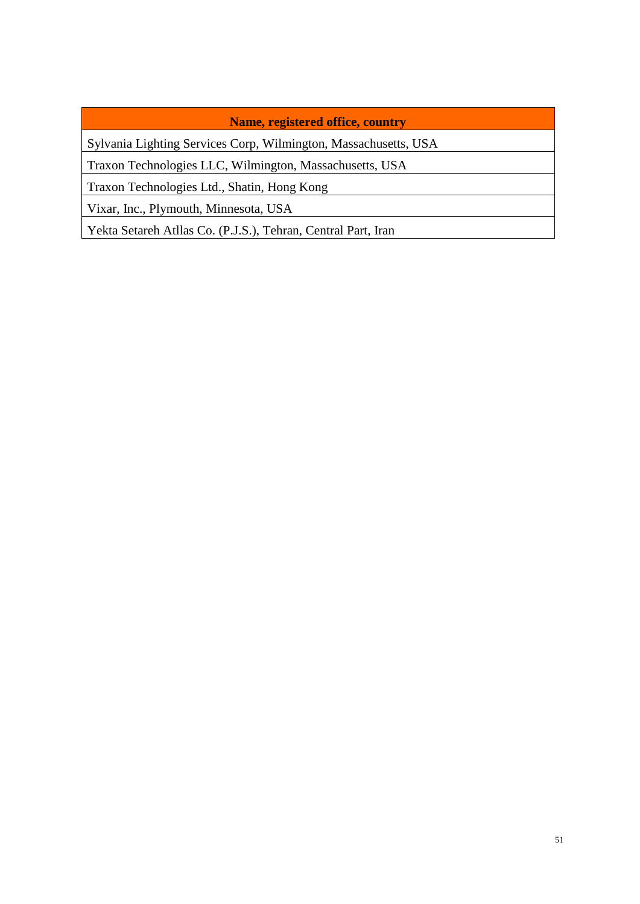## **Name, registered office, country**

Sylvania Lighting Services Corp, Wilmington, Massachusetts, USA

Traxon Technologies LLC, Wilmington, Massachusetts, USA

Traxon Technologies Ltd., Shatin, Hong Kong

Vixar, Inc., Plymouth, Minnesota, USA

Yekta Setareh Atllas Co. (P.J.S.), Tehran, Central Part, Iran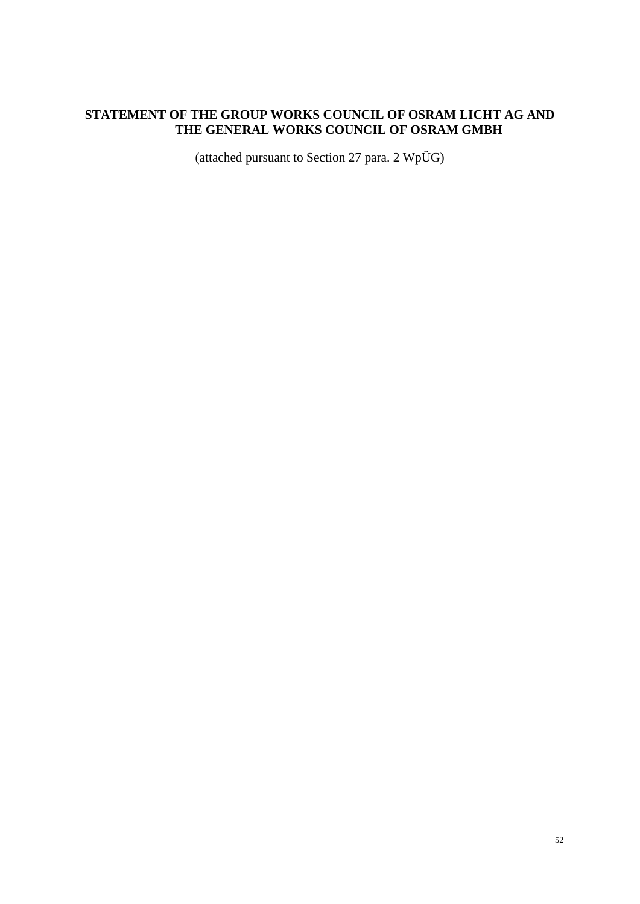## <span id="page-51-0"></span>**STATEMENT OF THE GROUP WORKS COUNCIL OF OSRAM LICHT AG AND THE GENERAL WORKS COUNCIL OF OSRAM GMBH**

(attached pursuant to Section 27 para. 2 WpÜG)